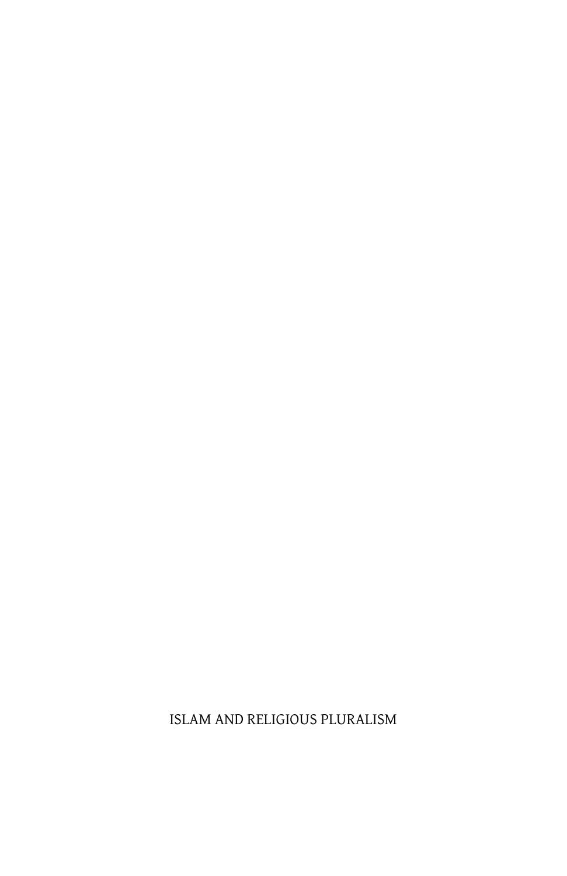ISLAM AND RELIGIOUS PLURALISM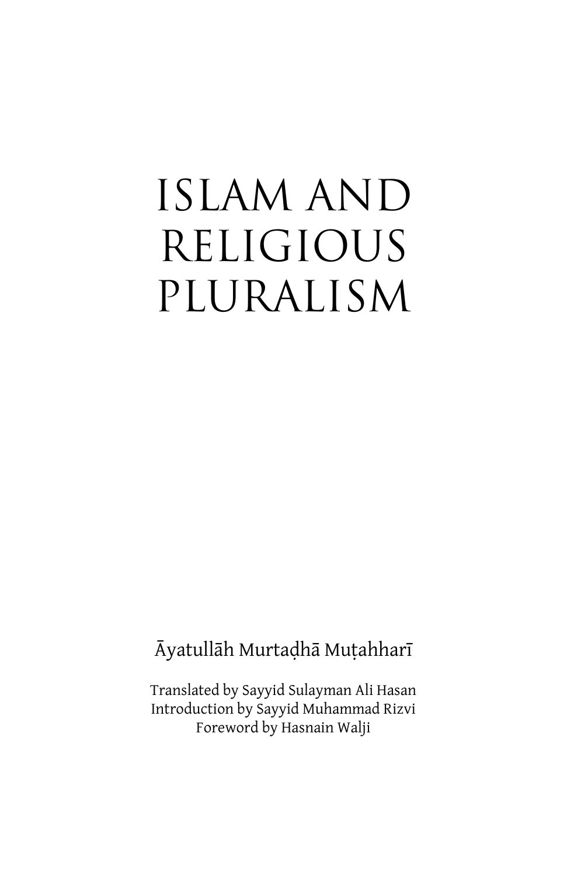# **ISLAM AND** RELIGIOUS PLURALISM

Āyatullāh Murtadhā Muțahharī

Translated by Sayyid Sulayman Ali Hasan Introduction by Sayyid Muhammad Rizvi Foreword by Hasnain Walji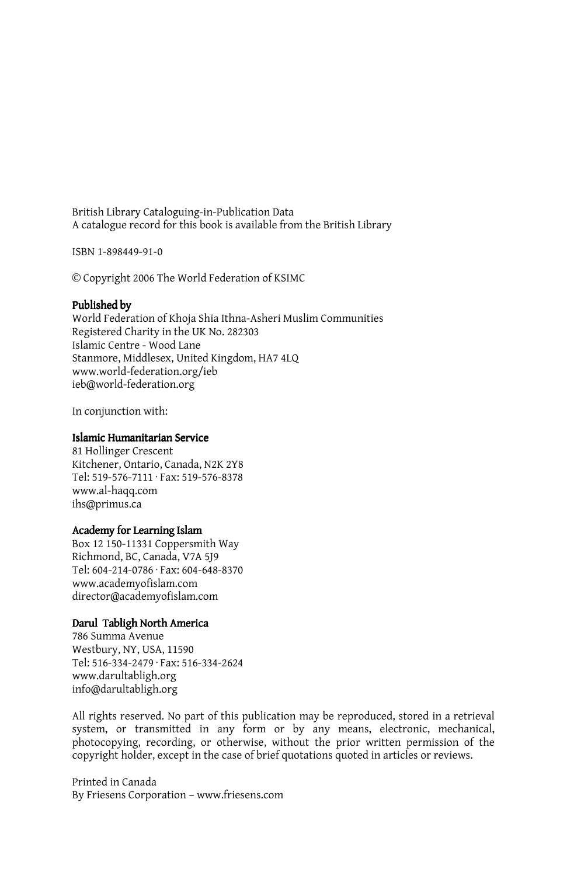British Library Cataloguing-in-Publication Data A catalogue record for this book is available from the British Library

ISBN 1-898449-91-0

© Copyright 2006 The World Federation of KSIMC

#### Published by

World Federation of Khoja Shia Ithna-Asheri Muslim Communities Registered Charity in the UK No. 282303 Islamic Centre - Wood Lane Stanmore, Middlesex, United Kingdom, HA7 4LQ www.world-federation.org/ieb ieb@world-federation.org

In conjunction with:

#### Islamic Humanitarian Service

81 Hollinger Crescent Kitchener, Ontario, Canada, N2K 2Y8 Tel: 519-576-7111 · Fax: 519-576-8378 www.al-haqq.com ihs@primus.ca

#### Academy for Learning Islam

Box 12 150-11331 Coppersmith Way Richmond, BC, Canada, V7A 5J9 Tel: 604-214-0786 · Fax: 604-648-8370 www.academyofislam.com director@academyofislam.com

#### Darul Tabligh North America

786 Summa Avenue Westbury, NY, USA, 11590 Tel: 516-334-2479 · Fax: 516-334-2624 www.darultabligh.org info@darultabligh.org

All rights reserved. No part of this publication may be reproduced, stored in a retrieval system, or transmitted in any form or by any means, electronic, mechanical, photocopying, recording, or otherwise, without the prior written permission of the copyright holder, except in the case of brief quotations quoted in articles or reviews.

Printed in Canada By Friesens Corporation – www.friesens.com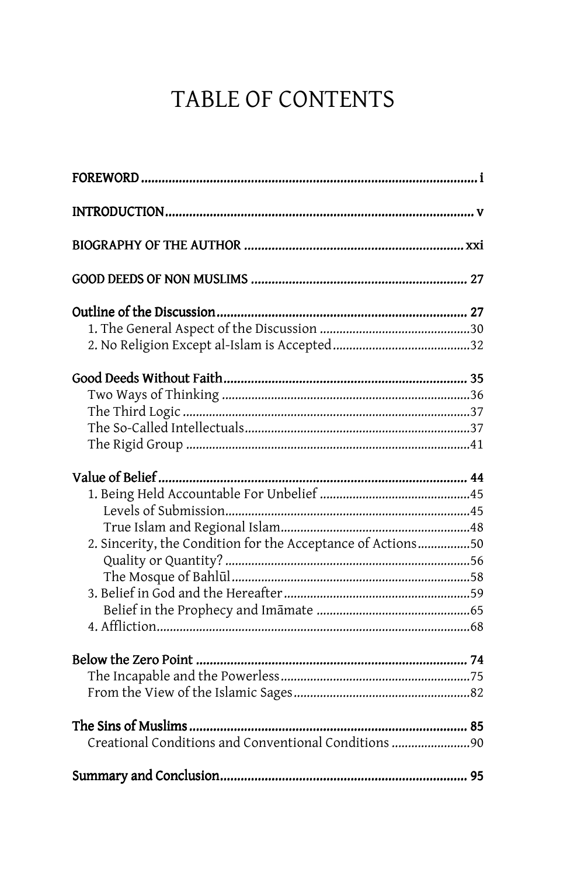# TABLE OF CONTENTS

| 2. Sincerity, the Condition for the Acceptance of Actions50 |  |
|-------------------------------------------------------------|--|
|                                                             |  |
|                                                             |  |
|                                                             |  |
|                                                             |  |
|                                                             |  |
|                                                             |  |
|                                                             |  |
|                                                             |  |
|                                                             |  |
| Creational Conditions and Conventional Conditions 90        |  |
|                                                             |  |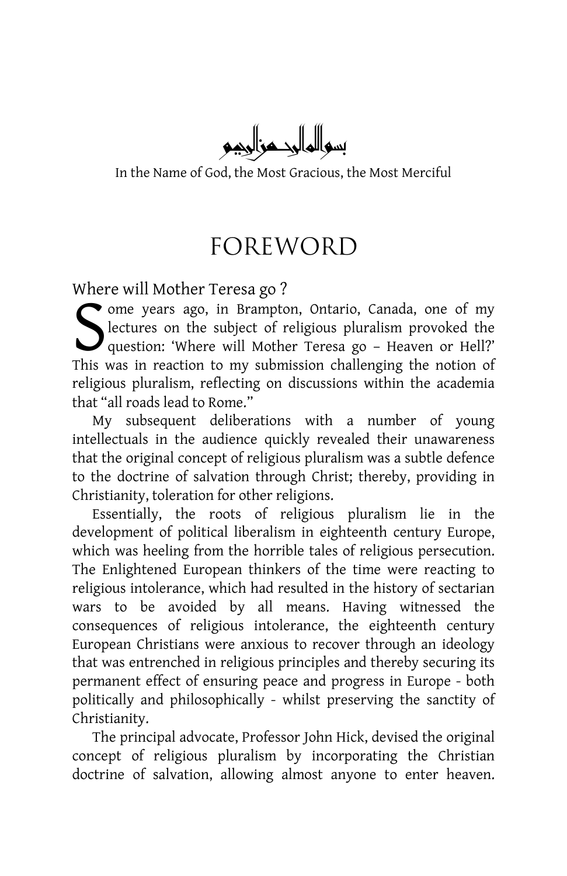سواالمالجدزالجيم

In the Name of God, the Most Gracious, the Most Merciful

# FOREWORD

Where will Mother Teresa go ?

ome years ago, in Brampton, Ontario, Canada, one of my lectures on the subject of religious pluralism provoked the question: 'Where will Mother Teresa go – Heaven or Hell?' This was in reaction to my submission challenging the notion of religious pluralism, reflecting on discussions within the academia that "all roads lead to Rome." S<sub>This</sub>

My subsequent deliberations with a number of young intellectuals in the audience quickly revealed their unawareness that the original concept of religious pluralism was a subtle defence to the doctrine of salvation through Christ; thereby, providing in Christianity, toleration for other religions.

Essentially, the roots of religious pluralism lie in the development of political liberalism in eighteenth century Europe, which was heeling from the horrible tales of religious persecution. The Enlightened European thinkers of the time were reacting to religious intolerance, which had resulted in the history of sectarian wars to be avoided by all means. Having witnessed the consequences of religious intolerance, the eighteenth century European Christians were anxious to recover through an ideology that was entrenched in religious principles and thereby securing its permanent effect of ensuring peace and progress in Europe - both politically and philosophically - whilst preserving the sanctity of Christianity.

The principal advocate, Professor John Hick, devised the original concept of religious pluralism by incorporating the Christian doctrine of salvation, allowing almost anyone to enter heaven.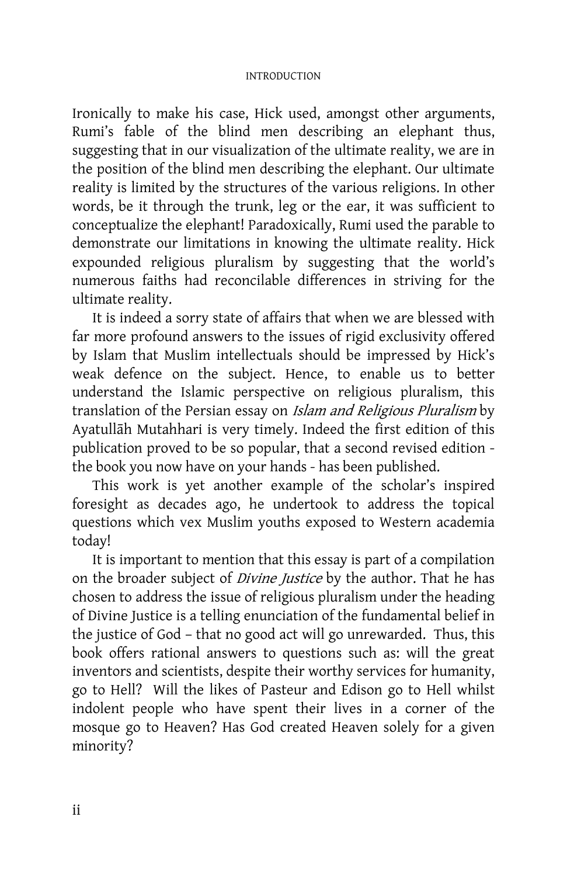Ironically to make his case, Hick used, amongst other arguments, Rumi's fable of the blind men describing an elephant thus, suggesting that in our visualization of the ultimate reality, we are in the position of the blind men describing the elephant. Our ultimate reality is limited by the structures of the various religions. In other words, be it through the trunk, leg or the ear, it was sufficient to conceptualize the elephant! Paradoxically, Rumi used the parable to demonstrate our limitations in knowing the ultimate reality. Hick expounded religious pluralism by suggesting that the world's numerous faiths had reconcilable differences in striving for the ultimate reality.

It is indeed a sorry state of affairs that when we are blessed with far more profound answers to the issues of rigid exclusivity offered by Islam that Muslim intellectuals should be impressed by Hick's weak defence on the subject. Hence, to enable us to better understand the Islamic perspective on religious pluralism, this translation of the Persian essay on *Islam and Religious Pluralism* by Ayatullāh Mutahhari is very timely. Indeed the first edition of this publication proved to be so popular, that a second revised edition the book you now have on your hands - has been published.

This work is yet another example of the scholar's inspired foresight as decades ago, he undertook to address the topical questions which vex Muslim youths exposed to Western academia today!

It is important to mention that this essay is part of a compilation on the broader subject of Divine Justice by the author. That he has chosen to address the issue of religious pluralism under the heading of Divine Justice is a telling enunciation of the fundamental belief in the justice of God – that no good act will go unrewarded. Thus, this book offers rational answers to questions such as: will the great inventors and scientists, despite their worthy services for humanity, go to Hell? Will the likes of Pasteur and Edison go to Hell whilst indolent people who have spent their lives in a corner of the mosque go to Heaven? Has God created Heaven solely for a given minority?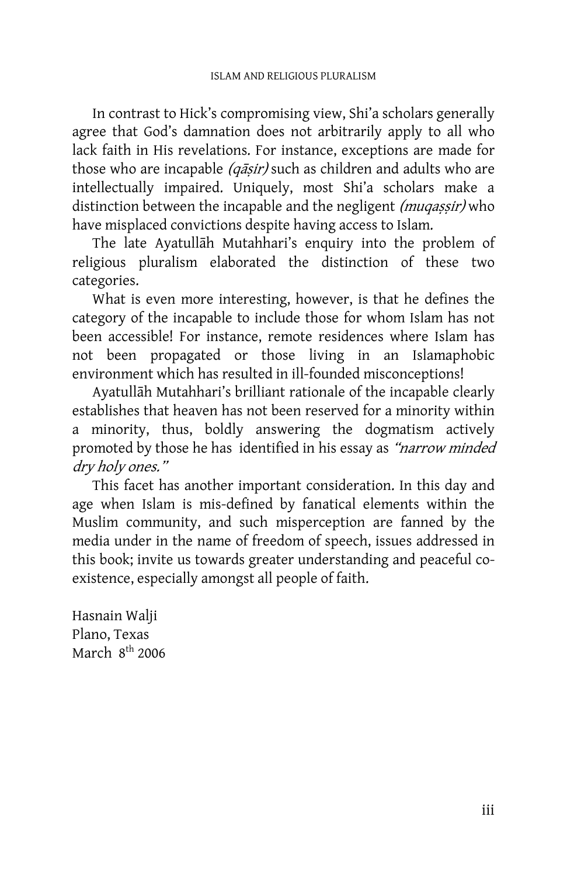In contrast to Hick's compromising view, Shi'a scholars generally agree that God's damnation does not arbitrarily apply to all who lack faith in His revelations. For instance, exceptions are made for those who are incapable  $(q\bar{a}sir)$  such as children and adults who are intellectually impaired. Uniquely, most Shi'a scholars make a distinction between the incapable and the negligent (muqassir) who have misplaced convictions despite having access to Islam.

The late Ayatullah Mutahhari's enquiry into the problem of religious pluralism elaborated the distinction of these two categories.

What is even more interesting, however, is that he defines the category of the incapable to include those for whom Islam has not been accessible! For instance, remote residences where Islam has not been propagated or those living in an Islamaphobic environment which has resulted in ill-founded misconceptions!

Ayatullāh Mutahhari's brilliant rationale of the incapable clearly establishes that heaven has not been reserved for a minority within a minority, thus, boldly answering the dogmatism actively promoted by those he has identified in his essay as "narrow minded dry holy ones."

This facet has another important consideration. In this day and age when Islam is mis-defined by fanatical elements within the Muslim community, and such misperception are fanned by the media under in the name of freedom of speech, issues addressed in this book; invite us towards greater understanding and peaceful coexistence, especially amongst all people of faith.

Hasnain Walji Plano, Texas March  $8<sup>th</sup>$  2006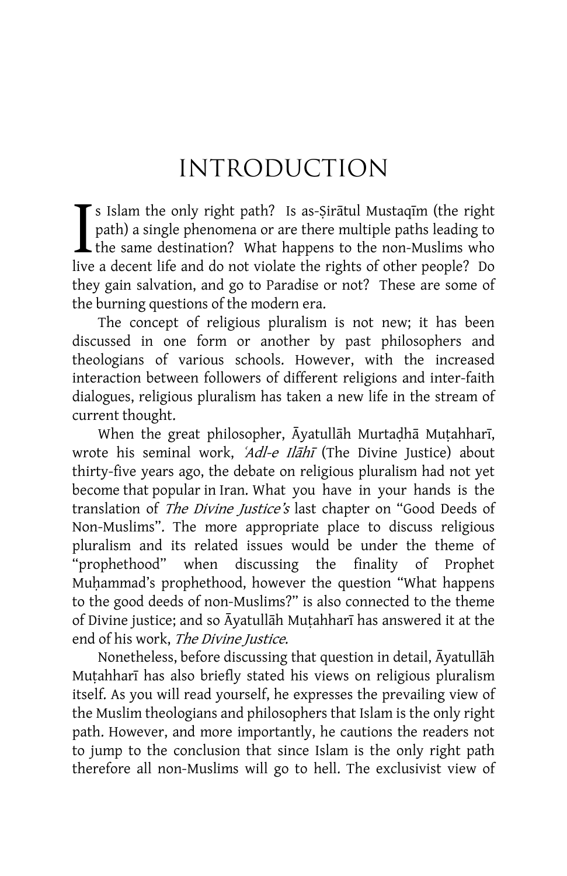$\blacksquare$  s Islam the only right path? Is as-Siratul Mustaqim (the right path) a single phenomena or are there multiple paths leading to the same destination? What happens to the non-Muslims who live a decent life and do not violate the rights of other people? Do they gain salvation, and go to Paradise or not? These are some of the burning questions of the modern era. I<sub>live</sub>

 The concept of religious pluralism is not new; it has been discussed in one form or another by past philosophers and theologians of various schools. However, with the increased interaction between followers of different religions and inter-faith dialogues, religious pluralism has taken a new life in the stream of current thought.

When the great philosopher, Āyatullāh Murtadhā Muțahharī, wrote his seminal work, 'Adl-e Ilahī (The Divine Justice) about thirty-five years ago, the debate on religious pluralism had not yet become that popular in Iran. What you have in your hands is the translation of The Divine Justice's last chapter on "Good Deeds of Non-Muslims". The more appropriate place to discuss religious pluralism and its related issues would be under the theme of "prophethood" when discussing the finality of Prophet Muḥammad's prophethood, however the question "What happens to the good deeds of non-Muslims?" is also connected to the theme of Divine justice; and so Ayatullah Muțahharī has answered it at the end of his work, The Divine Justice.

Nonetheless, before discussing that question in detail, Āyatullāh Muțahharī has also briefly stated his views on religious pluralism itself. As you will read yourself, he expresses the prevailing view of the Muslim theologians and philosophers that Islam is the only right path. However, and more importantly, he cautions the readers not to jump to the conclusion that since Islam is the only right path therefore all non-Muslims will go to hell. The exclusivist view of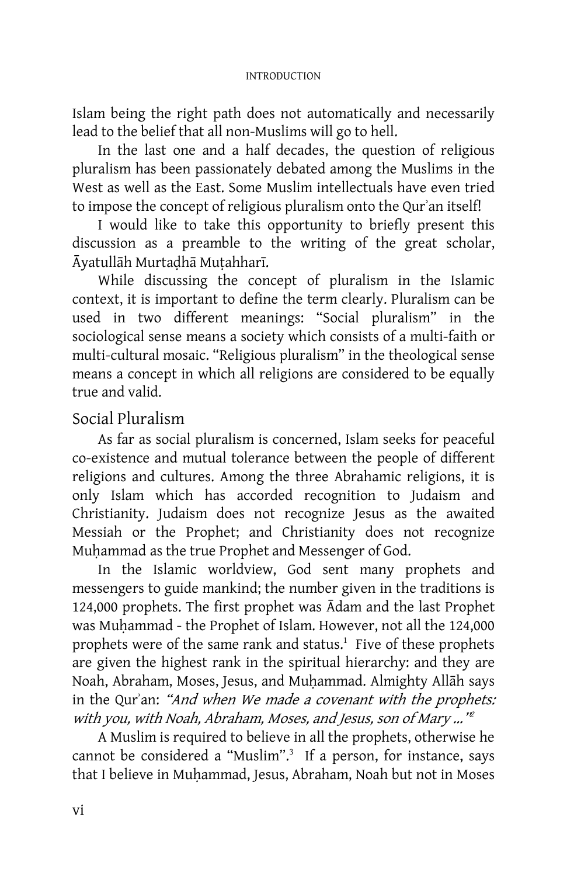Islam being the right path does not automatically and necessarily lead to the belief that all non-Muslims will go to hell.

 In the last one and a half decades, the question of religious pluralism has been passionately debated among the Muslims in the West as well as the East. Some Muslim intellectuals have even tried to impose the concept of religious pluralism onto the Qur`an itself!

 I would like to take this opportunity to briefly present this discussion as a preamble to the writing of the great scholar, Āyatullāh Murtadhā Muțahharī.

 While discussing the concept of pluralism in the Islamic context, it is important to define the term clearly. Pluralism can be used in two different meanings: "Social pluralism" in the sociological sense means a society which consists of a multi-faith or multi-cultural mosaic. "Religious pluralism" in the theological sense means a concept in which all religions are considered to be equally true and valid.

# Social Pluralism

 As far as social pluralism is concerned, Islam seeks for peaceful co-existence and mutual tolerance between the people of different religions and cultures. Among the three Abrahamic religions, it is only Islam which has accorded recognition to Judaism and Christianity. Judaism does not recognize Jesus as the awaited Messiah or the Prophet; and Christianity does not recognize Muhammad as the true Prophet and Messenger of God.

 In the Islamic worldview, God sent many prophets and messengers to guide mankind; the number given in the traditions is 124,000 prophets. The first prophet was Adam and the last Prophet was Muhammad - the Prophet of Islam. However, not all the 124,000 prophets were of the same rank and status.<sup>1</sup> Five of these prophets are given the highest rank in the spiritual hierarchy: and they are Noah, Abraham, Moses, Jesus, and Muhammad. Almighty Allāh says in the Qur'an: "And when We made a covenant with the prophets: with you, with Noah, Abraham, Moses, and Jesus, son of Mary ..."<sup>2</sup>

 A Muslim is required to believe in all the prophets, otherwise he cannot be considered a "Muslim".<sup>3</sup> If a person, for instance, says that I believe in Muhammad, Jesus, Abraham, Noah but not in Moses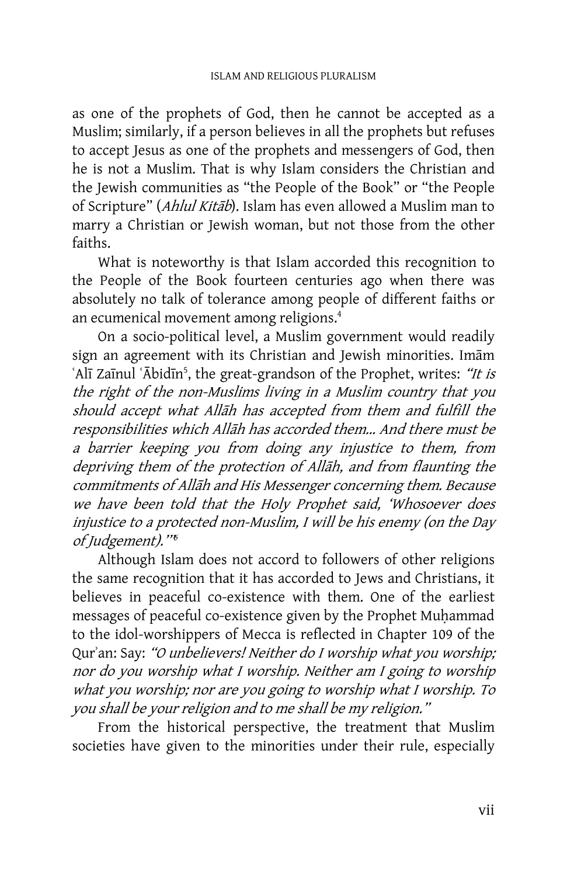as one of the prophets of God, then he cannot be accepted as a Muslim; similarly, if a person believes in all the prophets but refuses to accept Jesus as one of the prophets and messengers of God, then he is not a Muslim. That is why Islam considers the Christian and the Jewish communities as "the People of the Book" or "the People of Scripture" (Ahlul Kitāb). Islam has even allowed a Muslim man to marry a Christian or Jewish woman, but not those from the other faiths.

 What is noteworthy is that Islam accorded this recognition to the People of the Book fourteen centuries ago when there was absolutely no talk of tolerance among people of different faiths or an ecumenical movement among religions.<sup>4</sup>

 On a socio-political level, a Muslim government would readily sign an agreement with its Christian and Jewish minorities. Imam 'Alī Zaīnul 'Ābidīn<sup>5</sup>, the great-grandson of the Prophet, writes: "It is the right of the non-Muslims living in a Muslim country that you should accept what Allah has accepted from them and fulfill the responsibilities which Allah has accorded them... And there must be a barrier keeping you from doing any injustice to them, from depriving them of the protection of Allah, and from flaunting the commitments of Allah and His Messenger concerning them. Because we have been told that the Holy Prophet said, 'Whosoever does injustice to a protected non-Muslim, I will be his enemy (on the Day of Judgement).'" 6

 Although Islam does not accord to followers of other religions the same recognition that it has accorded to Jews and Christians, it believes in peaceful co-existence with them. One of the earliest messages of peaceful co-existence given by the Prophet Muhammad to the idol-worshippers of Mecca is reflected in Chapter 109 of the Qur'an: Say: "O unbelievers! Neither do I worship what you worship; nor do you worship what I worship. Neither am I going to worship what you worship; nor are you going to worship what I worship. To you shall be your religion and to me shall be my religion."

 From the historical perspective, the treatment that Muslim societies have given to the minorities under their rule, especially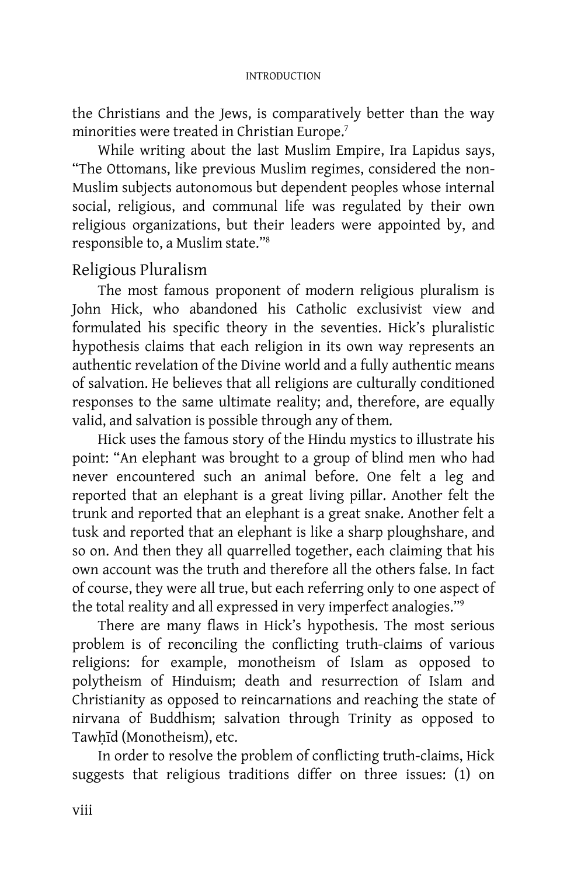the Christians and the Jews, is comparatively better than the way minorities were treated in Christian Europe.<sup>7</sup>

 While writing about the last Muslim Empire, Ira Lapidus says, "The Ottomans, like previous Muslim regimes, considered the non-Muslim subjects autonomous but dependent peoples whose internal social, religious, and communal life was regulated by their own religious organizations, but their leaders were appointed by, and responsible to, a Muslim state."<sup>8</sup>

## Religious Pluralism

The most famous proponent of modern religious pluralism is John Hick, who abandoned his Catholic exclusivist view and formulated his specific theory in the seventies. Hick's pluralistic hypothesis claims that each religion in its own way represents an authentic revelation of the Divine world and a fully authentic means of salvation. He believes that all religions are culturally conditioned responses to the same ultimate reality; and, therefore, are equally valid, and salvation is possible through any of them.

 Hick uses the famous story of the Hindu mystics to illustrate his point: "An elephant was brought to a group of blind men who had never encountered such an animal before. One felt a leg and reported that an elephant is a great living pillar. Another felt the trunk and reported that an elephant is a great snake. Another felt a tusk and reported that an elephant is like a sharp ploughshare, and so on. And then they all quarrelled together, each claiming that his own account was the truth and therefore all the others false. In fact of course, they were all true, but each referring only to one aspect of the total reality and all expressed in very imperfect analogies."<sup>9</sup>

 There are many flaws in Hick's hypothesis. The most serious problem is of reconciling the conflicting truth-claims of various religions: for example, monotheism of Islam as opposed to polytheism of Hinduism; death and resurrection of Islam and Christianity as opposed to reincarnations and reaching the state of nirvana of Buddhism; salvation through Trinity as opposed to Tawhid (Monotheism), etc.

 In order to resolve the problem of conflicting truth-claims, Hick suggests that religious traditions differ on three issues: (1) on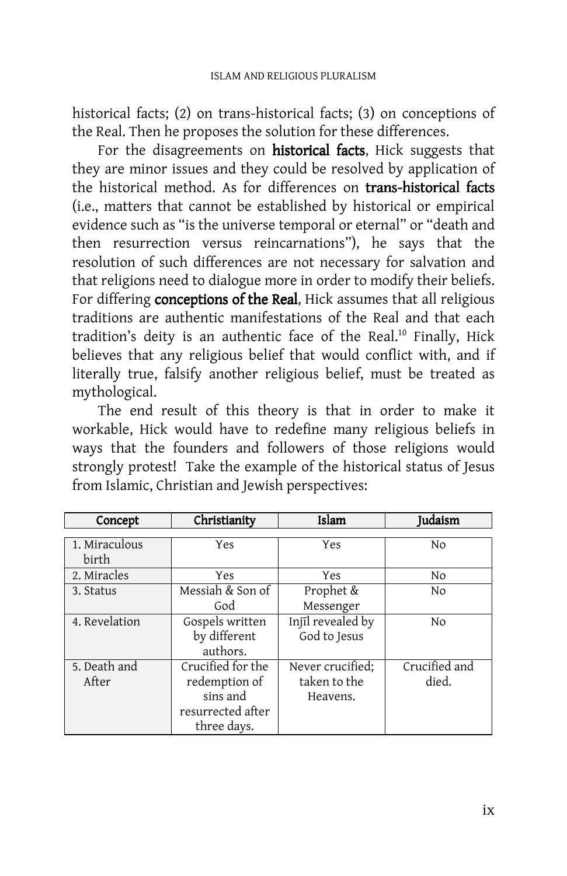historical facts; (2) on trans-historical facts; (3) on conceptions of the Real. Then he proposes the solution for these differences.

For the disagreements on **historical facts**, Hick suggests that they are minor issues and they could be resolved by application of the historical method. As for differences on **trans-historical facts** (i.e., matters that cannot be established by historical or empirical evidence such as "is the universe temporal or eternal" or "death and then resurrection versus reincarnations"), he says that the resolution of such differences are not necessary for salvation and that religions need to dialogue more in order to modify their beliefs. For differing conceptions of the Real, Hick assumes that all religious traditions are authentic manifestations of the Real and that each tradition's deity is an authentic face of the Real.<sup>10</sup> Finally, Hick believes that any religious belief that would conflict with, and if literally true, falsify another religious belief, must be treated as mythological.

 The end result of this theory is that in order to make it workable, Hick would have to redefine many religious beliefs in ways that the founders and followers of those religions would strongly protest! Take the example of the historical status of Jesus from Islamic, Christian and Jewish perspectives:

| Concept                | Christianity      | Islam             | <b>Judaism</b> |
|------------------------|-------------------|-------------------|----------------|
|                        |                   |                   |                |
| 1. Miraculous<br>birth | Yes               | Yes               | N <sub>o</sub> |
| 2. Miracles            | Yes               | Yes               | No             |
| 3. Status              | Messiah & Son of  | Prophet &         | N <sub>o</sub> |
|                        | God               | Messenger         |                |
| 4. Revelation          | Gospels written   | Injīl revealed by | N <sub>o</sub> |
|                        | by different      | God to Jesus      |                |
|                        | authors.          |                   |                |
| 5. Death and           | Crucified for the | Never crucified;  | Crucified and  |
| After                  | redemption of     | taken to the      | died.          |
|                        | sins and          | Heavens.          |                |
|                        | resurrected after |                   |                |
|                        | three days.       |                   |                |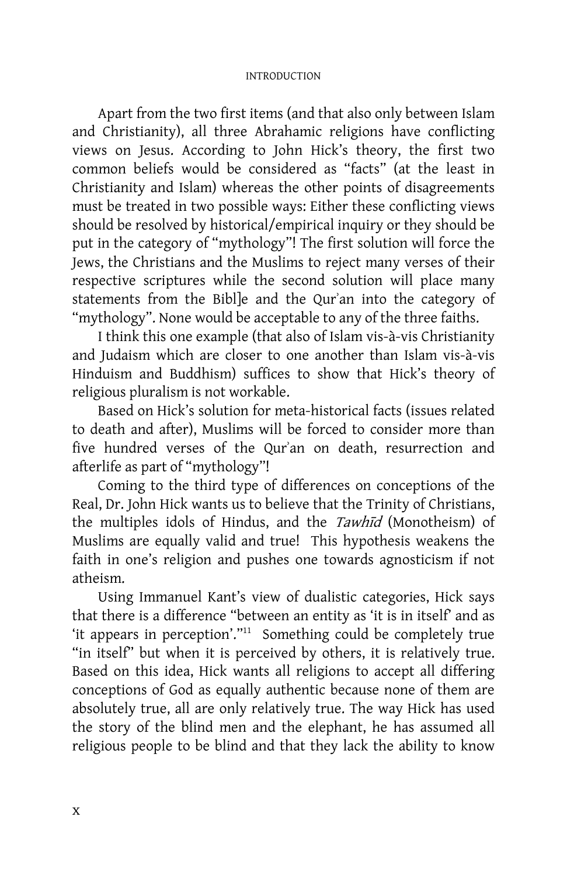Apart from the two first items (and that also only between Islam and Christianity), all three Abrahamic religions have conflicting views on Jesus. According to John Hick's theory, the first two common beliefs would be considered as "facts" (at the least in Christianity and Islam) whereas the other points of disagreements must be treated in two possible ways: Either these conflicting views should be resolved by historical/empirical inquiry or they should be put in the category of "mythology"! The first solution will force the Jews, the Christians and the Muslims to reject many verses of their respective scriptures while the second solution will place many statements from the Bibl]e and the Qur`an into the category of "mythology". None would be acceptable to any of the three faiths.

 I think this one example (that also of Islam vis-à-vis Christianity and Judaism which are closer to one another than Islam vis-à-vis Hinduism and Buddhism) suffices to show that Hick's theory of religious pluralism is not workable.

 Based on Hick's solution for meta-historical facts (issues related to death and after), Muslims will be forced to consider more than five hundred verses of the Qur`an on death, resurrection and afterlife as part of "mythology"!

 Coming to the third type of differences on conceptions of the Real, Dr. John Hick wants us to believe that the Trinity of Christians, the multiples idols of Hindus, and the Tawhid (Monotheism) of Muslims are equally valid and true! This hypothesis weakens the faith in one's religion and pushes one towards agnosticism if not atheism.

 Using Immanuel Kant's view of dualistic categories, Hick says that there is a difference "between an entity as 'it is in itself' and as 'it appears in perception'."<sup>11</sup> Something could be completely true "in itself" but when it is perceived by others, it is relatively true. Based on this idea, Hick wants all religions to accept all differing conceptions of God as equally authentic because none of them are absolutely true, all are only relatively true. The way Hick has used the story of the blind men and the elephant, he has assumed all religious people to be blind and that they lack the ability to know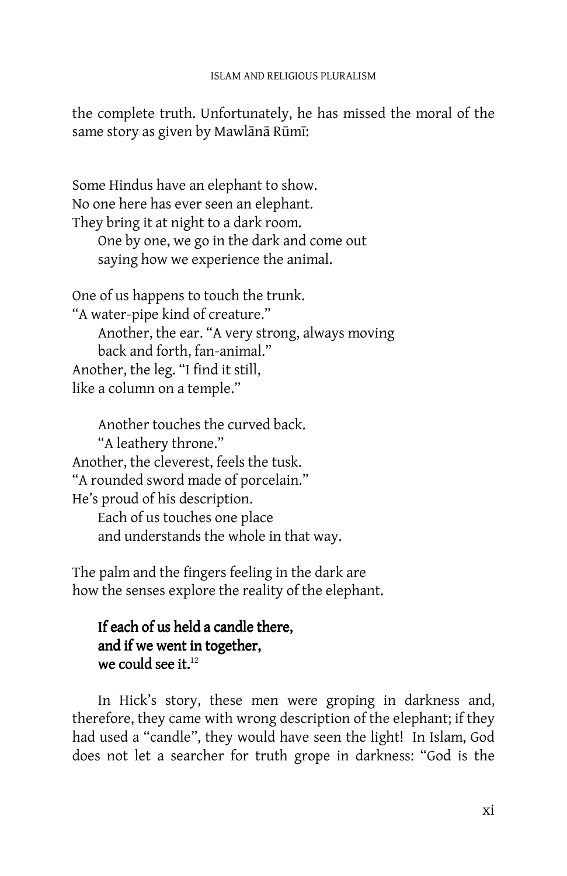the complete truth. Unfortunately, he has missed the moral of the same story as given by Mawlānā Rūmī:

Some Hindus have an elephant to show. No one here has ever seen an elephant. They bring it at night to a dark room. One by one, we go in the dark and come out saying how we experience the animal.

One of us happens to touch the trunk. "A water-pipe kind of creature." Another, the ear. "A very strong, always moving back and forth, fan-animal." Another, the leg. "I find it still, like a column on a temple."

 Another touches the curved back. "A leathery throne." Another, the cleverest, feels the tusk. "A rounded sword made of porcelain." He's proud of his description. Each of us touches one place and understands the whole in that way.

The palm and the fingers feeling in the dark are how the senses explore the reality of the elephant.

# If each of us held a candle there, and if we went in together, we could see it. $12$

 In Hick's story, these men were groping in darkness and, therefore, they came with wrong description of the elephant; if they had used a "candle", they would have seen the light! In Islam, God does not let a searcher for truth grope in darkness: "God is the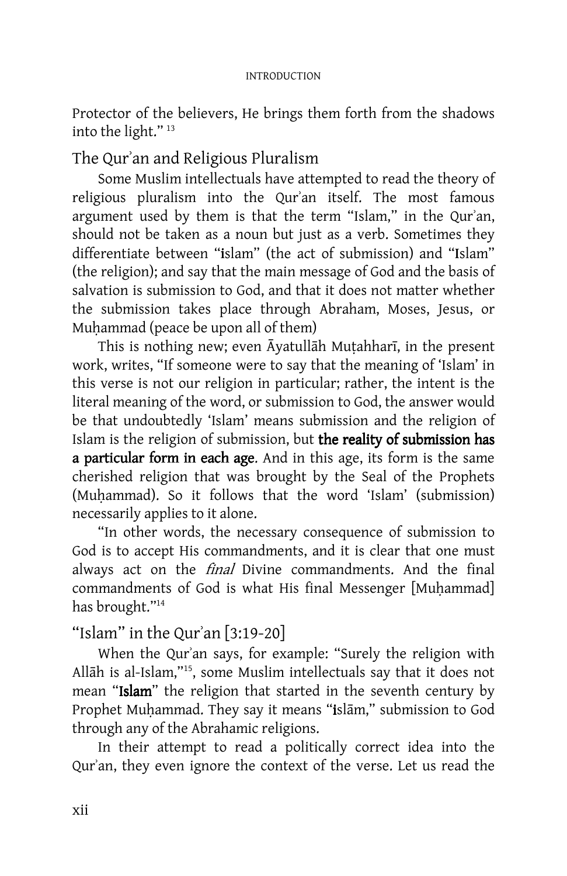Protector of the believers, He brings them forth from the shadows into the light." <sup>13</sup>

# The Qur`an and Religious Pluralism

 Some Muslim intellectuals have attempted to read the theory of religious pluralism into the Qur`an itself. The most famous argument used by them is that the term "Islam," in the Qur`an, should not be taken as a noun but just as a verb. Sometimes they differentiate between "islam" (the act of submission) and "Islam" (the religion); and say that the main message of God and the basis of salvation is submission to God, and that it does not matter whether the submission takes place through Abraham, Moses, Jesus, or Muhammad (peace be upon all of them)

This is nothing new; even Ayatullah Muțahharī, in the present work, writes, "If someone were to say that the meaning of 'Islam' in this verse is not our religion in particular; rather, the intent is the literal meaning of the word, or submission to God, the answer would be that undoubtedly 'Islam' means submission and the religion of Islam is the religion of submission, but the reality of submission has a particular form in each age. And in this age, its form is the same cherished religion that was brought by the Seal of the Prophets (Muhammad). So it follows that the word 'Islam' (submission) necessarily applies to it alone.

 "In other words, the necessary consequence of submission to God is to accept His commandments, and it is clear that one must always act on the *final* Divine commandments. And the final commandments of God is what His final Messenger [Muhammad] has brought."<sup>14</sup>

# "Islam" in the Qur`an [3:19-20]

 When the Qur`an says, for example: "Surely the religion with Allāh is al-Islam,"<sup>15</sup>, some Muslim intellectuals say that it does not mean "Islam" the religion that started in the seventh century by Prophet Muḥammad. They say it means "islām," submission to God through any of the Abrahamic religions.

 In their attempt to read a politically correct idea into the Qur'an, they even ignore the context of the verse. Let us read the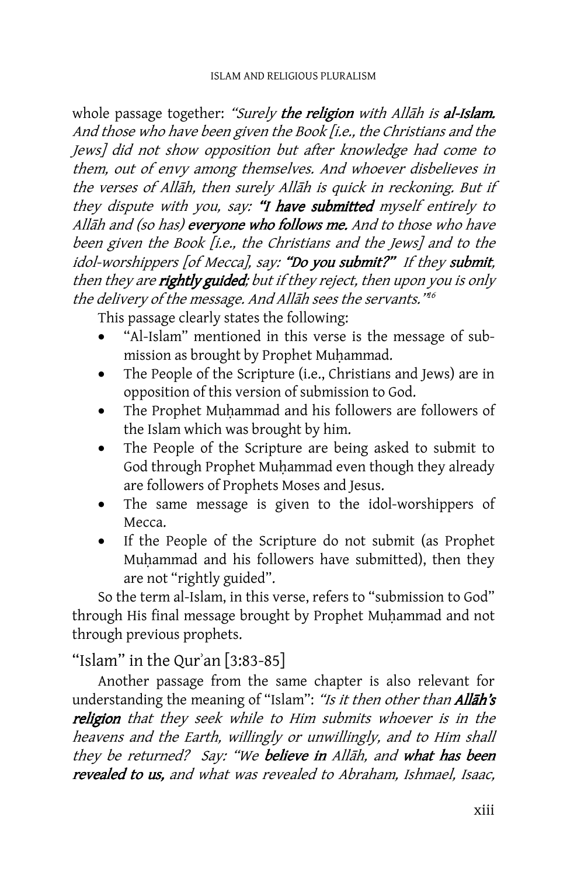whole passage together: "Surely the religion with Allah is al-Islam. And those who have been given the Book [i.e., the Christians and the Jews] did not show opposition but after knowledge had come to them, out of envy among themselves. And whoever disbelieves in the verses of Allah, then surely Allah is quick in reckoning. But if they dispute with you, say: "I have submitted myself entirely to Allah and (so has) everyone who follows me. And to those who have been given the Book [i.e., the Christians and the Jews] and to the idol-worshippers [of Mecca], say: "Do you submit?" If they submit, then they are rightly guided; but if they reject, then upon you is only the delivery of the message. And Allāh sees the servants."<sup>16</sup>

This passage clearly states the following:

- "Al-Islam" mentioned in this verse is the message of submission as brought by Prophet Muhammad.
- The People of the Scripture (i.e., Christians and Jews) are in opposition of this version of submission to God.
- The Prophet Muhammad and his followers are followers of the Islam which was brought by him.
- The People of the Scripture are being asked to submit to God through Prophet Muḥammad even though they already are followers of Prophets Moses and Jesus.
- The same message is given to the idol-worshippers of Mecca.
- If the People of the Scripture do not submit (as Prophet Muhammad and his followers have submitted), then they are not "rightly guided".

So the term al-Islam, in this verse, refers to "submission to God" through His final message brought by Prophet Muhammad and not through previous prophets.

"Islam" in the Qur'an  $[3:83-85]$ 

Another passage from the same chapter is also relevant for understanding the meaning of "Islam": "Is it then other than **Allah's** religion that they seek while to Him submits whoever is in the heavens and the Earth, willingly or unwillingly, and to Him shall they be returned? Say: "We believe in Allah, and what has been revealed to us, and what was revealed to Abraham, Ishmael, Isaac,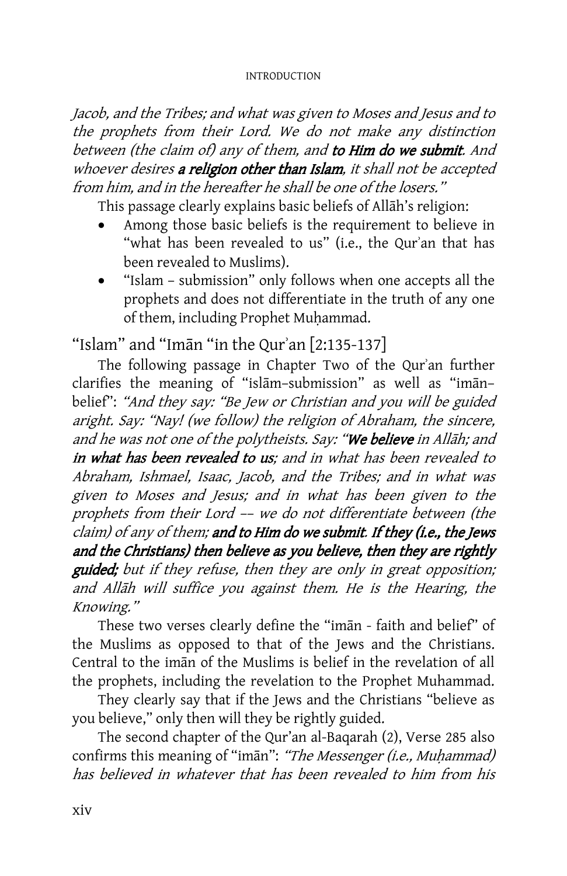Jacob, and the Tribes; and what was given to Moses and Jesus and to the prophets from their Lord. We do not make any distinction between (the claim of) any of them, and to Him do we submit. And whoever desires a religion other than Islam, it shall not be accepted from him, and in the hereafter he shall be one of the losers."

This passage clearly explains basic beliefs of Allāh's religion:

- Among those basic beliefs is the requirement to believe in "what has been revealed to us" (i.e., the Qur'an that has been revealed to Muslims).
- "Islam submission" only follows when one accepts all the prophets and does not differentiate in the truth of any one of them, including Prophet Muhammad.

"Islam" and "Im $\bar{a}$ n "in the Qur'an [2:135-137]

 The following passage in Chapter Two of the Qur`an further clarifies the meaning of "islām-submission" as well as "imānbelief": "And they say: "Be Jew or Christian and you will be guided aright. Say: "Nay! (we follow) the religion of Abraham, the sincere, and he was not one of the polytheists. Say: "We believe in Allah; and in what has been revealed to us; and in what has been revealed to Abraham, Ishmael, Isaac, Jacob, and the Tribes; and in what was given to Moses and Jesus; and in what has been given to the prophets from their Lord –– we do not differentiate between (the claim) of any of them; and to Him do we submit. If they (i.e., the Jews and the Christians) then believe as you believe, then they are rightly guided; but if they refuse, then they are only in great opposition; and Allah will suffice you against them. He is the Hearing, the Knowing."

These two verses clearly define the "iman - faith and belief" of the Muslims as opposed to that of the Jews and the Christians. Central to the iman of the Muslims is belief in the revelation of all the prophets, including the revelation to the Prophet Muhammad.

 They clearly say that if the Jews and the Christians "believe as you believe," only then will they be rightly guided.

 The second chapter of the Qur'an al-Baqarah (2), Verse 285 also confirms this meaning of "iman": "The Messenger (i.e., Muhammad) has believed in whatever that has been revealed to him from his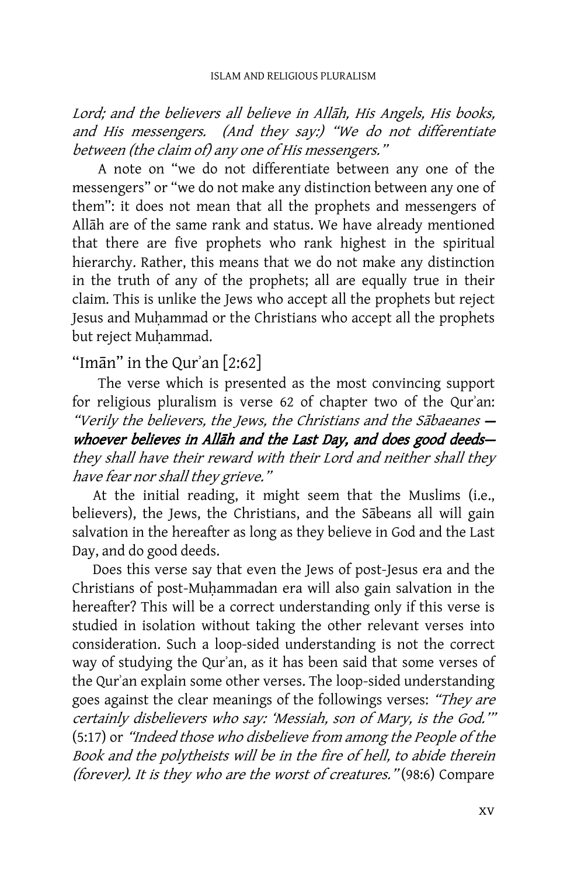Lord; and the believers all believe in Allāh, His Angels, His books, and His messengers. (And they say:) "We do not differentiate between (the claim of) any one of His messengers."

 A note on "we do not differentiate between any one of the messengers" or "we do not make any distinction between any one of them": it does not mean that all the prophets and messengers of Allāh are of the same rank and status. We have already mentioned that there are five prophets who rank highest in the spiritual hierarchy. Rather, this means that we do not make any distinction in the truth of any of the prophets; all are equally true in their claim. This is unlike the Jews who accept all the prophets but reject Jesus and Muhammad or the Christians who accept all the prophets but reject Muhammad.

## "Im $\bar{a}$ n" in the Qur'an [2:62]

 The verse which is presented as the most convincing support for religious pluralism is verse 62 of chapter two of the Qur'an: "Verily the believers, the Jews, the Christians and the Sabaeanes  $$ whoever believes in Allah and the Last Day, and does good deedsthey shall have their reward with their Lord and neither shall they have fear nor shall they grieve."

At the initial reading, it might seem that the Muslims (i.e., believers), the Jews, the Christians, and the Sābeans all will gain salvation in the hereafter as long as they believe in God and the Last Day, and do good deeds.

Does this verse say that even the Jews of post-Jesus era and the Christians of post-Muhammadan era will also gain salvation in the hereafter? This will be a correct understanding only if this verse is studied in isolation without taking the other relevant verses into consideration. Such a loop-sided understanding is not the correct way of studying the Qur`an, as it has been said that some verses of the Qur`an explain some other verses. The loop-sided understanding goes against the clear meanings of the followings verses: "They are certainly disbelievers who say: 'Messiah, son of Mary, is the God.'" (5:17) or "Indeed those who disbelieve from among the People of the Book and the polytheists will be in the fire of hell, to abide therein (forever). It is they who are the worst of creatures." (98:6) Compare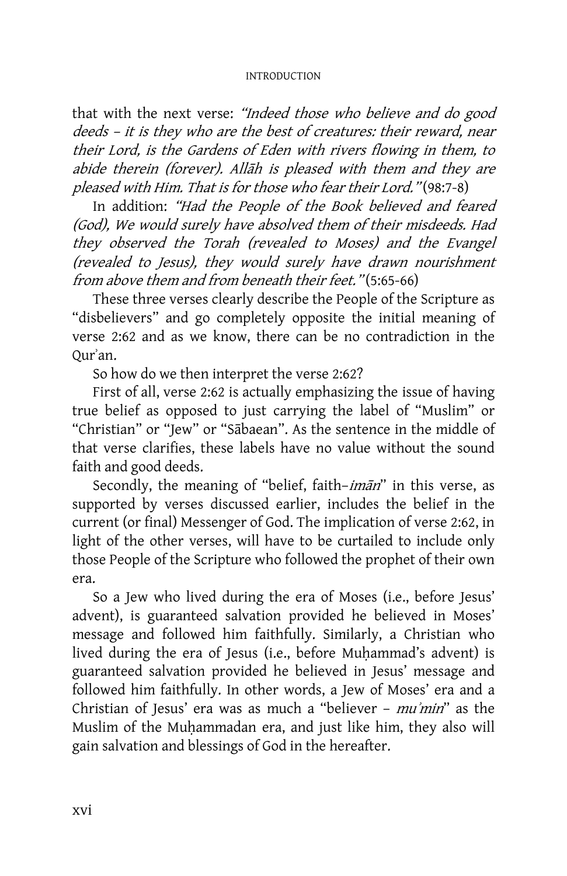that with the next verse: "Indeed those who believe and do good deeds – it is they who are the best of creatures: their reward, near their Lord, is the Gardens of Eden with rivers flowing in them, to abide therein (forever). Allah is pleased with them and they are pleased with Him. That is for those who fear their Lord." (98:7-8)

In addition: "Had the People of the Book believed and feared (God), We would surely have absolved them of their misdeeds. Had they observed the Torah (revealed to Moses) and the Evangel (revealed to Jesus), they would surely have drawn nourishment from above them and from beneath their feet." (5:65-66)

These three verses clearly describe the People of the Scripture as "disbelievers" and go completely opposite the initial meaning of verse 2:62 and as we know, there can be no contradiction in the Qur`an.

So how do we then interpret the verse 2:62?

First of all, verse 2:62 is actually emphasizing the issue of having true belief as opposed to just carrying the label of "Muslim" or "Christian" or "Jew" or "Sabaean". As the sentence in the middle of that verse clarifies, these labels have no value without the sound faith and good deeds.

Secondly, the meaning of "belief, faith-iman" in this verse, as supported by verses discussed earlier, includes the belief in the current (or final) Messenger of God. The implication of verse 2:62, in light of the other verses, will have to be curtailed to include only those People of the Scripture who followed the prophet of their own era.

So a Jew who lived during the era of Moses (i.e., before Jesus' advent), is guaranteed salvation provided he believed in Moses' message and followed him faithfully. Similarly, a Christian who lived during the era of Jesus (i.e., before Muhammad's advent) is guaranteed salvation provided he believed in Jesus' message and followed him faithfully. In other words, a Jew of Moses' era and a Christian of Jesus' era was as much a "believer – mu`min" as the Muslim of the Muhammadan era, and just like him, they also will gain salvation and blessings of God in the hereafter.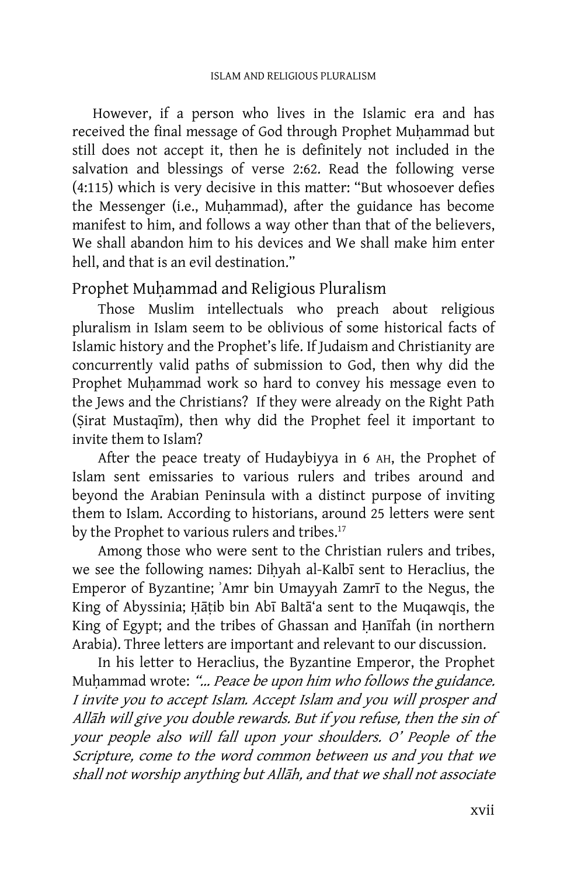However, if a person who lives in the Islamic era and has received the final message of God through Prophet Muhammad but still does not accept it, then he is definitely not included in the salvation and blessings of verse 2:62. Read the following verse (4:115) which is very decisive in this matter: "But whosoever defies the Messenger (i.e., Muhammad), after the guidance has become manifest to him, and follows a way other than that of the believers, We shall abandon him to his devices and We shall make him enter hell, and that is an evil destination."

# Prophet Muhammad and Religious Pluralism

 Those Muslim intellectuals who preach about religious pluralism in Islam seem to be oblivious of some historical facts of Islamic history and the Prophet's life. If Judaism and Christianity are concurrently valid paths of submission to God, then why did the Prophet Muhammad work so hard to convey his message even to the Jews and the Christians? If they were already on the Right Path (Sirat Mustaqim), then why did the Prophet feel it important to invite them to Islam?

 After the peace treaty of Hudaybiyya in 6 AH, the Prophet of Islam sent emissaries to various rulers and tribes around and beyond the Arabian Peninsula with a distinct purpose of inviting them to Islam. According to historians, around 25 letters were sent by the Prophet to various rulers and tribes.<sup>17</sup>

 Among those who were sent to the Christian rulers and tribes, we see the following names: Dihyah al-Kalbī sent to Heraclius, the Emperor of Byzantine; 'Amr bin Umayyah Zamrī to the Negus, the King of Abyssinia; Hātib bin Abī Baltā'a sent to the Muqawqis, the King of Egypt; and the tribes of Ghassan and Hanifah (in northern Arabia). Three letters are important and relevant to our discussion.

 In his letter to Heraclius, the Byzantine Emperor, the Prophet Muhammad wrote: "... Peace be upon him who follows the guidance. I invite you to accept Islam. Accept Islam and you will prosper and Allah will give you double rewards. But if you refuse, then the sin of your people also will fall upon your shoulders. O' People of the Scripture, come to the word common between us and you that we shall not worship anything but Allah, and that we shall not associate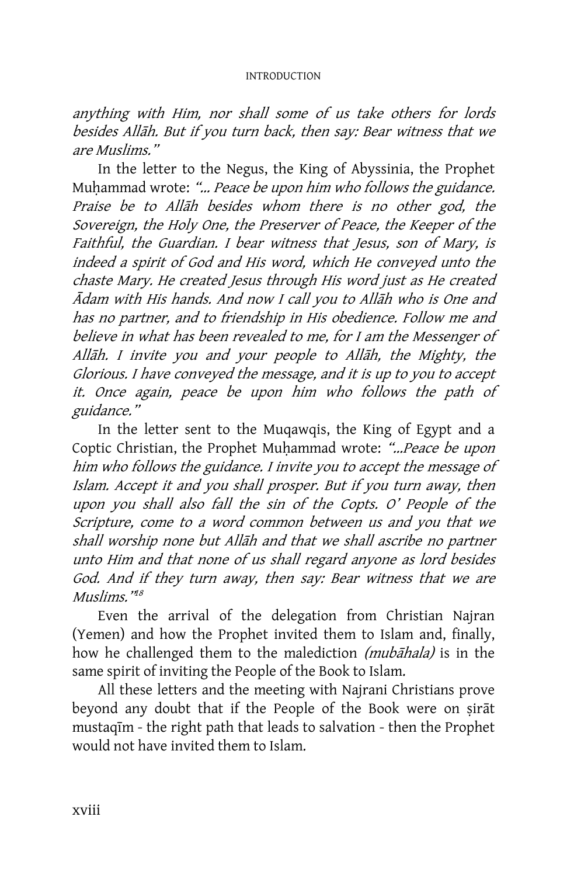anything with Him, nor shall some of us take others for lords besides Allah. But if you turn back, then say: Bear witness that we are Muslims."

 In the letter to the Negus, the King of Abyssinia, the Prophet Muhammad wrote: "... Peace be upon him who follows the guidance. Praise be to Allah besides whom there is no other god, the Sovereign, the Holy One, the Preserver of Peace, the Keeper of the Faithful, the Guardian. I bear witness that Jesus, son of Mary, is indeed a spirit of God and His word, which He conveyed unto the chaste Mary. He created Jesus through His word just as He created Adam with His hands. And now I call you to Allah who is One and has no partner, and to friendship in His obedience. Follow me and believe in what has been revealed to me, for I am the Messenger of Allāh. I invite you and your people to Allāh, the Mighty, the Glorious. I have conveyed the message, and it is up to you to accept it. Once again, peace be upon him who follows the path of guidance."

 In the letter sent to the Muqawqis, the King of Egypt and a Coptic Christian, the Prophet Muhammad wrote: "... Peace be upon him who follows the guidance. I invite you to accept the message of Islam. Accept it and you shall prosper. But if you turn away, then upon you shall also fall the sin of the Copts. O' People of the Scripture, come to a word common between us and you that we shall worship none but Allah and that we shall ascribe no partner unto Him and that none of us shall regard anyone as lord besides God. And if they turn away, then say: Bear witness that we are Muslims." 18

 Even the arrival of the delegation from Christian Najran (Yemen) and how the Prophet invited them to Islam and, finally, how he challenged them to the malediction (mubahala) is in the same spirit of inviting the People of the Book to Islam.

 All these letters and the meeting with Najrani Christians prove beyond any doubt that if the People of the Book were on sirat mustaqim - the right path that leads to salvation - then the Prophet would not have invited them to Islam.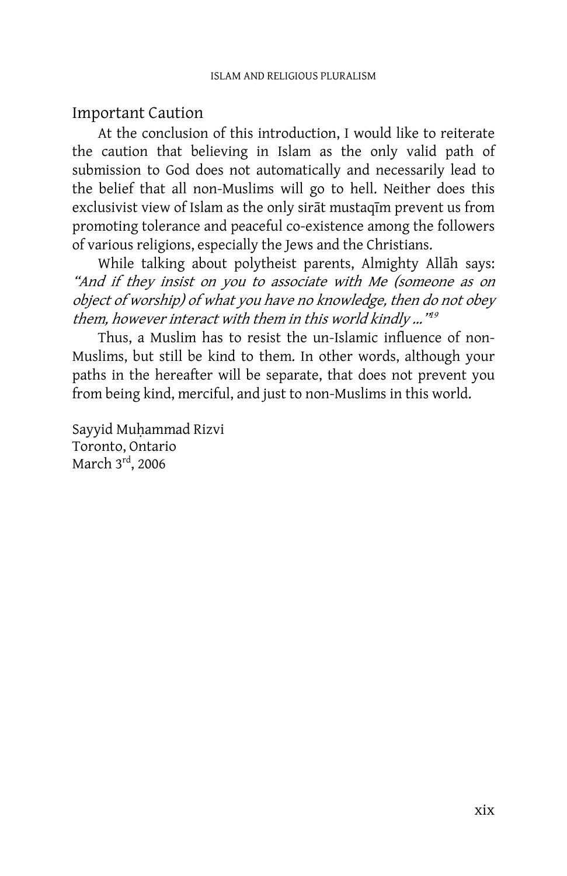## Important Caution

 At the conclusion of this introduction, I would like to reiterate the caution that believing in Islam as the only valid path of submission to God does not automatically and necessarily lead to the belief that all non-Muslims will go to hell. Neither does this exclusivist view of Islam as the only sirāt mustaqīm prevent us from promoting tolerance and peaceful co-existence among the followers of various religions, especially the Jews and the Christians.

While talking about polytheist parents, Almighty Allāh says: "And if they insist on you to associate with Me (someone as on object of worship) of what you have no knowledge, then do not obey them, however interact with them in this world kindly …" 19

 Thus, a Muslim has to resist the un-Islamic influence of non-Muslims, but still be kind to them. In other words, although your paths in the hereafter will be separate, that does not prevent you from being kind, merciful, and just to non-Muslims in this world.

Sayyid Muhammad Rizvi Toronto, Ontario March 3rd, 2006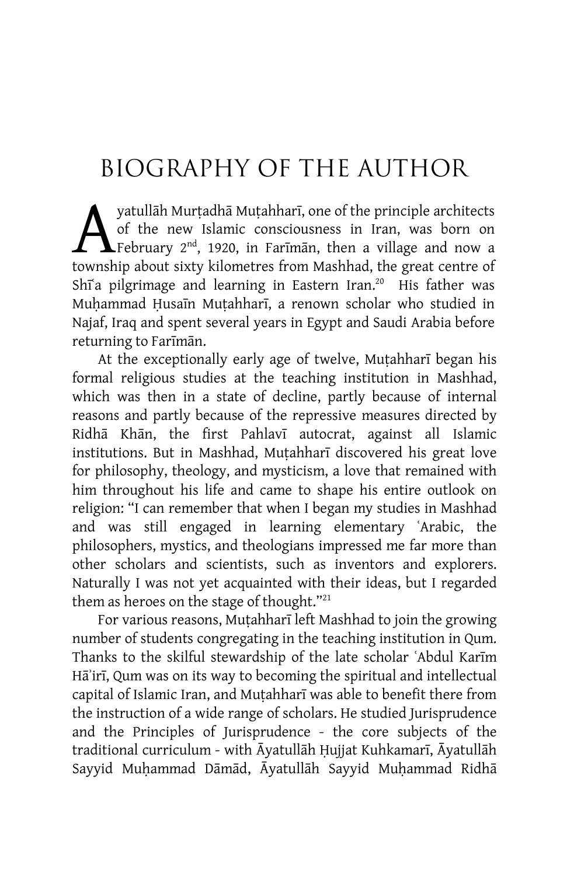# BIOGRAPHY OF THE AUTHOR

yatullāh Murṭadhā Muṭahharī, one of the principle architects of the new Islamic consciousness in Iran, was born on **L**February 2<sup>nd</sup>, 1920, in Fariman, then a village and now a yatullāh Murṭadhā Muṭahharī, one of the principle architects<br>of the new Islamic consciousness in Iran, was born on<br>February 2<sup>nd</sup>, 1920, in Farīmān, then a village and now a<br>township about sixty kilometres from Mashhad, th Shi<sup>a</sup> pilgrimage and learning in Eastern Iran.<sup>20</sup> His father was Muhammad Husain Mutahhari, a renown scholar who studied in Najaf, Iraq and spent several years in Egypt and Saudi Arabia before returning to Fariman.

At the exceptionally early age of twelve, Mutahharī began his formal religious studies at the teaching institution in Mashhad, which was then in a state of decline, partly because of internal reasons and partly because of the repressive measures directed by Ridhā Khān, the first Pahlavī autocrat, against all Islamic institutions. But in Mashhad, Mutahharī discovered his great love for philosophy, theology, and mysticism, a love that remained with him throughout his life and came to shape his entire outlook on religion: "I can remember that when I began my studies in Mashhad and was still engaged in learning elementary ˜Arabic, the philosophers, mystics, and theologians impressed me far more than other scholars and scientists, such as inventors and explorers. Naturally I was not yet acquainted with their ideas, but I regarded them as heroes on the stage of thought."<sup>21</sup>

For various reasons, Mutahharī left Mashhad to join the growing number of students congregating in the teaching institution in Qum. Thanks to the skilful stewardship of the late scholar `Abdul Karim Ha'iri, Qum was on its way to becoming the spiritual and intellectual capital of Islamic Iran, and Mutahharī was able to benefit there from the instruction of a wide range of scholars. He studied Jurisprudence and the Principles of Jurisprudence - the core subjects of the traditional curriculum - with Āyatullāh Hujjat Kuhkamarī, Āyatullāh Sayyid Muhammad Dāmād, Āyatullāh Sayyid Muhammad Ridhā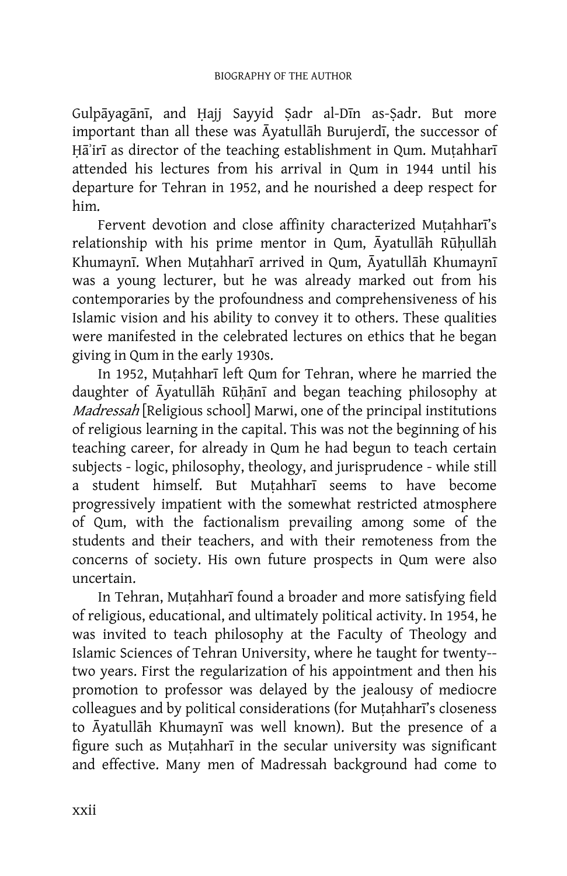Gulpāyagānī, and Hajj Sayyid Şadr al-Dīn as-Şadr. But more important than all these was Ayatullah Burujerdī, the successor of Hā'irī as director of the teaching establishment in Qum. Mutahharī attended his lectures from his arrival in Qum in 1944 until his departure for Tehran in 1952, and he nourished a deep respect for him.

Fervent devotion and close affinity characterized Muțahhari's relationship with his prime mentor in Qum, Āyatullāh Rūḥullāh Khumaynī. When Mutahharī arrived in Qum, Āyatullāh Khumaynī was a young lecturer, but he was already marked out from his contemporaries by the profoundness and comprehensiveness of his Islamic vision and his ability to convey it to others. These qualities were manifested in the celebrated lectures on ethics that he began giving in Qum in the early 1930s.

In 1952, Mutahharī left Qum for Tehran, where he married the daughter of Āyatullāh Rūhānī and began teaching philosophy at Madressah [Religious school] Marwi, one of the principal institutions of religious learning in the capital. This was not the beginning of his teaching career, for already in Qum he had begun to teach certain subjects - logic, philosophy, theology, and jurisprudence - while still a student himself. But Mutahhari seems to have become progressively impatient with the somewhat restricted atmosphere of Qum, with the factionalism prevailing among some of the students and their teachers, and with their remoteness from the concerns of society. His own future prospects in Qum were also uncertain.

In Tehran, Muṭahharī found a broader and more satisfying field of religious, educational, and ultimately political activity. In 1954, he was invited to teach philosophy at the Faculty of Theology and Islamic Sciences of Tehran University, where he taught for twenty- two years. First the regularization of his appointment and then his promotion to professor was delayed by the jealousy of mediocre colleagues and by political considerations (for Muțahharī's closeness to Āyatullāh Khumaynī was well known). But the presence of a figure such as Muṭahharī in the secular university was significant and effective. Many men of Madressah background had come to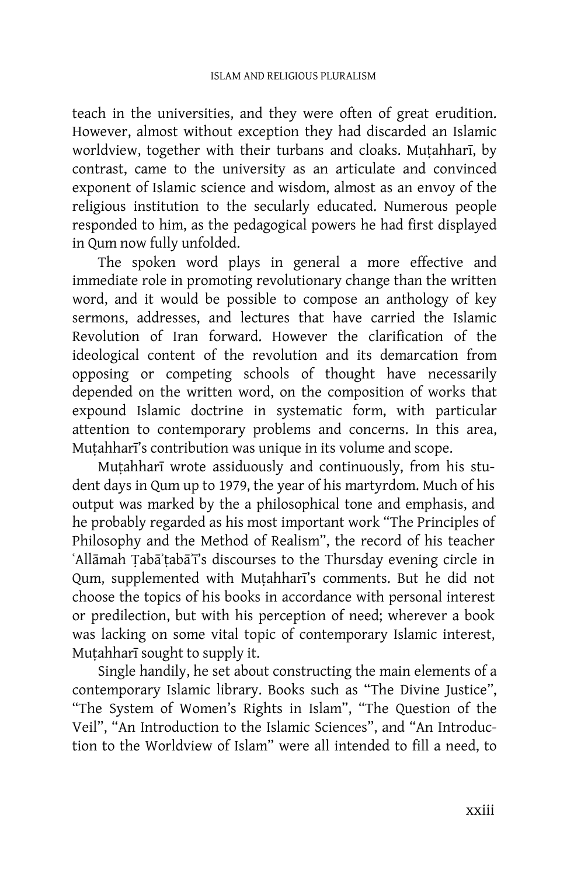teach in the universities, and they were often of great erudition. However, almost without exception they had discarded an Islamic worldview, together with their turbans and cloaks. Mutahharī, by contrast, came to the university as an articulate and convinced exponent of Islamic science and wisdom, almost as an envoy of the religious institution to the secularly educated. Numerous people responded to him, as the pedagogical powers he had first displayed in Qum now fully unfolded.

 The spoken word plays in general a more effective and immediate role in promoting revolutionary change than the written word, and it would be possible to compose an anthology of key sermons, addresses, and lectures that have carried the Islamic Revolution of Iran forward. However the clarification of the ideological content of the revolution and its demarcation from opposing or competing schools of thought have necessarily depended on the written word, on the composition of works that expound Islamic doctrine in systematic form, with particular attention to contemporary problems and concerns. In this area, Mutahhari's contribution was unique in its volume and scope.

Muțahharī wrote assiduously and continuously, from his student days in Qum up to 1979, the year of his martyrdom. Much of his output was marked by the a philosophical tone and emphasis, and he probably regarded as his most important work "The Principles of Philosophy and the Method of Realism", the record of his teacher 'Allāmah Tabā'tabā'ī's discourses to the Thursday evening circle in Qum, supplemented with Muțahhari's comments. But he did not choose the topics of his books in accordance with personal interest or predilection, but with his perception of need; wherever a book was lacking on some vital topic of contemporary Islamic interest, Mutahharī sought to supply it.

 Single handily, he set about constructing the main elements of a contemporary Islamic library. Books such as "The Divine Justice", "The System of Women's Rights in Islam", "The Question of the Veil", "An Introduction to the Islamic Sciences", and "An Introduction to the Worldview of Islam" were all intended to fill a need, to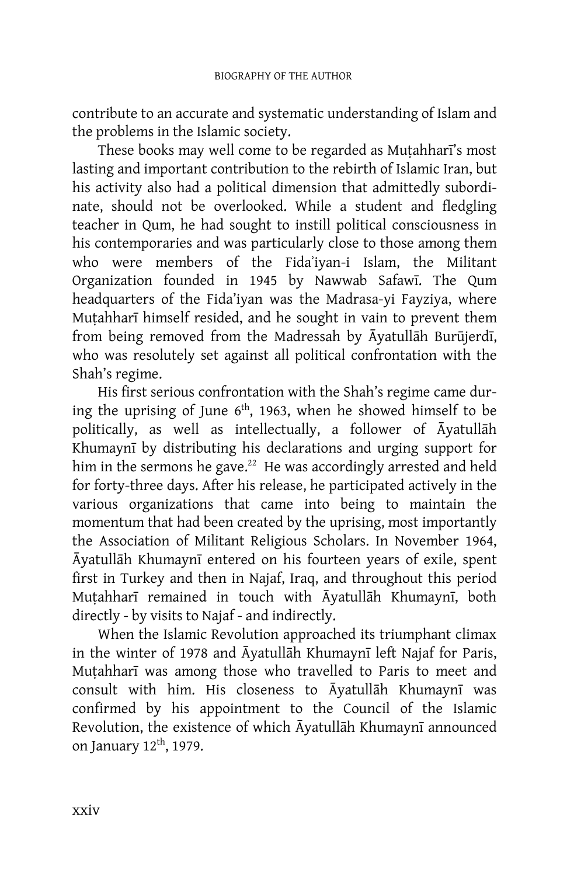contribute to an accurate and systematic understanding of Islam and the problems in the Islamic society.

These books may well come to be regarded as Mutahhari's most lasting and important contribution to the rebirth of Islamic Iran, but his activity also had a political dimension that admittedly subordinate, should not be overlooked. While a student and fledgling teacher in Qum, he had sought to instill political consciousness in his contemporaries and was particularly close to those among them who were members of the Fida`iyan-i Islam, the Militant Organization founded in 1945 by Nawwab Safawi. The Qum headquarters of the Fida'iyan was the Madrasa-yi Fayziya, where Muțahharī himself resided, and he sought in vain to prevent them from being removed from the Madressah by Āyatullāh Burūjerdī, who was resolutely set against all political confrontation with the Shah's regime.

 His first serious confrontation with the Shah's regime came during the uprising of June 6<sup>th</sup>, 1963, when he showed himself to be politically, as well as intellectually, a follower of Āyatullāh Khumaynī by distributing his declarations and urging support for him in the sermons he gave.<sup>22</sup> He was accordingly arrested and held for forty-three days. After his release, he participated actively in the various organizations that came into being to maintain the momentum that had been created by the uprising, most importantly the Association of Militant Religious Scholars. In November 1964, Āyatullāh Khumaynī entered on his fourteen years of exile, spent first in Turkey and then in Najaf, Iraq, and throughout this period Muțahharī remained in touch with Āyatullāh Khumaynī, both directly - by visits to Najaf - and indirectly.

 When the Islamic Revolution approached its triumphant climax in the winter of 1978 and Āyatullāh Khumaynī left Najaf for Paris, Muțahharī was among those who travelled to Paris to meet and consult with him. His closeness to Āyatullāh Khumaynī was confirmed by his appointment to the Council of the Islamic Revolution, the existence of which Ayatullah Khumaynī announced on January 12th, 1979.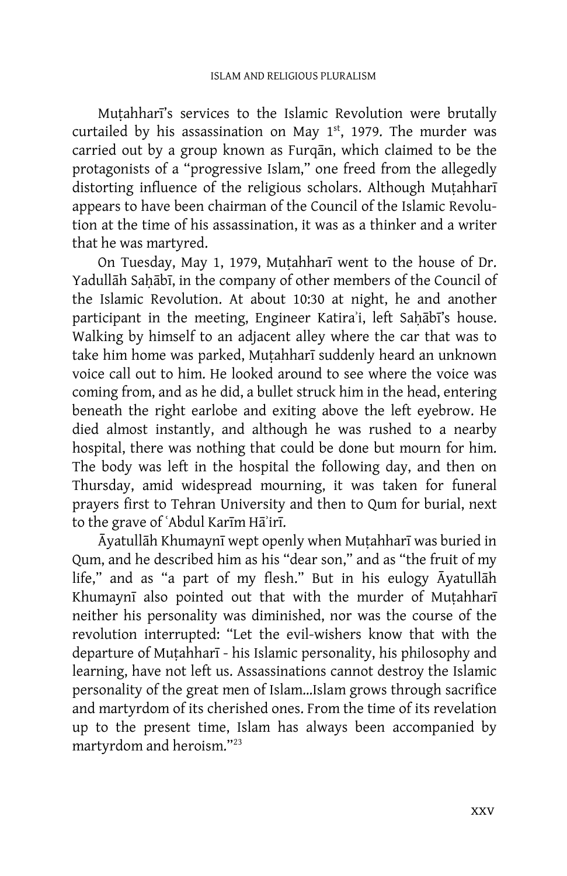Muțahhari's services to the Islamic Revolution were brutally curtailed by his assassination on May  $1<sup>st</sup>$ , 1979. The murder was carried out by a group known as Furqan, which claimed to be the protagonists of a "progressive Islam," one freed from the allegedly distorting influence of the religious scholars. Although Mutahhari appears to have been chairman of the Council of the Islamic Revolution at the time of his assassination, it was as a thinker and a writer that he was martyred.

On Tuesday, May 1, 1979, Mutahharī went to the house of Dr. Yadullāh Sahābī, in the company of other members of the Council of the Islamic Revolution. At about 10:30 at night, he and another participant in the meeting, Engineer Katira'i, left Saḥābī's house. Walking by himself to an adjacent alley where the car that was to take him home was parked, Muṭahharī suddenly heard an unknown voice call out to him. He looked around to see where the voice was coming from, and as he did, a bullet struck him in the head, entering beneath the right earlobe and exiting above the left eyebrow. He died almost instantly, and although he was rushed to a nearby hospital, there was nothing that could be done but mourn for him. The body was left in the hospital the following day, and then on Thursday, amid widespread mourning, it was taken for funeral prayers first to Tehran University and then to Qum for burial, next to the grave of 'Abdul Karīm Hā'irī.

Āyatullāh Khumaynī wept openly when Mutahharī was buried in Qum, and he described him as his "dear son," and as "the fruit of my life," and as "a part of my flesh." But in his eulogy Āyatullāh Khumaynī also pointed out that with the murder of Muțahharī neither his personality was diminished, nor was the course of the revolution interrupted: "Let the evil-wishers know that with the departure of Muṭahharī - his Islamic personality, his philosophy and learning, have not left us. Assassinations cannot destroy the Islamic personality of the great men of Islam…Islam grows through sacrifice and martyrdom of its cherished ones. From the time of its revelation up to the present time, Islam has always been accompanied by martyrdom and heroism."23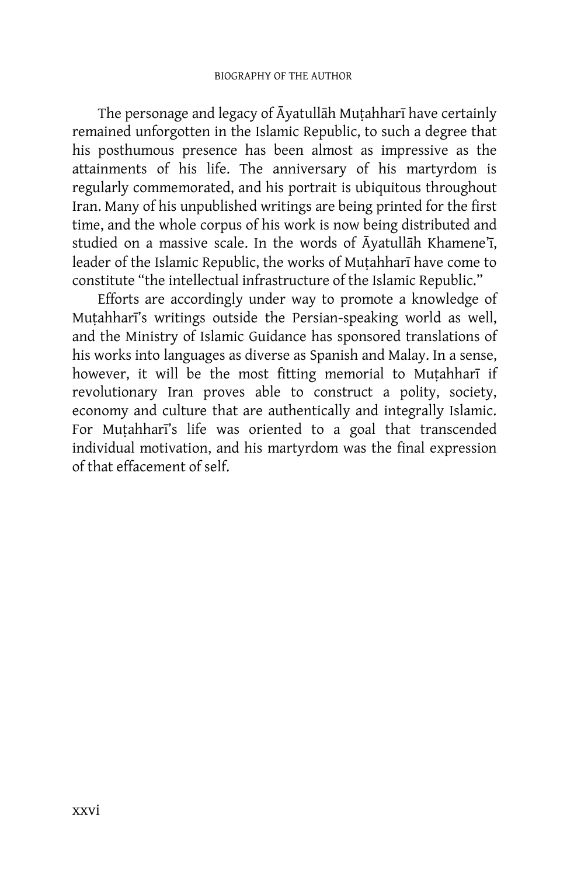The personage and legacy of Ayatullah Muțahharī have certainly remained unforgotten in the Islamic Republic, to such a degree that his posthumous presence has been almost as impressive as the attainments of his life. The anniversary of his martyrdom is regularly commemorated, and his portrait is ubiquitous throughout Iran. Many of his unpublished writings are being printed for the first time, and the whole corpus of his work is now being distributed and studied on a massive scale. In the words of Ayatullah Khamene'i, leader of the Islamic Republic, the works of Mutahharī have come to constitute "the intellectual infrastructure of the Islamic Republic."

 Efforts are accordingly under way to promote a knowledge of Muțahharī's writings outside the Persian-speaking world as well, and the Ministry of Islamic Guidance has sponsored translations of his works into languages as diverse as Spanish and Malay. In a sense, however, it will be the most fitting memorial to Muțahharī if revolutionary Iran proves able to construct a polity, society, economy and culture that are authentically and integrally Islamic. For Muțahhari's life was oriented to a goal that transcended individual motivation, and his martyrdom was the final expression of that effacement of self.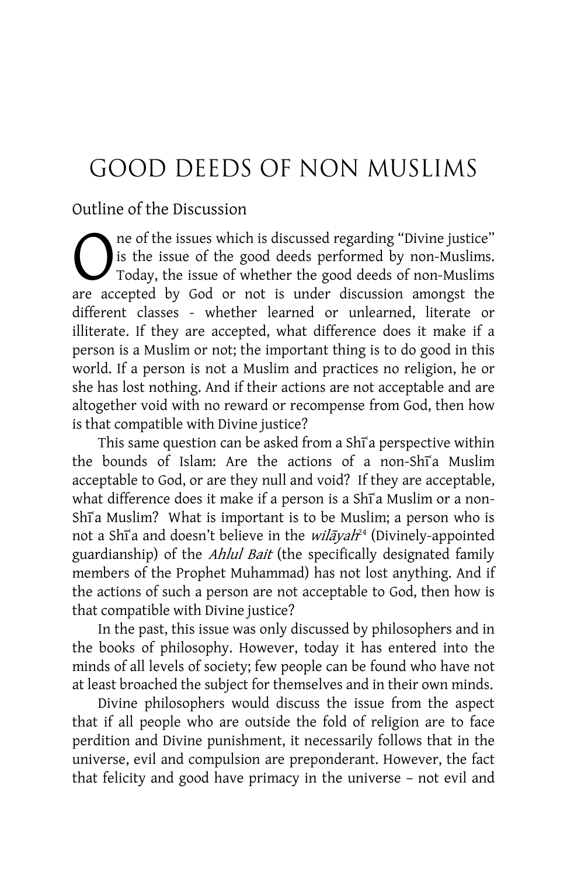# GOOD DEEDS OF NON MUSLIMS

## Outline of the Discussion

ne of the issues which is discussed regarding "Divine justice" is the issue of the good deeds performed by non-Muslims. Today, the issue of whether the good deeds of non-Muslims The of the issues which is discussed regarding "Divine justice"<br>
Is the issue of the good deeds performed by non-Muslims.<br>
Today, the issue of whether the good deeds of non-Muslims<br>
are accepted by God or not is under disc different classes - whether learned or unlearned, literate or illiterate. If they are accepted, what difference does it make if a person is a Muslim or not; the important thing is to do good in this world. If a person is not a Muslim and practices no religion, he or she has lost nothing. And if their actions are not acceptable and are altogether void with no reward or recompense from God, then how is that compatible with Divine justice?

This same question can be asked from a Shi<sup>®</sup>a perspective within the bounds of Islam: Are the actions of a non-Shi<sup>a</sup> Muslim acceptable to God, or are they null and void? If they are acceptable, what difference does it make if a person is a Shi<sup>®</sup>a Muslim or a non-Shi<sup>a</sup> Muslim? What is important is to be Muslim; a person who is not a Shi<sup>a</sup> and doesn't believe in the *wilāyah*<sup>24</sup> (Divinely-appointed guardianship) of the Ahlul Bait (the specifically designated family members of the Prophet Muhammad) has not lost anything. And if the actions of such a person are not acceptable to God, then how is that compatible with Divine justice?

 In the past, this issue was only discussed by philosophers and in the books of philosophy. However, today it has entered into the minds of all levels of society; few people can be found who have not at least broached the subject for themselves and in their own minds.

 Divine philosophers would discuss the issue from the aspect that if all people who are outside the fold of religion are to face perdition and Divine punishment, it necessarily follows that in the universe, evil and compulsion are preponderant. However, the fact that felicity and good have primacy in the universe – not evil and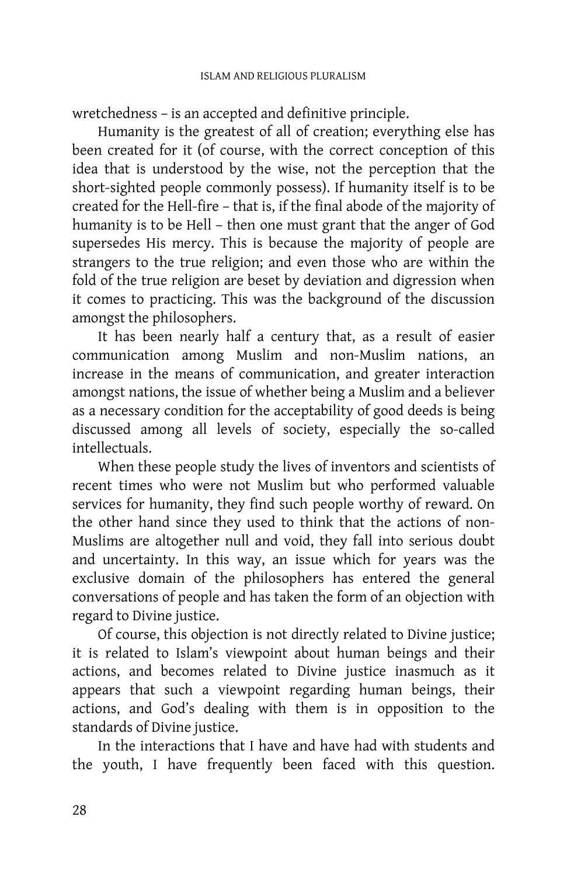wretchedness – is an accepted and definitive principle.

 Humanity is the greatest of all of creation; everything else has been created for it (of course, with the correct conception of this idea that is understood by the wise, not the perception that the short-sighted people commonly possess). If humanity itself is to be created for the Hell-fire – that is, if the final abode of the majority of humanity is to be Hell – then one must grant that the anger of God supersedes His mercy. This is because the majority of people are strangers to the true religion; and even those who are within the fold of the true religion are beset by deviation and digression when it comes to practicing. This was the background of the discussion amongst the philosophers.

 It has been nearly half a century that, as a result of easier communication among Muslim and non-Muslim nations, an increase in the means of communication, and greater interaction amongst nations, the issue of whether being a Muslim and a believer as a necessary condition for the acceptability of good deeds is being discussed among all levels of society, especially the so-called intellectuals.

 When these people study the lives of inventors and scientists of recent times who were not Muslim but who performed valuable services for humanity, they find such people worthy of reward. On the other hand since they used to think that the actions of non-Muslims are altogether null and void, they fall into serious doubt and uncertainty. In this way, an issue which for years was the exclusive domain of the philosophers has entered the general conversations of people and has taken the form of an objection with regard to Divine justice.

 Of course, this objection is not directly related to Divine justice; it is related to Islam's viewpoint about human beings and their actions, and becomes related to Divine justice inasmuch as it appears that such a viewpoint regarding human beings, their actions, and God's dealing with them is in opposition to the standards of Divine justice.

 In the interactions that I have and have had with students and the youth, I have frequently been faced with this question.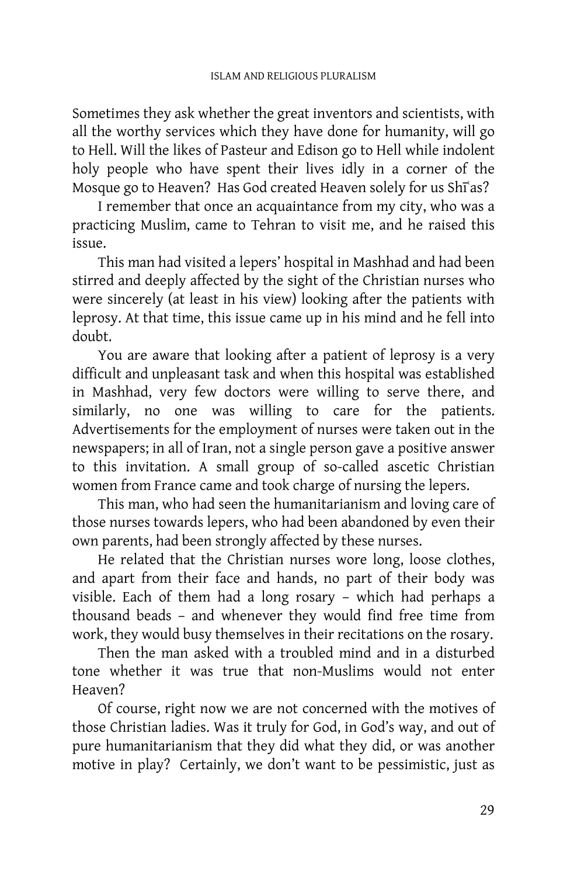Sometimes they ask whether the great inventors and scientists, with all the worthy services which they have done for humanity, will go to Hell. Will the likes of Pasteur and Edison go to Hell while indolent holy people who have spent their lives idly in a corner of the Mosque go to Heaven? Has God created Heaven solely for us Shī'as?

 I remember that once an acquaintance from my city, who was a practicing Muslim, came to Tehran to visit me, and he raised this issue.

 This man had visited a lepers' hospital in Mashhad and had been stirred and deeply affected by the sight of the Christian nurses who were sincerely (at least in his view) looking after the patients with leprosy. At that time, this issue came up in his mind and he fell into doubt.

 You are aware that looking after a patient of leprosy is a very difficult and unpleasant task and when this hospital was established in Mashhad, very few doctors were willing to serve there, and similarly, no one was willing to care for the patients. Advertisements for the employment of nurses were taken out in the newspapers; in all of Iran, not a single person gave a positive answer to this invitation. A small group of so-called ascetic Christian women from France came and took charge of nursing the lepers.

 This man, who had seen the humanitarianism and loving care of those nurses towards lepers, who had been abandoned by even their own parents, had been strongly affected by these nurses.

 He related that the Christian nurses wore long, loose clothes, and apart from their face and hands, no part of their body was visible. Each of them had a long rosary – which had perhaps a thousand beads – and whenever they would find free time from work, they would busy themselves in their recitations on the rosary.

 Then the man asked with a troubled mind and in a disturbed tone whether it was true that non-Muslims would not enter Heaven?

 Of course, right now we are not concerned with the motives of those Christian ladies. Was it truly for God, in God's way, and out of pure humanitarianism that they did what they did, or was another motive in play? Certainly, we don't want to be pessimistic, just as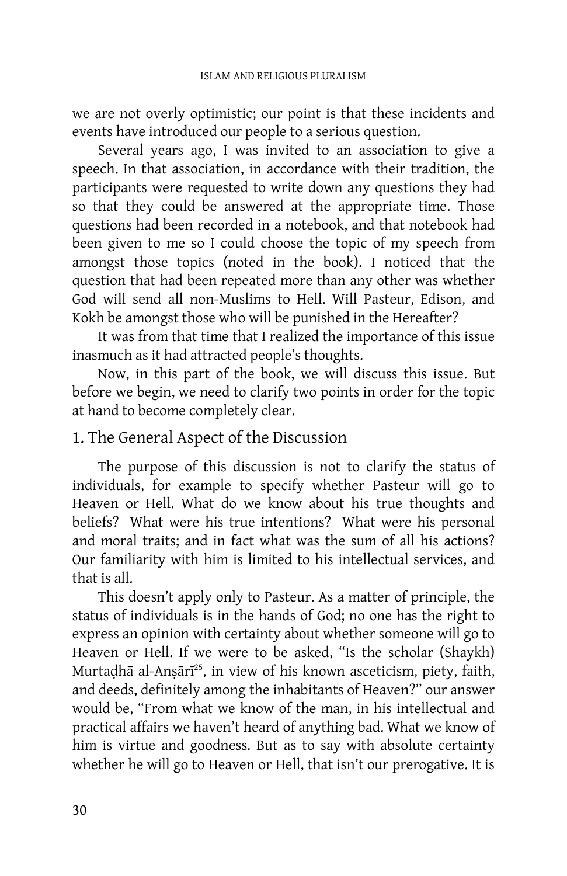we are not overly optimistic; our point is that these incidents and events have introduced our people to a serious question.

 Several years ago, I was invited to an association to give a speech. In that association, in accordance with their tradition, the participants were requested to write down any questions they had so that they could be answered at the appropriate time. Those questions had been recorded in a notebook, and that notebook had been given to me so I could choose the topic of my speech from amongst those topics (noted in the book). I noticed that the question that had been repeated more than any other was whether God will send all non-Muslims to Hell. Will Pasteur, Edison, and Kokh be amongst those who will be punished in the Hereafter?

 It was from that time that I realized the importance of this issue inasmuch as it had attracted people's thoughts.

 Now, in this part of the book, we will discuss this issue. But before we begin, we need to clarify two points in order for the topic at hand to become completely clear.

## 1. The General Aspect of the Discussion

 The purpose of this discussion is not to clarify the status of individuals, for example to specify whether Pasteur will go to Heaven or Hell. What do we know about his true thoughts and beliefs? What were his true intentions? What were his personal and moral traits; and in fact what was the sum of all his actions? Our familiarity with him is limited to his intellectual services, and that is all.

 This doesn't apply only to Pasteur. As a matter of principle, the status of individuals is in the hands of God; no one has the right to express an opinion with certainty about whether someone will go to Heaven or Hell. If we were to be asked, "Is the scholar (Shaykh) Murtadhā al-Ansārī<sup>25</sup>, in view of his known asceticism, piety, faith, and deeds, definitely among the inhabitants of Heaven?" our answer would be, "From what we know of the man, in his intellectual and practical affairs we haven't heard of anything bad. What we know of him is virtue and goodness. But as to say with absolute certainty whether he will go to Heaven or Hell, that isn't our prerogative. It is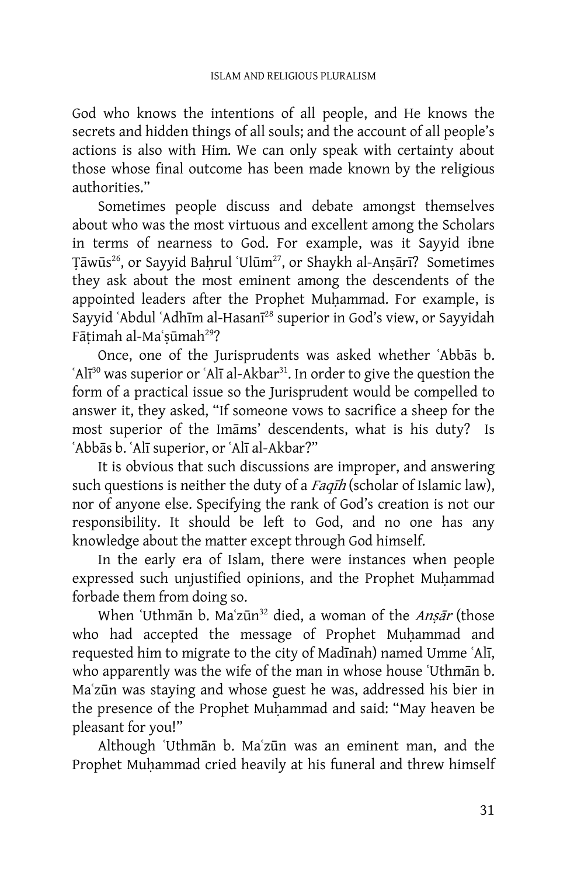God who knows the intentions of all people, and He knows the secrets and hidden things of all souls; and the account of all people's actions is also with Him. We can only speak with certainty about those whose final outcome has been made known by the religious authorities."

 Sometimes people discuss and debate amongst themselves about who was the most virtuous and excellent among the Scholars in terms of nearness to God. For example, was it Sayyid ibne Tāwūs<sup>26</sup>, or Sayyid Baḥrul 'Ulūm<sup>27</sup>, or Shaykh al-Anṣārī? Sometimes they ask about the most eminent among the descendents of the appointed leaders after the Prophet Muhammad. For example, is Sayyid 'Abdul 'Adhīm al-Hasanī<sup>28</sup> superior in God's view, or Sayyidah Fātimah al-Maʿsūmah<sup>29</sup>?

Once, one of the Jurisprudents was asked whether 'Abbas b.  $A_{\text{H}}^{30}$  was superior or  $A_{\text{H}}$  al-Akbar<sup>31</sup>. In order to give the question the form of a practical issue so the Jurisprudent would be compelled to answer it, they asked, "If someone vows to sacrifice a sheep for the most superior of the Imams' descendents, what is his duty? Is 'Abbās b. 'Alī superior, or 'Alī al-Akbar?"

 It is obvious that such discussions are improper, and answering such questions is neither the duty of a Faqih (scholar of Islamic law), nor of anyone else. Specifying the rank of God's creation is not our responsibility. It should be left to God, and no one has any knowledge about the matter except through God himself.

 In the early era of Islam, there were instances when people expressed such unjustified opinions, and the Prophet Muhammad forbade them from doing so.

When 'Uthmān b. Ma'zūn<sup>32</sup> died, a woman of the Ansār (those who had accepted the message of Prophet Muhammad and requested him to migrate to the city of Madinah) named Umme 'Ali, who apparently was the wife of the man in whose house 'Uthman b. Ma'zūn was staying and whose guest he was, addressed his bier in the presence of the Prophet Muhammad and said: "May heaven be pleasant for you!"

Although 'Uthman b. Ma'zun was an eminent man, and the Prophet Muhammad cried heavily at his funeral and threw himself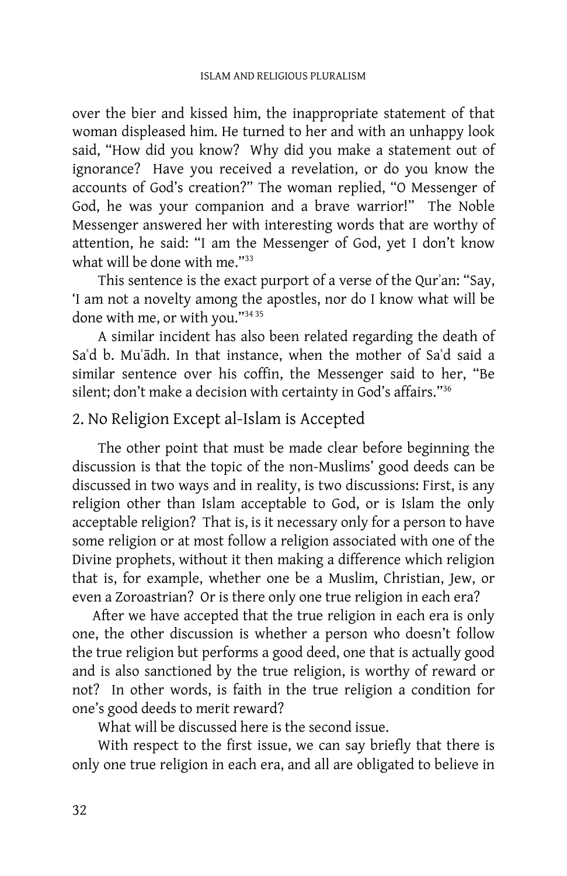over the bier and kissed him, the inappropriate statement of that woman displeased him. He turned to her and with an unhappy look said, "How did you know? Why did you make a statement out of ignorance? Have you received a revelation, or do you know the accounts of God's creation?" The woman replied, "O Messenger of God, he was your companion and a brave warrior!" The Noble Messenger answered her with interesting words that are worthy of attention, he said: "I am the Messenger of God, yet I don't know what will be done with me."<sup>33</sup>

This sentence is the exact purport of a verse of the Qur'an: "Say, 'I am not a novelty among the apostles, nor do I know what will be done with me, or with you."34 35

 A similar incident has also been related regarding the death of Sa'd b. Mu'ādh. In that instance, when the mother of Sa'd said a similar sentence over his coffin, the Messenger said to her, "Be silent; don't make a decision with certainty in God's affairs."<sup>36</sup>

### 2. No Religion Except al-Islam is Accepted

The other point that must be made clear before beginning the discussion is that the topic of the non-Muslims' good deeds can be discussed in two ways and in reality, is two discussions: First, is any religion other than Islam acceptable to God, or is Islam the only acceptable religion? That is, is it necessary only for a person to have some religion or at most follow a religion associated with one of the Divine prophets, without it then making a difference which religion that is, for example, whether one be a Muslim, Christian, Jew, or even a Zoroastrian? Or is there only one true religion in each era?

After we have accepted that the true religion in each era is only one, the other discussion is whether a person who doesn't follow the true religion but performs a good deed, one that is actually good and is also sanctioned by the true religion, is worthy of reward or not? In other words, is faith in the true religion a condition for one's good deeds to merit reward?

What will be discussed here is the second issue.

 With respect to the first issue, we can say briefly that there is only one true religion in each era, and all are obligated to believe in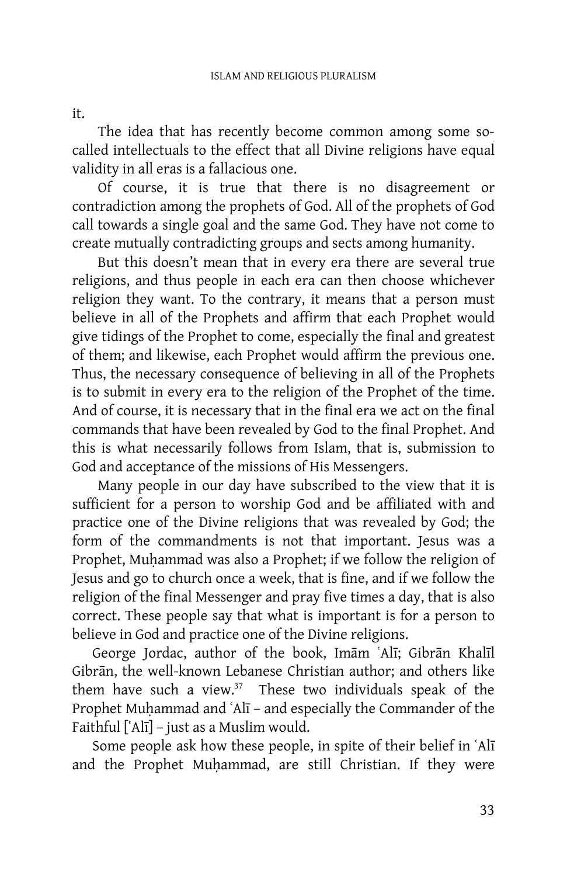it.

 The idea that has recently become common among some socalled intellectuals to the effect that all Divine religions have equal validity in all eras is a fallacious one.

 Of course, it is true that there is no disagreement or contradiction among the prophets of God. All of the prophets of God call towards a single goal and the same God. They have not come to create mutually contradicting groups and sects among humanity.

 But this doesn't mean that in every era there are several true religions, and thus people in each era can then choose whichever religion they want. To the contrary, it means that a person must believe in all of the Prophets and affirm that each Prophet would give tidings of the Prophet to come, especially the final and greatest of them; and likewise, each Prophet would affirm the previous one. Thus, the necessary consequence of believing in all of the Prophets is to submit in every era to the religion of the Prophet of the time. And of course, it is necessary that in the final era we act on the final commands that have been revealed by God to the final Prophet. And this is what necessarily follows from Islam, that is, submission to God and acceptance of the missions of His Messengers.

 Many people in our day have subscribed to the view that it is sufficient for a person to worship God and be affiliated with and practice one of the Divine religions that was revealed by God; the form of the commandments is not that important. Jesus was a Prophet, Muhammad was also a Prophet; if we follow the religion of Jesus and go to church once a week, that is fine, and if we follow the religion of the final Messenger and pray five times a day, that is also correct. These people say that what is important is for a person to believe in God and practice one of the Divine religions.

George Jordac, author of the book, Imam 'Ali; Gibran Khalil Gibran, the well-known Lebanese Christian author; and others like them have such a view. $37$  These two individuals speak of the Prophet Muḥammad and ʿAlī - and especially the Commander of the Faithful  $[AA]$  – just as a Muslim would.

Some people ask how these people, in spite of their belief in 'Ali and the Prophet Muḥammad, are still Christian. If they were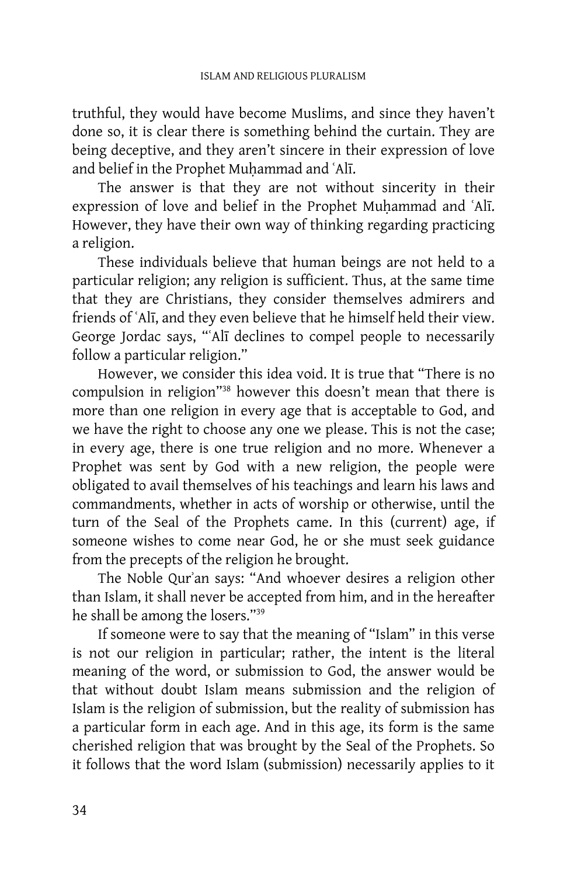truthful, they would have become Muslims, and since they haven't done so, it is clear there is something behind the curtain. They are being deceptive, and they aren't sincere in their expression of love and belief in the Prophet Muhammad and `Alī.

The answer is that they are not without sincerity in their expression of love and belief in the Prophet Muhammad and 'Alī. However, they have their own way of thinking regarding practicing a religion.

These individuals believe that human beings are not held to a particular religion; any religion is sufficient. Thus, at the same time that they are Christians, they consider themselves admirers and friends of `Alī, and they even believe that he himself held their view. George Jordac says, "Alī declines to compel people to necessarily follow a particular religion."

However, we consider this idea void. It is true that "There is no compulsion in religion"<sup>38</sup> however this doesn't mean that there is more than one religion in every age that is acceptable to God, and we have the right to choose any one we please. This is not the case; in every age, there is one true religion and no more. Whenever a Prophet was sent by God with a new religion, the people were obligated to avail themselves of his teachings and learn his laws and commandments, whether in acts of worship or otherwise, until the turn of the Seal of the Prophets came. In this (current) age, if someone wishes to come near God, he or she must seek guidance from the precepts of the religion he brought.

The Noble Qur`an says: "And whoever desires a religion other than Islam, it shall never be accepted from him, and in the hereafter he shall be among the losers."<sup>39</sup>

If someone were to say that the meaning of "Islam" in this verse is not our religion in particular; rather, the intent is the literal meaning of the word, or submission to God, the answer would be that without doubt Islam means submission and the religion of Islam is the religion of submission, but the reality of submission has a particular form in each age. And in this age, its form is the same cherished religion that was brought by the Seal of the Prophets. So it follows that the word Islam (submission) necessarily applies to it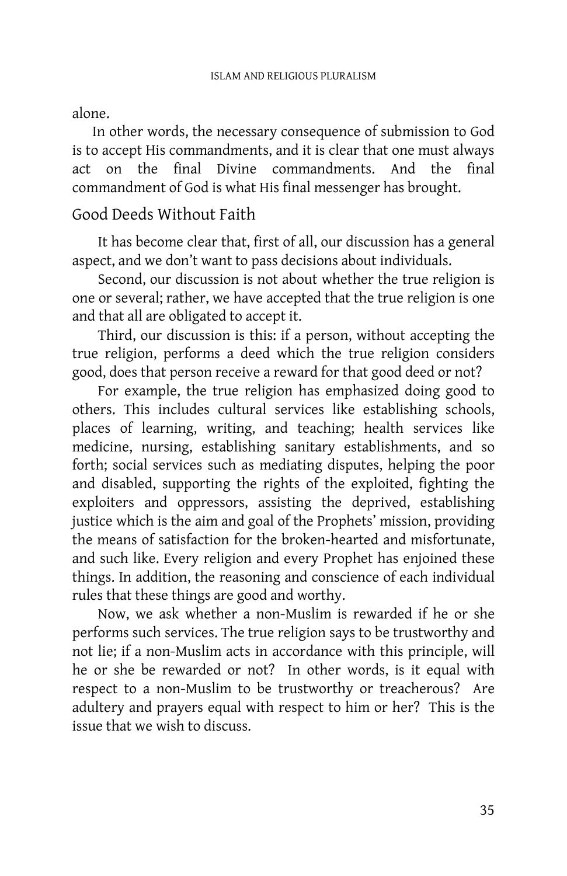#### alone.

In other words, the necessary consequence of submission to God is to accept His commandments, and it is clear that one must always act on the final Divine commandments. And the final commandment of God is what His final messenger has brought.

## Good Deeds Without Faith

It has become clear that, first of all, our discussion has a general aspect, and we don't want to pass decisions about individuals.

Second, our discussion is not about whether the true religion is one or several; rather, we have accepted that the true religion is one and that all are obligated to accept it.

Third, our discussion is this: if a person, without accepting the true religion, performs a deed which the true religion considers good, does that person receive a reward for that good deed or not?

For example, the true religion has emphasized doing good to others. This includes cultural services like establishing schools, places of learning, writing, and teaching; health services like medicine, nursing, establishing sanitary establishments, and so forth; social services such as mediating disputes, helping the poor and disabled, supporting the rights of the exploited, fighting the exploiters and oppressors, assisting the deprived, establishing justice which is the aim and goal of the Prophets' mission, providing the means of satisfaction for the broken-hearted and misfortunate, and such like. Every religion and every Prophet has enjoined these things. In addition, the reasoning and conscience of each individual rules that these things are good and worthy.

Now, we ask whether a non-Muslim is rewarded if he or she performs such services. The true religion says to be trustworthy and not lie; if a non-Muslim acts in accordance with this principle, will he or she be rewarded or not? In other words, is it equal with respect to a non-Muslim to be trustworthy or treacherous? Are adultery and prayers equal with respect to him or her? This is the issue that we wish to discuss.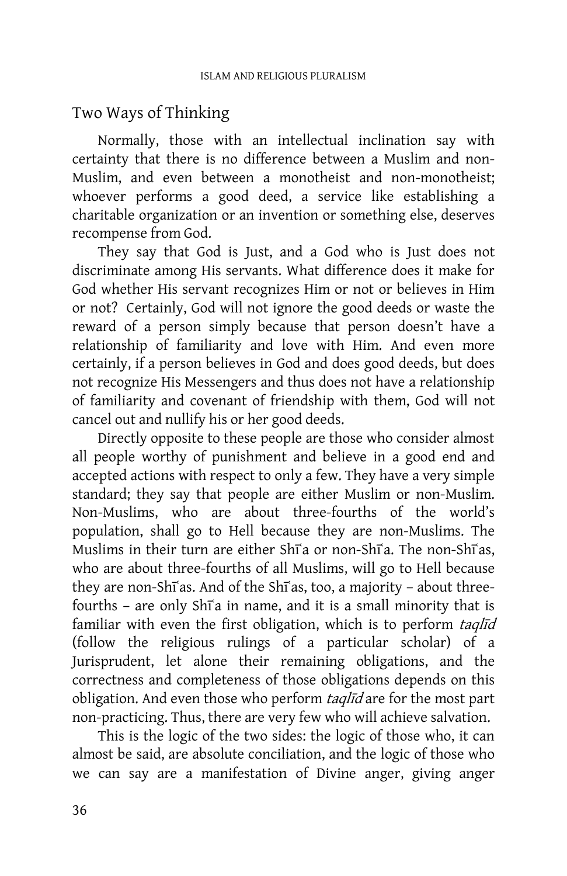### Two Ways of Thinking

Normally, those with an intellectual inclination say with certainty that there is no difference between a Muslim and non-Muslim, and even between a monotheist and non-monotheist; whoever performs a good deed, a service like establishing a charitable organization or an invention or something else, deserves recompense from God.

They say that God is Just, and a God who is Just does not discriminate among His servants. What difference does it make for God whether His servant recognizes Him or not or believes in Him or not? Certainly, God will not ignore the good deeds or waste the reward of a person simply because that person doesn't have a relationship of familiarity and love with Him. And even more certainly, if a person believes in God and does good deeds, but does not recognize His Messengers and thus does not have a relationship of familiarity and covenant of friendship with them, God will not cancel out and nullify his or her good deeds.

Directly opposite to these people are those who consider almost all people worthy of punishment and believe in a good end and accepted actions with respect to only a few. They have a very simple standard; they say that people are either Muslim or non-Muslim. Non-Muslims, who are about three-fourths of the world's population, shall go to Hell because they are non-Muslims. The Muslims in their turn are either Shī'a or non-Shī'a. The non-Shī'as, who are about three-fourths of all Muslims, will go to Hell because they are non-Shi as. And of the Shi as, too, a majority - about threefourths - are only Shī'a in name, and it is a small minority that is familiar with even the first obligation, which is to perform taqlid (follow the religious rulings of a particular scholar) of a Jurisprudent, let alone their remaining obligations, and the correctness and completeness of those obligations depends on this obligation. And even those who perform taqlid are for the most part non-practicing. Thus, there are very few who will achieve salvation.

This is the logic of the two sides: the logic of those who, it can almost be said, are absolute conciliation, and the logic of those who we can say are a manifestation of Divine anger, giving anger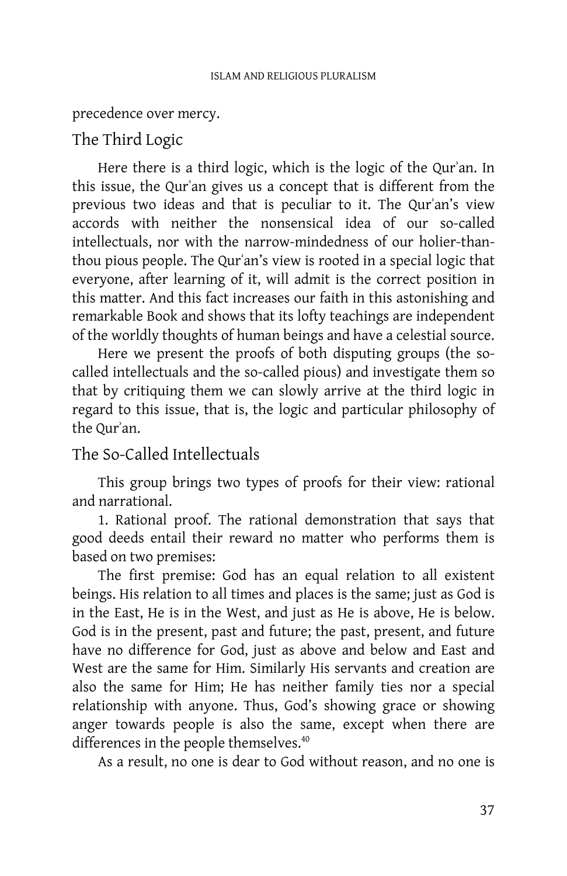precedence over mercy.

#### The Third Logic

Here there is a third logic, which is the logic of the Qur`an. In this issue, the Qur`an gives us a concept that is different from the previous two ideas and that is peculiar to it. The Qur`an's view accords with neither the nonsensical idea of our so-called intellectuals, nor with the narrow-mindedness of our holier-thanthou pious people. The Qur`an's view is rooted in a special logic that everyone, after learning of it, will admit is the correct position in this matter. And this fact increases our faith in this astonishing and remarkable Book and shows that its lofty teachings are independent of the worldly thoughts of human beings and have a celestial source.

Here we present the proofs of both disputing groups (the socalled intellectuals and the so-called pious) and investigate them so that by critiquing them we can slowly arrive at the third logic in regard to this issue, that is, the logic and particular philosophy of the Qur`an.

### The So-Called Intellectuals

This group brings two types of proofs for their view: rational and narrational.

1. Rational proof. The rational demonstration that says that good deeds entail their reward no matter who performs them is based on two premises:

The first premise: God has an equal relation to all existent beings. His relation to all times and places is the same; just as God is in the East, He is in the West, and just as He is above, He is below. God is in the present, past and future; the past, present, and future have no difference for God, just as above and below and East and West are the same for Him. Similarly His servants and creation are also the same for Him; He has neither family ties nor a special relationship with anyone. Thus, God's showing grace or showing anger towards people is also the same, except when there are differences in the people themselves.<sup>40</sup>

As a result, no one is dear to God without reason, and no one is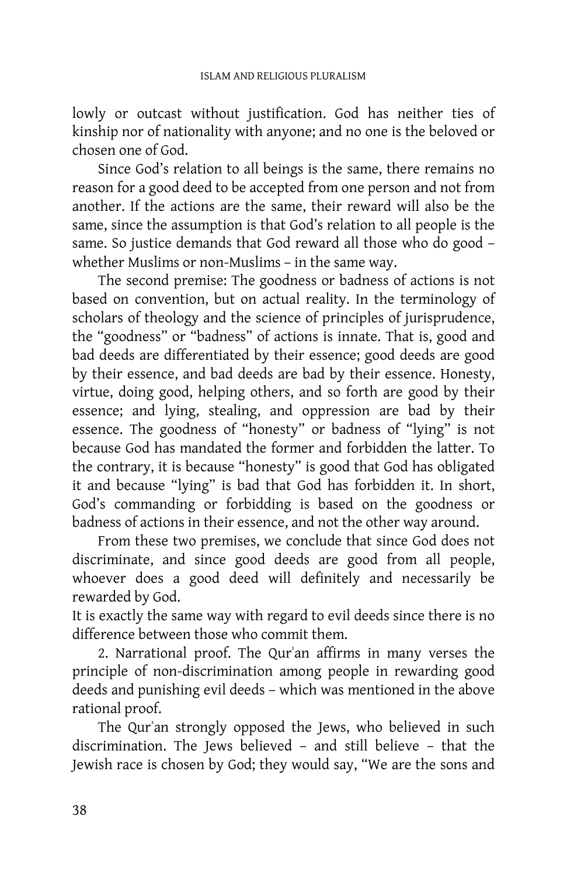lowly or outcast without justification. God has neither ties of kinship nor of nationality with anyone; and no one is the beloved or chosen one of God.

Since God's relation to all beings is the same, there remains no reason for a good deed to be accepted from one person and not from another. If the actions are the same, their reward will also be the same, since the assumption is that God's relation to all people is the same. So justice demands that God reward all those who do good – whether Muslims or non-Muslims – in the same way.

The second premise: The goodness or badness of actions is not based on convention, but on actual reality. In the terminology of scholars of theology and the science of principles of jurisprudence, the "goodness" or "badness" of actions is innate. That is, good and bad deeds are differentiated by their essence; good deeds are good by their essence, and bad deeds are bad by their essence. Honesty, virtue, doing good, helping others, and so forth are good by their essence; and lying, stealing, and oppression are bad by their essence. The goodness of "honesty" or badness of "lying" is not because God has mandated the former and forbidden the latter. To the contrary, it is because "honesty" is good that God has obligated it and because "lying" is bad that God has forbidden it. In short, God's commanding or forbidding is based on the goodness or badness of actions in their essence, and not the other way around.

From these two premises, we conclude that since God does not discriminate, and since good deeds are good from all people, whoever does a good deed will definitely and necessarily be rewarded by God.

It is exactly the same way with regard to evil deeds since there is no difference between those who commit them.

2. Narrational proof. The Qur`an affirms in many verses the principle of non-discrimination among people in rewarding good deeds and punishing evil deeds – which was mentioned in the above rational proof.

The Qur`an strongly opposed the Jews, who believed in such discrimination. The Jews believed – and still believe – that the Jewish race is chosen by God; they would say, "We are the sons and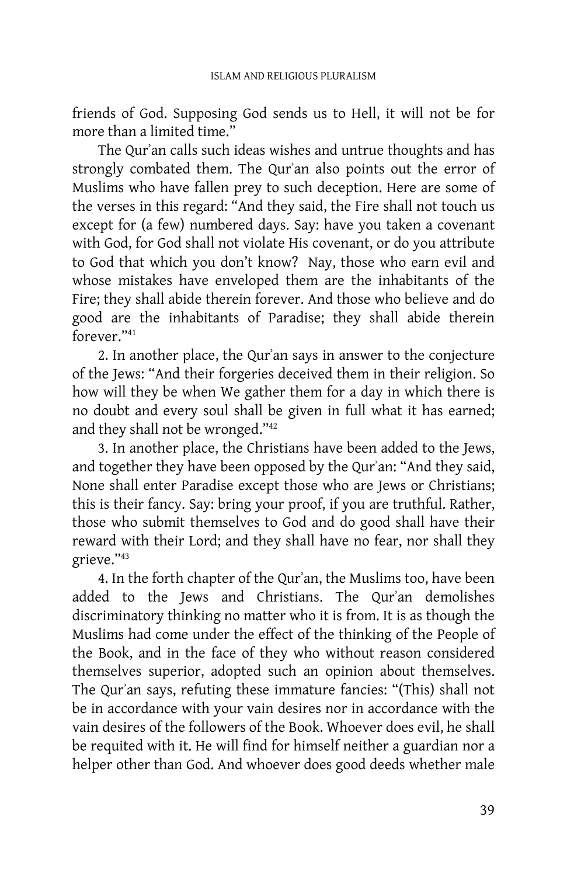friends of God. Supposing God sends us to Hell, it will not be for more than a limited time."

The Qur`an calls such ideas wishes and untrue thoughts and has strongly combated them. The Qur`an also points out the error of Muslims who have fallen prey to such deception. Here are some of the verses in this regard: "And they said, the Fire shall not touch us except for (a few) numbered days. Say: have you taken a covenant with God, for God shall not violate His covenant, or do you attribute to God that which you don't know? Nay, those who earn evil and whose mistakes have enveloped them are the inhabitants of the Fire; they shall abide therein forever. And those who believe and do good are the inhabitants of Paradise; they shall abide therein forever."<sup>41</sup>

 2. In another place, the Qur`an says in answer to the conjecture of the Jews: "And their forgeries deceived them in their religion. So how will they be when We gather them for a day in which there is no doubt and every soul shall be given in full what it has earned; and they shall not be wronged."<sup>42</sup>

 3. In another place, the Christians have been added to the Jews, and together they have been opposed by the Qur`an: "And they said, None shall enter Paradise except those who are Jews or Christians; this is their fancy. Say: bring your proof, if you are truthful. Rather, those who submit themselves to God and do good shall have their reward with their Lord; and they shall have no fear, nor shall they grieve."<sup>43</sup>

 4. In the forth chapter of the Qur`an, the Muslims too, have been added to the Jews and Christians. The Qur`an demolishes discriminatory thinking no matter who it is from. It is as though the Muslims had come under the effect of the thinking of the People of the Book, and in the face of they who without reason considered themselves superior, adopted such an opinion about themselves. The Qur'an says, refuting these immature fancies: "(This) shall not be in accordance with your vain desires nor in accordance with the vain desires of the followers of the Book. Whoever does evil, he shall be requited with it. He will find for himself neither a guardian nor a helper other than God. And whoever does good deeds whether male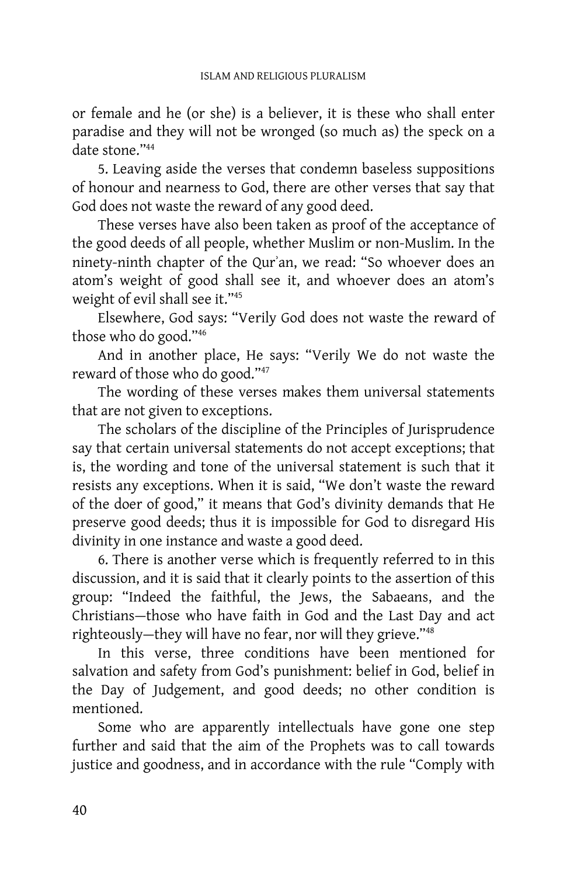or female and he (or she) is a believer, it is these who shall enter paradise and they will not be wronged (so much as) the speck on a date stone."<sup>44</sup>

 5. Leaving aside the verses that condemn baseless suppositions of honour and nearness to God, there are other verses that say that God does not waste the reward of any good deed.

 These verses have also been taken as proof of the acceptance of the good deeds of all people, whether Muslim or non-Muslim. In the ninety-ninth chapter of the Qur`an, we read: "So whoever does an atom's weight of good shall see it, and whoever does an atom's weight of evil shall see it."<sup>45</sup>

 Elsewhere, God says: "Verily God does not waste the reward of those who do good."<sup>46</sup>

 And in another place, He says: "Verily We do not waste the reward of those who do good."<sup>47</sup>

 The wording of these verses makes them universal statements that are not given to exceptions.

 The scholars of the discipline of the Principles of Jurisprudence say that certain universal statements do not accept exceptions; that is, the wording and tone of the universal statement is such that it resists any exceptions. When it is said, "We don't waste the reward of the doer of good," it means that God's divinity demands that He preserve good deeds; thus it is impossible for God to disregard His divinity in one instance and waste a good deed.

 6. There is another verse which is frequently referred to in this discussion, and it is said that it clearly points to the assertion of this group: "Indeed the faithful, the Jews, the Sabaeans, and the Christians—those who have faith in God and the Last Day and act righteously—they will have no fear, nor will they grieve."<sup>48</sup>

 In this verse, three conditions have been mentioned for salvation and safety from God's punishment: belief in God, belief in the Day of Judgement, and good deeds; no other condition is mentioned.

 Some who are apparently intellectuals have gone one step further and said that the aim of the Prophets was to call towards justice and goodness, and in accordance with the rule "Comply with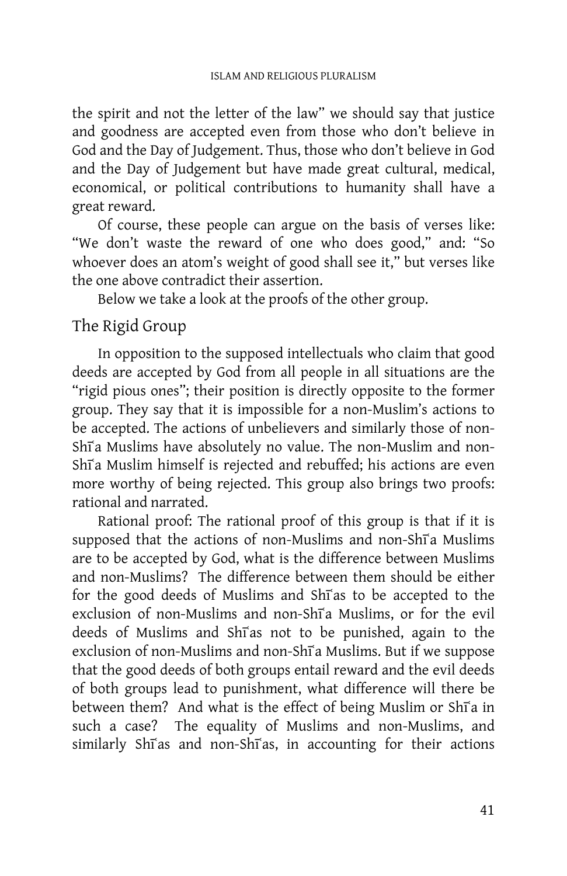the spirit and not the letter of the law" we should say that justice and goodness are accepted even from those who don't believe in God and the Day of Judgement. Thus, those who don't believe in God and the Day of Judgement but have made great cultural, medical, economical, or political contributions to humanity shall have a great reward.

 Of course, these people can argue on the basis of verses like: "We don't waste the reward of one who does good," and: "So whoever does an atom's weight of good shall see it," but verses like the one above contradict their assertion.

Below we take a look at the proofs of the other group.

### The Rigid Group

In opposition to the supposed intellectuals who claim that good deeds are accepted by God from all people in all situations are the "rigid pious ones"; their position is directly opposite to the former group. They say that it is impossible for a non-Muslim's actions to be accepted. The actions of unbelievers and similarly those of non-Shi<sup>a</sup> Muslims have absolutely no value. The non-Muslim and non-Shi<sup>a</sup> Muslim himself is rejected and rebuffed; his actions are even more worthy of being rejected. This group also brings two proofs: rational and narrated.

 Rational proof: The rational proof of this group is that if it is supposed that the actions of non-Muslims and non-Shi<sup>a</sup> Muslims are to be accepted by God, what is the difference between Muslims and non-Muslims? The difference between them should be either for the good deeds of Muslims and Shi̇̃as to be accepted to the exclusion of non-Muslims and non-Shi<sup>\*</sup>a Muslims, or for the evil deeds of Muslims and Shi<sup>as</sup> not to be punished, again to the exclusion of non-Muslims and non-Shiʿa Muslims. But if we suppose that the good deeds of both groups entail reward and the evil deeds of both groups lead to punishment, what difference will there be between them? And what is the effect of being Muslim or Shi<sup>a</sup> in such a case? The equality of Muslims and non-Muslims, and similarly Shi~as and non-Shi~as, in accounting for their actions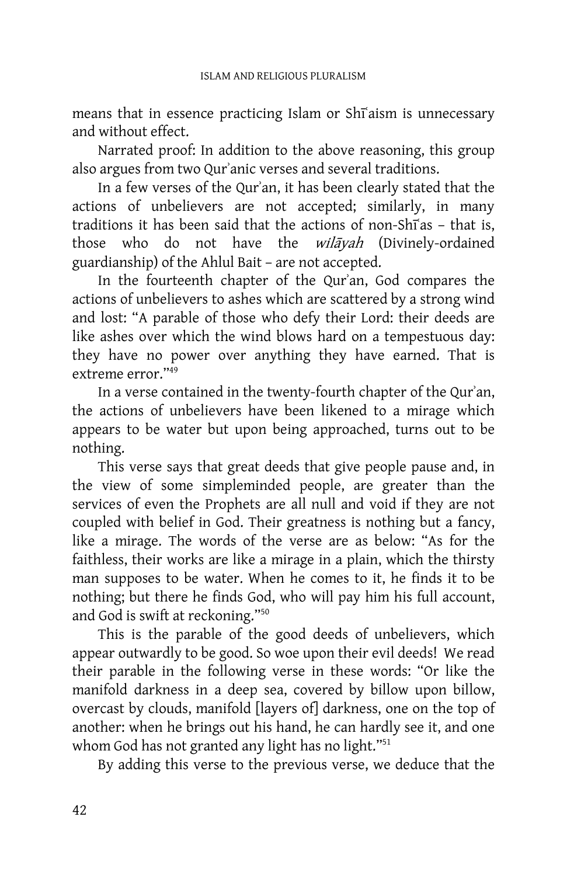means that in essence practicing Islam or Shi aism is unnecessary and without effect.

 Narrated proof: In addition to the above reasoning, this group also argues from two Qur`anic verses and several traditions.

 In a few verses of the Qur`an, it has been clearly stated that the actions of unbelievers are not accepted; similarly, in many traditions it has been said that the actions of non-Shi<sup>as</sup> - that is, those who do not have the *wilavah* (Divinely-ordained guardianship) of the Ahlul Bait – are not accepted.

 In the fourteenth chapter of the Qur`an, God compares the actions of unbelievers to ashes which are scattered by a strong wind and lost: "A parable of those who defy their Lord: their deeds are like ashes over which the wind blows hard on a tempestuous day: they have no power over anything they have earned. That is extreme error."<sup>49</sup>

 In a verse contained in the twenty-fourth chapter of the Qur`an, the actions of unbelievers have been likened to a mirage which appears to be water but upon being approached, turns out to be nothing.

 This verse says that great deeds that give people pause and, in the view of some simpleminded people, are greater than the services of even the Prophets are all null and void if they are not coupled with belief in God. Their greatness is nothing but a fancy, like a mirage. The words of the verse are as below: "As for the faithless, their works are like a mirage in a plain, which the thirsty man supposes to be water. When he comes to it, he finds it to be nothing; but there he finds God, who will pay him his full account, and God is swift at reckoning."<sup>50</sup>

 This is the parable of the good deeds of unbelievers, which appear outwardly to be good. So woe upon their evil deeds! We read their parable in the following verse in these words: "Or like the manifold darkness in a deep sea, covered by billow upon billow, overcast by clouds, manifold [layers of] darkness, one on the top of another: when he brings out his hand, he can hardly see it, and one whom God has not granted any light has no light."<sup>51</sup>

By adding this verse to the previous verse, we deduce that the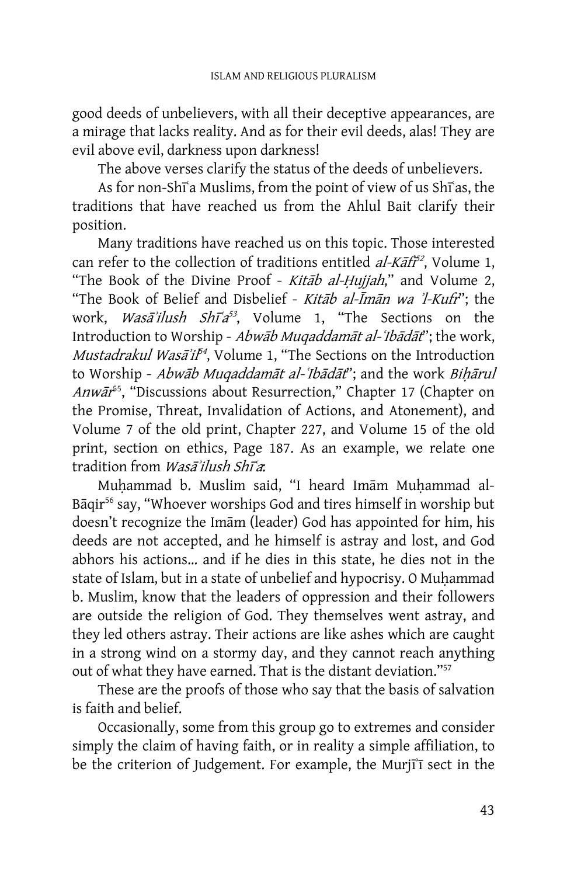good deeds of unbelievers, with all their deceptive appearances, are a mirage that lacks reality. And as for their evil deeds, alas! They are evil above evil, darkness upon darkness!

The above verses clarify the status of the deeds of unbelievers.

As for non-Shi<sup>a</sup> Muslims, from the point of view of us Shi<sup>a</sup>s, the traditions that have reached us from the Ahlul Bait clarify their position.

 Many traditions have reached us on this topic. Those interested can refer to the collection of traditions entitled *al-Kāfi<sup>s2</sup>*, Volume 1, "The Book of the Divine Proof - Kitab al-Hujjah," and Volume 2, "The Book of Belief and Disbelief - *Kitāb al-Īmān wa 'l-Kufr*"; the work, *Wasā'ilush Shīʿa<sup>53</sup>,* Volume 1, "The Sections on the Introduction to Worship - Abwab Mugaddamāt al-'Ibādāt''; the work, *Mustadrakul Wasā'il<sup>s4</sup>*, Volume 1, "The Sections on the Introduction to Worship - Abwab Muqaddamat al-'Ibadat''; and the work Biharul Anwār<sup>55</sup>, "Discussions about Resurrection," Chapter 17 (Chapter on the Promise, Threat, Invalidation of Actions, and Atonement), and Volume 7 of the old print, Chapter 227, and Volume 15 of the old print, section on ethics, Page 187. As an example, we relate one tradition from *Wasa'ilush Shī'a*:

Muhammad b. Muslim said, "I heard Imam Muhammad al-Bāqir<sup>56</sup> say, "Whoever worships God and tires himself in worship but doesn't recognize the Imam (leader) God has appointed for him, his deeds are not accepted, and he himself is astray and lost, and God abhors his actions… and if he dies in this state, he dies not in the state of Islam, but in a state of unbelief and hypocrisy. O Muhammad b. Muslim, know that the leaders of oppression and their followers are outside the religion of God. They themselves went astray, and they led others astray. Their actions are like ashes which are caught in a strong wind on a stormy day, and they cannot reach anything out of what they have earned. That is the distant deviation."<sup>57</sup>

 These are the proofs of those who say that the basis of salvation is faith and belief.

 Occasionally, some from this group go to extremes and consider simply the claim of having faith, or in reality a simple affiliation, to be the criterion of Judgement. For example, the Murji'i sect in the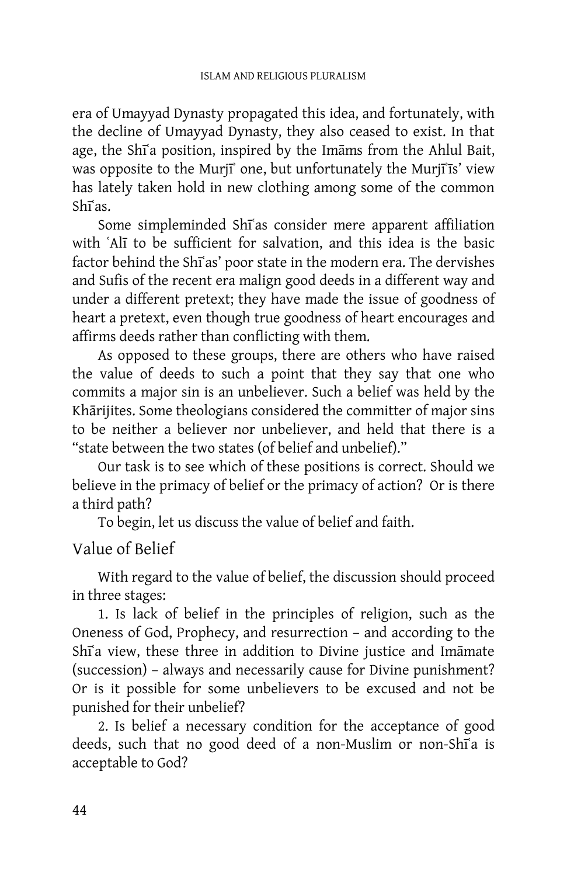era of Umayyad Dynasty propagated this idea, and fortunately, with the decline of Umayyad Dynasty, they also ceased to exist. In that age, the Shi<sup>a</sup> position, inspired by the Imams from the Ahlul Bait, was opposite to the Murji' one, but unfortunately the Murji'is' view has lately taken hold in new clothing among some of the common Shī<sup>'</sup>as.

Some simpleminded Shiʿas consider mere apparent affiliation with `Alī to be sufficient for salvation, and this idea is the basic factor behind the Shīʿas' poor state in the modern era. The dervishes and Sufis of the recent era malign good deeds in a different way and under a different pretext; they have made the issue of goodness of heart a pretext, even though true goodness of heart encourages and affirms deeds rather than conflicting with them.

 As opposed to these groups, there are others who have raised the value of deeds to such a point that they say that one who commits a major sin is an unbeliever. Such a belief was held by the Khārijites. Some theologians considered the committer of major sins to be neither a believer nor unbeliever, and held that there is a "state between the two states (of belief and unbelief)."

 Our task is to see which of these positions is correct. Should we believe in the primacy of belief or the primacy of action? Or is there a third path?

To begin, let us discuss the value of belief and faith.

### Value of Belief

With regard to the value of belief, the discussion should proceed in three stages:

 1. Is lack of belief in the principles of religion, such as the Oneness of God, Prophecy, and resurrection – and according to the Shi<sup>a</sup> view, these three in addition to Divine justice and Imamate (succession) – always and necessarily cause for Divine punishment? Or is it possible for some unbelievers to be excused and not be punished for their unbelief?

 2. Is belief a necessary condition for the acceptance of good deeds, such that no good deed of a non-Muslim or non-Shi<sup>a</sup> is acceptable to God?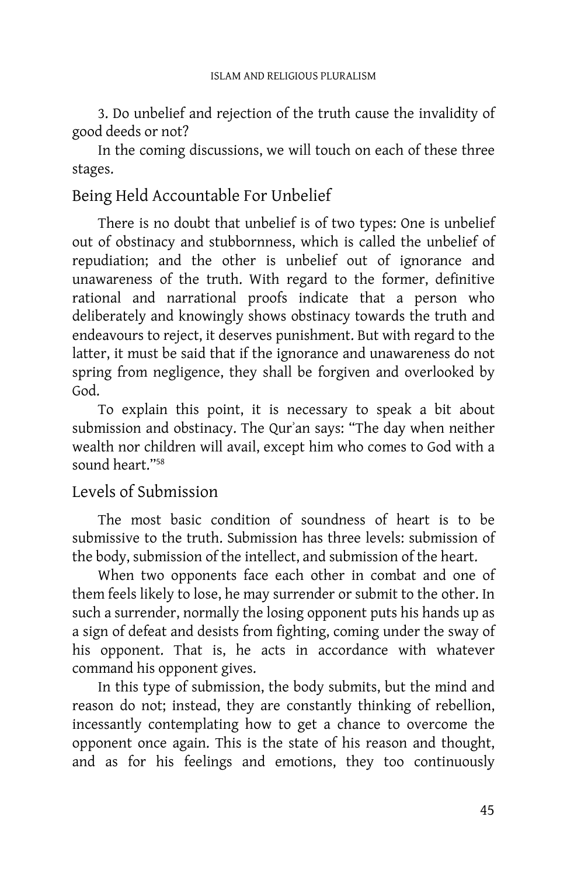3. Do unbelief and rejection of the truth cause the invalidity of good deeds or not?

 In the coming discussions, we will touch on each of these three stages.

# Being Held Accountable For Unbelief

There is no doubt that unbelief is of two types: One is unbelief out of obstinacy and stubbornness, which is called the unbelief of repudiation; and the other is unbelief out of ignorance and unawareness of the truth. With regard to the former, definitive rational and narrational proofs indicate that a person who deliberately and knowingly shows obstinacy towards the truth and endeavours to reject, it deserves punishment. But with regard to the latter, it must be said that if the ignorance and unawareness do not spring from negligence, they shall be forgiven and overlooked by God.

 To explain this point, it is necessary to speak a bit about submission and obstinacy. The Qur`an says: "The day when neither wealth nor children will avail, except him who comes to God with a sound heart."<sup>58</sup>

## Levels of Submission

The most basic condition of soundness of heart is to be submissive to the truth. Submission has three levels: submission of the body, submission of the intellect, and submission of the heart.

 When two opponents face each other in combat and one of them feels likely to lose, he may surrender or submit to the other. In such a surrender, normally the losing opponent puts his hands up as a sign of defeat and desists from fighting, coming under the sway of his opponent. That is, he acts in accordance with whatever command his opponent gives.

 In this type of submission, the body submits, but the mind and reason do not; instead, they are constantly thinking of rebellion, incessantly contemplating how to get a chance to overcome the opponent once again. This is the state of his reason and thought, and as for his feelings and emotions, they too continuously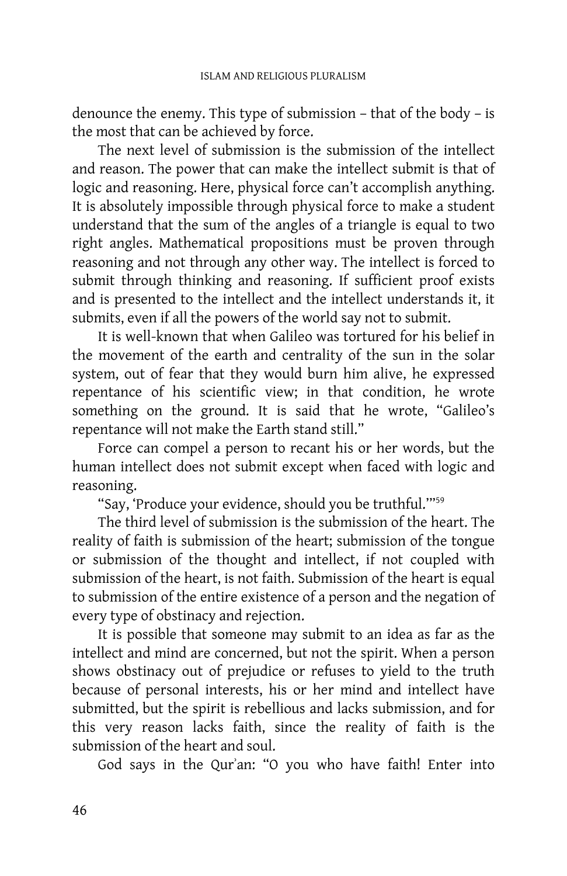denounce the enemy. This type of submission – that of the body – is the most that can be achieved by force.

 The next level of submission is the submission of the intellect and reason. The power that can make the intellect submit is that of logic and reasoning. Here, physical force can't accomplish anything. It is absolutely impossible through physical force to make a student understand that the sum of the angles of a triangle is equal to two right angles. Mathematical propositions must be proven through reasoning and not through any other way. The intellect is forced to submit through thinking and reasoning. If sufficient proof exists and is presented to the intellect and the intellect understands it, it submits, even if all the powers of the world say not to submit.

 It is well-known that when Galileo was tortured for his belief in the movement of the earth and centrality of the sun in the solar system, out of fear that they would burn him alive, he expressed repentance of his scientific view; in that condition, he wrote something on the ground. It is said that he wrote, "Galileo's repentance will not make the Earth stand still."

 Force can compel a person to recant his or her words, but the human intellect does not submit except when faced with logic and reasoning.

"Say, 'Produce your evidence, should you be truthful.'"<sup>59</sup>

 The third level of submission is the submission of the heart. The reality of faith is submission of the heart; submission of the tongue or submission of the thought and intellect, if not coupled with submission of the heart, is not faith. Submission of the heart is equal to submission of the entire existence of a person and the negation of every type of obstinacy and rejection.

 It is possible that someone may submit to an idea as far as the intellect and mind are concerned, but not the spirit. When a person shows obstinacy out of prejudice or refuses to yield to the truth because of personal interests, his or her mind and intellect have submitted, but the spirit is rebellious and lacks submission, and for this very reason lacks faith, since the reality of faith is the submission of the heart and soul.

God says in the Qur`an: "O you who have faith! Enter into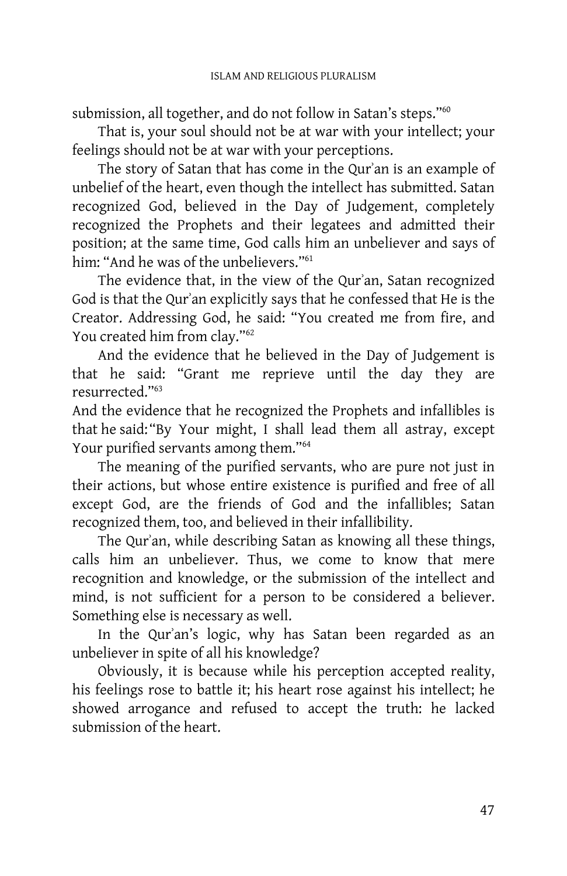submission, all together, and do not follow in Satan's steps."<sup>60</sup>

 That is, your soul should not be at war with your intellect; your feelings should not be at war with your perceptions.

The story of Satan that has come in the Qur'an is an example of unbelief of the heart, even though the intellect has submitted. Satan recognized God, believed in the Day of Judgement, completely recognized the Prophets and their legatees and admitted their position; at the same time, God calls him an unbeliever and says of him: "And he was of the unbelievers."<sup>61</sup>

 The evidence that, in the view of the Qur`an, Satan recognized God is that the Qur`an explicitly says that he confessed that He is the Creator. Addressing God, he said: "You created me from fire, and You created him from clay."<sup>62</sup>

 And the evidence that he believed in the Day of Judgement is that he said: "Grant me reprieve until the day they are resurrected."<sup>63</sup>

And the evidence that he recognized the Prophets and infallibles is that he said: "By Your might, I shall lead them all astray, except Your purified servants among them."<sup>64</sup>

 The meaning of the purified servants, who are pure not just in their actions, but whose entire existence is purified and free of all except God, are the friends of God and the infallibles; Satan recognized them, too, and believed in their infallibility.

 The Qur`an, while describing Satan as knowing all these things, calls him an unbeliever. Thus, we come to know that mere recognition and knowledge, or the submission of the intellect and mind, is not sufficient for a person to be considered a believer. Something else is necessary as well.

 In the Qur`an's logic, why has Satan been regarded as an unbeliever in spite of all his knowledge?

 Obviously, it is because while his perception accepted reality, his feelings rose to battle it; his heart rose against his intellect; he showed arrogance and refused to accept the truth: he lacked submission of the heart.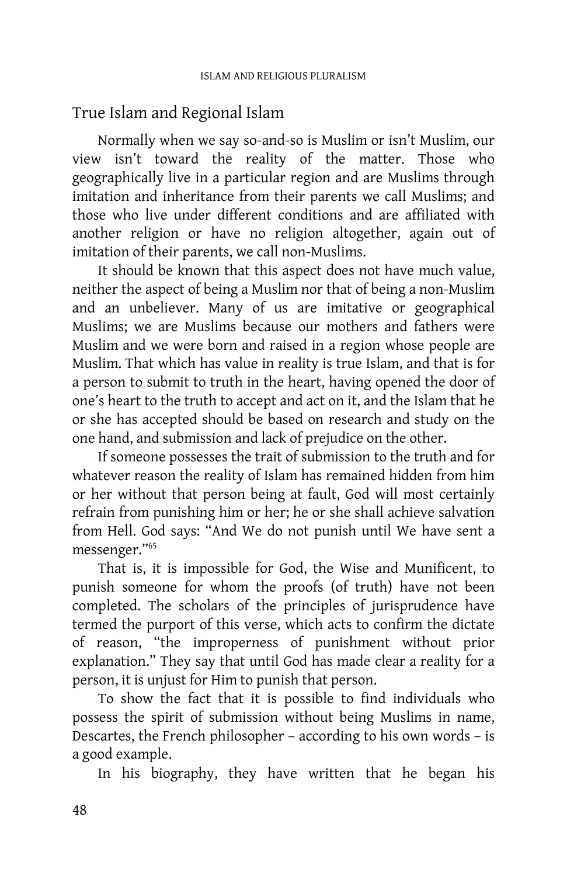## True Islam and Regional Islam

Normally when we say so-and-so is Muslim or isn't Muslim, our view isn't toward the reality of the matter. Those who geographically live in a particular region and are Muslims through imitation and inheritance from their parents we call Muslims; and those who live under different conditions and are affiliated with another religion or have no religion altogether, again out of imitation of their parents, we call non-Muslims.

 It should be known that this aspect does not have much value, neither the aspect of being a Muslim nor that of being a non-Muslim and an unbeliever. Many of us are imitative or geographical Muslims; we are Muslims because our mothers and fathers were Muslim and we were born and raised in a region whose people are Muslim. That which has value in reality is true Islam, and that is for a person to submit to truth in the heart, having opened the door of one's heart to the truth to accept and act on it, and the Islam that he or she has accepted should be based on research and study on the one hand, and submission and lack of prejudice on the other.

 If someone possesses the trait of submission to the truth and for whatever reason the reality of Islam has remained hidden from him or her without that person being at fault, God will most certainly refrain from punishing him or her; he or she shall achieve salvation from Hell. God says: "And We do not punish until We have sent a messenger."<sup>65</sup>

 That is, it is impossible for God, the Wise and Munificent, to punish someone for whom the proofs (of truth) have not been completed. The scholars of the principles of jurisprudence have termed the purport of this verse, which acts to confirm the dictate of reason, "the improperness of punishment without prior explanation." They say that until God has made clear a reality for a person, it is unjust for Him to punish that person.

 To show the fact that it is possible to find individuals who possess the spirit of submission without being Muslims in name, Descartes, the French philosopher – according to his own words – is a good example.

In his biography, they have written that he began his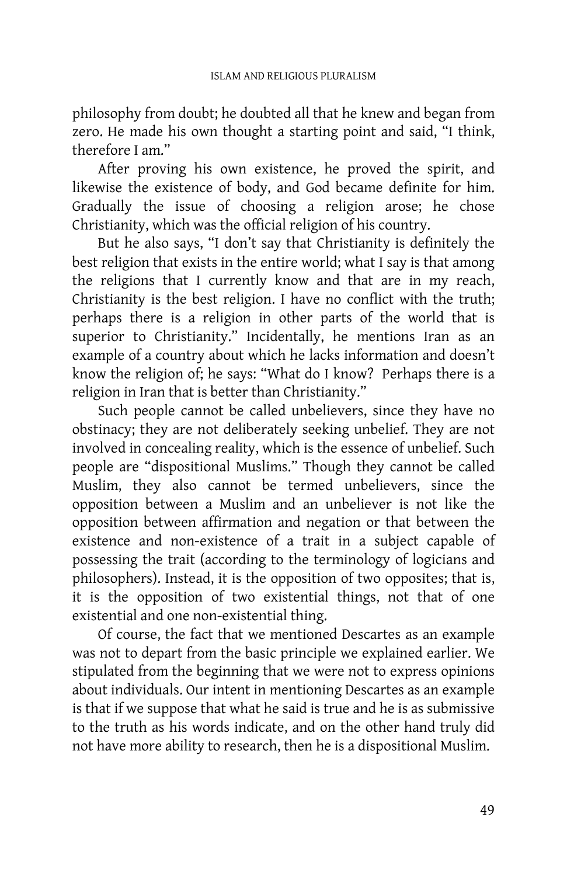philosophy from doubt; he doubted all that he knew and began from zero. He made his own thought a starting point and said, "I think, therefore I am."

 After proving his own existence, he proved the spirit, and likewise the existence of body, and God became definite for him. Gradually the issue of choosing a religion arose; he chose Christianity, which was the official religion of his country.

 But he also says, "I don't say that Christianity is definitely the best religion that exists in the entire world; what I say is that among the religions that I currently know and that are in my reach, Christianity is the best religion. I have no conflict with the truth; perhaps there is a religion in other parts of the world that is superior to Christianity." Incidentally, he mentions Iran as an example of a country about which he lacks information and doesn't know the religion of; he says: "What do I know? Perhaps there is a religion in Iran that is better than Christianity."

 Such people cannot be called unbelievers, since they have no obstinacy; they are not deliberately seeking unbelief. They are not involved in concealing reality, which is the essence of unbelief. Such people are "dispositional Muslims." Though they cannot be called Muslim, they also cannot be termed unbelievers, since the opposition between a Muslim and an unbeliever is not like the opposition between affirmation and negation or that between the existence and non-existence of a trait in a subject capable of possessing the trait (according to the terminology of logicians and philosophers). Instead, it is the opposition of two opposites; that is, it is the opposition of two existential things, not that of one existential and one non-existential thing.

 Of course, the fact that we mentioned Descartes as an example was not to depart from the basic principle we explained earlier. We stipulated from the beginning that we were not to express opinions about individuals. Our intent in mentioning Descartes as an example is that if we suppose that what he said is true and he is as submissive to the truth as his words indicate, and on the other hand truly did not have more ability to research, then he is a dispositional Muslim.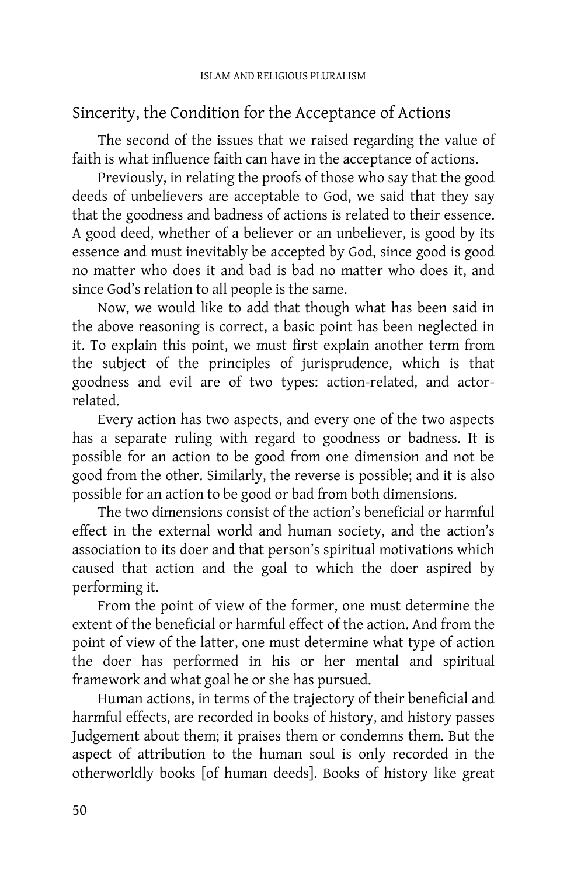# Sincerity, the Condition for the Acceptance of Actions

The second of the issues that we raised regarding the value of faith is what influence faith can have in the acceptance of actions.

 Previously, in relating the proofs of those who say that the good deeds of unbelievers are acceptable to God, we said that they say that the goodness and badness of actions is related to their essence. A good deed, whether of a believer or an unbeliever, is good by its essence and must inevitably be accepted by God, since good is good no matter who does it and bad is bad no matter who does it, and since God's relation to all people is the same.

 Now, we would like to add that though what has been said in the above reasoning is correct, a basic point has been neglected in it. To explain this point, we must first explain another term from the subject of the principles of jurisprudence, which is that goodness and evil are of two types: action-related, and actorrelated.

 Every action has two aspects, and every one of the two aspects has a separate ruling with regard to goodness or badness. It is possible for an action to be good from one dimension and not be good from the other. Similarly, the reverse is possible; and it is also possible for an action to be good or bad from both dimensions.

 The two dimensions consist of the action's beneficial or harmful effect in the external world and human society, and the action's association to its doer and that person's spiritual motivations which caused that action and the goal to which the doer aspired by performing it.

 From the point of view of the former, one must determine the extent of the beneficial or harmful effect of the action. And from the point of view of the latter, one must determine what type of action the doer has performed in his or her mental and spiritual framework and what goal he or she has pursued.

 Human actions, in terms of the trajectory of their beneficial and harmful effects, are recorded in books of history, and history passes Judgement about them; it praises them or condemns them. But the aspect of attribution to the human soul is only recorded in the otherworldly books [of human deeds]. Books of history like great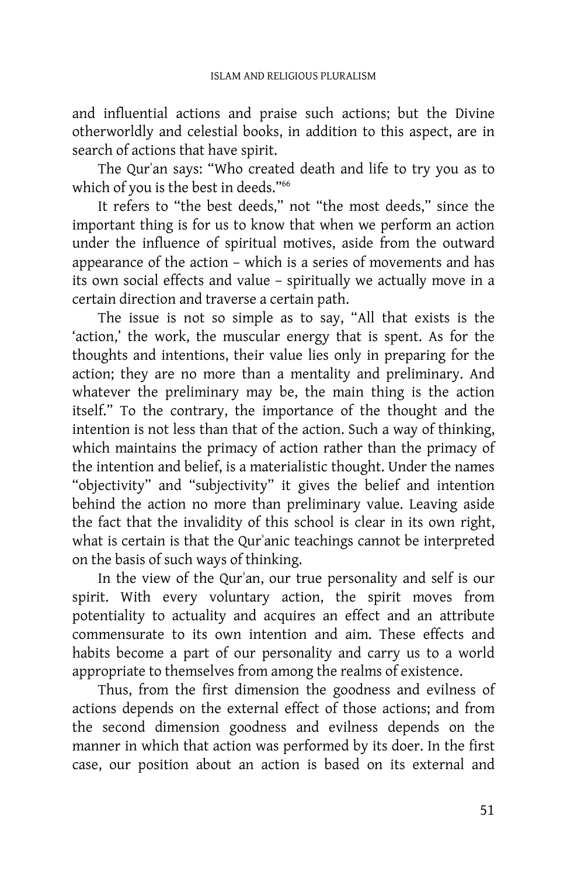and influential actions and praise such actions; but the Divine otherworldly and celestial books, in addition to this aspect, are in search of actions that have spirit.

 The Qur`an says: "Who created death and life to try you as to which of you is the best in deeds."<sup>66</sup>

 It refers to "the best deeds," not "the most deeds," since the important thing is for us to know that when we perform an action under the influence of spiritual motives, aside from the outward appearance of the action – which is a series of movements and has its own social effects and value – spiritually we actually move in a certain direction and traverse a certain path.

 The issue is not so simple as to say, "All that exists is the 'action,' the work, the muscular energy that is spent. As for the thoughts and intentions, their value lies only in preparing for the action; they are no more than a mentality and preliminary. And whatever the preliminary may be, the main thing is the action itself." To the contrary, the importance of the thought and the intention is not less than that of the action. Such a way of thinking, which maintains the primacy of action rather than the primacy of the intention and belief, is a materialistic thought. Under the names "objectivity" and "subjectivity" it gives the belief and intention behind the action no more than preliminary value. Leaving aside the fact that the invalidity of this school is clear in its own right, what is certain is that the Qur'anic teachings cannot be interpreted on the basis of such ways of thinking.

 In the view of the Qur`an, our true personality and self is our spirit. With every voluntary action, the spirit moves from potentiality to actuality and acquires an effect and an attribute commensurate to its own intention and aim. These effects and habits become a part of our personality and carry us to a world appropriate to themselves from among the realms of existence.

 Thus, from the first dimension the goodness and evilness of actions depends on the external effect of those actions; and from the second dimension goodness and evilness depends on the manner in which that action was performed by its doer. In the first case, our position about an action is based on its external and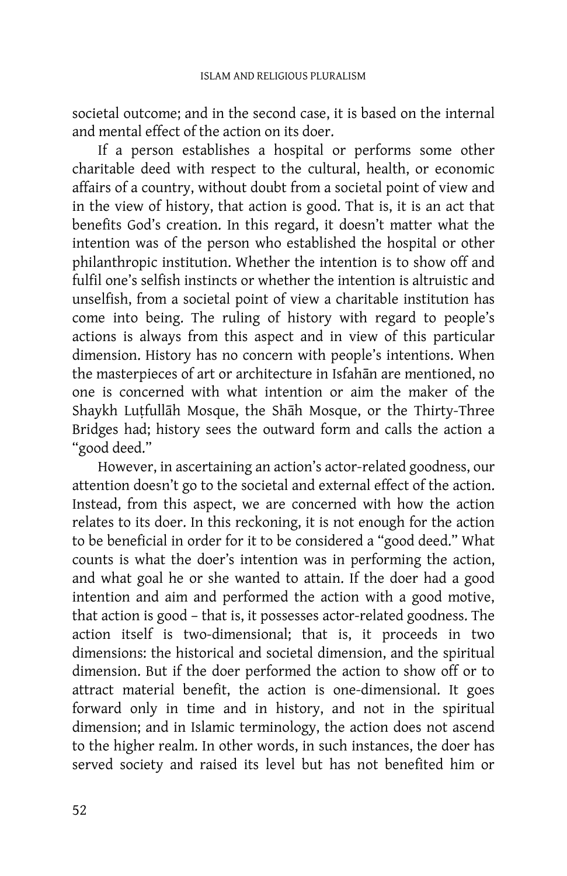societal outcome; and in the second case, it is based on the internal and mental effect of the action on its doer.

 If a person establishes a hospital or performs some other charitable deed with respect to the cultural, health, or economic affairs of a country, without doubt from a societal point of view and in the view of history, that action is good. That is, it is an act that benefits God's creation. In this regard, it doesn't matter what the intention was of the person who established the hospital or other philanthropic institution. Whether the intention is to show off and fulfil one's selfish instincts or whether the intention is altruistic and unselfish, from a societal point of view a charitable institution has come into being. The ruling of history with regard to people's actions is always from this aspect and in view of this particular dimension. History has no concern with people's intentions. When the masterpieces of art or architecture in Isfahan are mentioned, no one is concerned with what intention or aim the maker of the Shaykh Lutfullāh Mosque, the Shāh Mosque, or the Thirty-Three Bridges had; history sees the outward form and calls the action a "good deed."

 However, in ascertaining an action's actor-related goodness, our attention doesn't go to the societal and external effect of the action. Instead, from this aspect, we are concerned with how the action relates to its doer. In this reckoning, it is not enough for the action to be beneficial in order for it to be considered a "good deed." What counts is what the doer's intention was in performing the action, and what goal he or she wanted to attain. If the doer had a good intention and aim and performed the action with a good motive, that action is good – that is, it possesses actor-related goodness. The action itself is two-dimensional; that is, it proceeds in two dimensions: the historical and societal dimension, and the spiritual dimension. But if the doer performed the action to show off or to attract material benefit, the action is one-dimensional. It goes forward only in time and in history, and not in the spiritual dimension; and in Islamic terminology, the action does not ascend to the higher realm. In other words, in such instances, the doer has served society and raised its level but has not benefited him or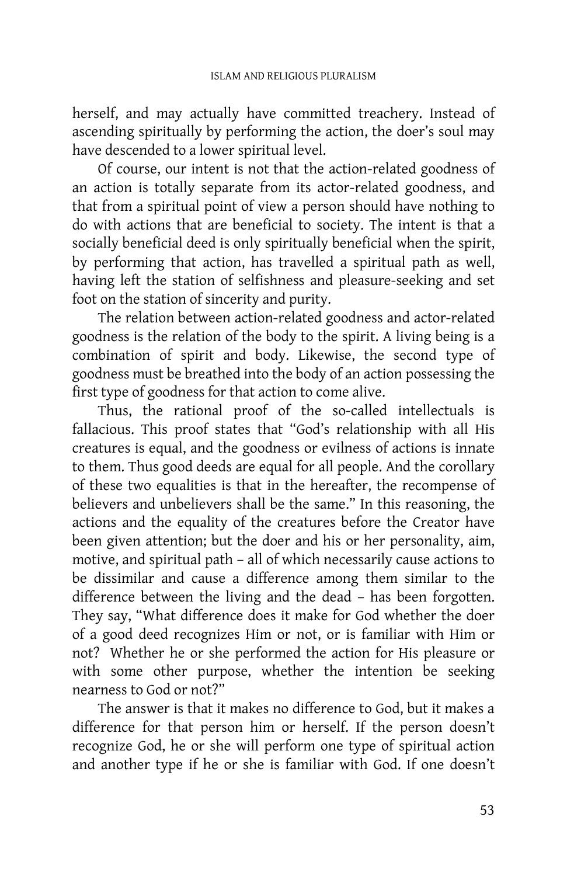herself, and may actually have committed treachery. Instead of ascending spiritually by performing the action, the doer's soul may have descended to a lower spiritual level.

 Of course, our intent is not that the action-related goodness of an action is totally separate from its actor-related goodness, and that from a spiritual point of view a person should have nothing to do with actions that are beneficial to society. The intent is that a socially beneficial deed is only spiritually beneficial when the spirit, by performing that action, has travelled a spiritual path as well, having left the station of selfishness and pleasure-seeking and set foot on the station of sincerity and purity.

 The relation between action-related goodness and actor-related goodness is the relation of the body to the spirit. A living being is a combination of spirit and body. Likewise, the second type of goodness must be breathed into the body of an action possessing the first type of goodness for that action to come alive.

 Thus, the rational proof of the so-called intellectuals is fallacious. This proof states that "God's relationship with all His creatures is equal, and the goodness or evilness of actions is innate to them. Thus good deeds are equal for all people. And the corollary of these two equalities is that in the hereafter, the recompense of believers and unbelievers shall be the same." In this reasoning, the actions and the equality of the creatures before the Creator have been given attention; but the doer and his or her personality, aim, motive, and spiritual path – all of which necessarily cause actions to be dissimilar and cause a difference among them similar to the difference between the living and the dead – has been forgotten. They say, "What difference does it make for God whether the doer of a good deed recognizes Him or not, or is familiar with Him or not? Whether he or she performed the action for His pleasure or with some other purpose, whether the intention be seeking nearness to God or not?"

 The answer is that it makes no difference to God, but it makes a difference for that person him or herself. If the person doesn't recognize God, he or she will perform one type of spiritual action and another type if he or she is familiar with God. If one doesn't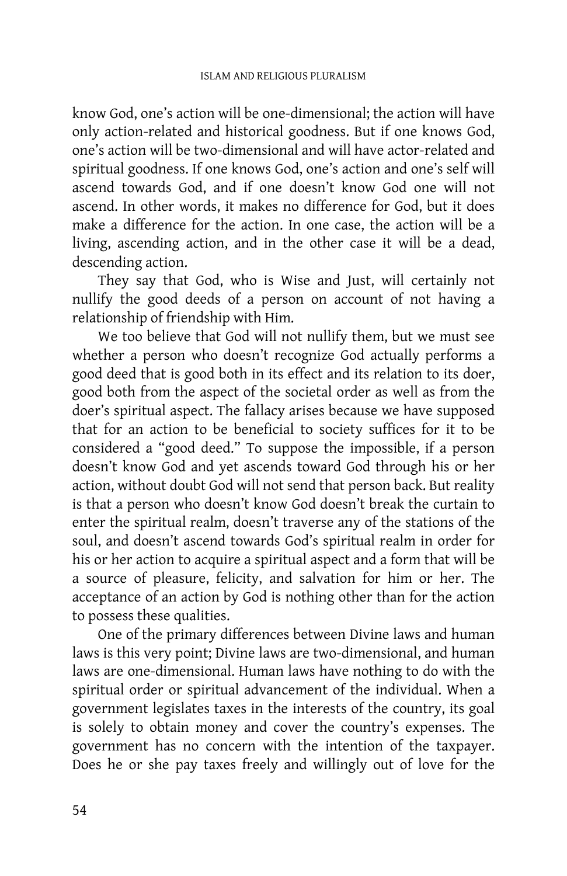know God, one's action will be one-dimensional; the action will have only action-related and historical goodness. But if one knows God, one's action will be two-dimensional and will have actor-related and spiritual goodness. If one knows God, one's action and one's self will ascend towards God, and if one doesn't know God one will not ascend. In other words, it makes no difference for God, but it does make a difference for the action. In one case, the action will be a living, ascending action, and in the other case it will be a dead, descending action.

 They say that God, who is Wise and Just, will certainly not nullify the good deeds of a person on account of not having a relationship of friendship with Him.

 We too believe that God will not nullify them, but we must see whether a person who doesn't recognize God actually performs a good deed that is good both in its effect and its relation to its doer, good both from the aspect of the societal order as well as from the doer's spiritual aspect. The fallacy arises because we have supposed that for an action to be beneficial to society suffices for it to be considered a "good deed." To suppose the impossible, if a person doesn't know God and yet ascends toward God through his or her action, without doubt God will not send that person back. But reality is that a person who doesn't know God doesn't break the curtain to enter the spiritual realm, doesn't traverse any of the stations of the soul, and doesn't ascend towards God's spiritual realm in order for his or her action to acquire a spiritual aspect and a form that will be a source of pleasure, felicity, and salvation for him or her. The acceptance of an action by God is nothing other than for the action to possess these qualities.

 One of the primary differences between Divine laws and human laws is this very point; Divine laws are two-dimensional, and human laws are one-dimensional. Human laws have nothing to do with the spiritual order or spiritual advancement of the individual. When a government legislates taxes in the interests of the country, its goal is solely to obtain money and cover the country's expenses. The government has no concern with the intention of the taxpayer. Does he or she pay taxes freely and willingly out of love for the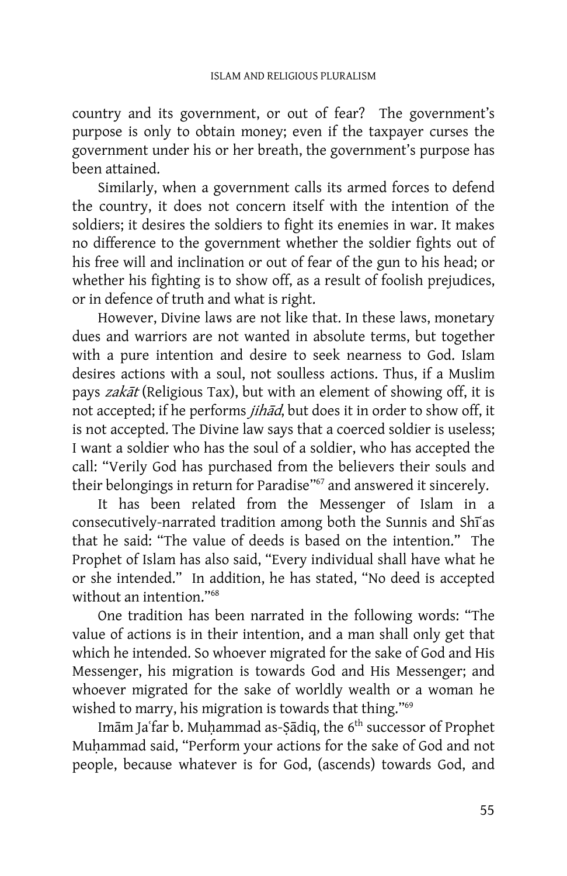country and its government, or out of fear? The government's purpose is only to obtain money; even if the taxpayer curses the government under his or her breath, the government's purpose has been attained.

 Similarly, when a government calls its armed forces to defend the country, it does not concern itself with the intention of the soldiers; it desires the soldiers to fight its enemies in war. It makes no difference to the government whether the soldier fights out of his free will and inclination or out of fear of the gun to his head; or whether his fighting is to show off, as a result of foolish prejudices, or in defence of truth and what is right.

 However, Divine laws are not like that. In these laws, monetary dues and warriors are not wanted in absolute terms, but together with a pure intention and desire to seek nearness to God. Islam desires actions with a soul, not soulless actions. Thus, if a Muslim pays zakāt (Religious Tax), but with an element of showing off, it is not accepted; if he performs jihad, but does it in order to show off, it is not accepted. The Divine law says that a coerced soldier is useless; I want a soldier who has the soul of a soldier, who has accepted the call: "Verily God has purchased from the believers their souls and their belongings in return for Paradise"<sup>67</sup> and answered it sincerely.

 It has been related from the Messenger of Islam in a consecutively-narrated tradition among both the Sunnis and Shi<sup>as</sup> that he said: "The value of deeds is based on the intention." The Prophet of Islam has also said, "Every individual shall have what he or she intended." In addition, he has stated, "No deed is accepted without an intention."<sup>68</sup>

 One tradition has been narrated in the following words: "The value of actions is in their intention, and a man shall only get that which he intended. So whoever migrated for the sake of God and His Messenger, his migration is towards God and His Messenger; and whoever migrated for the sake of worldly wealth or a woman he wished to marry, his migration is towards that thing."<sup>69</sup>

Imām Jaʿfar b. Muḥammad as-Ṣādiq, the 6<sup>th</sup> successor of Prophet Muhammad said, "Perform your actions for the sake of God and not people, because whatever is for God, (ascends) towards God, and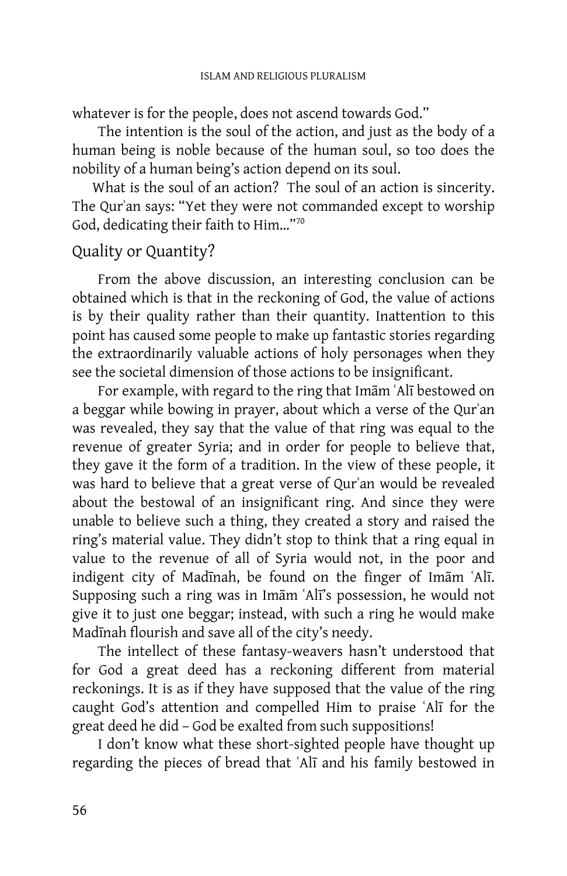whatever is for the people, does not ascend towards God."

 The intention is the soul of the action, and just as the body of a human being is noble because of the human soul, so too does the nobility of a human being's action depend on its soul.

What is the soul of an action? The soul of an action is sincerity. The Qur'an says: "Yet they were not commanded except to worship God, dedicating their faith to Him…"<sup>70</sup>

### Quality or Quantity?

From the above discussion, an interesting conclusion can be obtained which is that in the reckoning of God, the value of actions is by their quality rather than their quantity. Inattention to this point has caused some people to make up fantastic stories regarding the extraordinarily valuable actions of holy personages when they see the societal dimension of those actions to be insignificant.

For example, with regard to the ring that Imam `Ali bestowed on a beggar while bowing in prayer, about which a verse of the Qur`an was revealed, they say that the value of that ring was equal to the revenue of greater Syria; and in order for people to believe that, they gave it the form of a tradition. In the view of these people, it was hard to believe that a great verse of Qur`an would be revealed about the bestowal of an insignificant ring. And since they were unable to believe such a thing, they created a story and raised the ring's material value. They didn't stop to think that a ring equal in value to the revenue of all of Syria would not, in the poor and indigent city of Madinah, be found on the finger of Imam 'Ali. Supposing such a ring was in Imam 'Ali's possession, he would not give it to just one beggar; instead, with such a ring he would make Madinah flourish and save all of the city's needy.

 The intellect of these fantasy-weavers hasn't understood that for God a great deed has a reckoning different from material reckonings. It is as if they have supposed that the value of the ring caught God's attention and compelled Him to praise 'Alī for the great deed he did – God be exalted from such suppositions!

 I don't know what these short-sighted people have thought up regarding the pieces of bread that 'Alī and his family bestowed in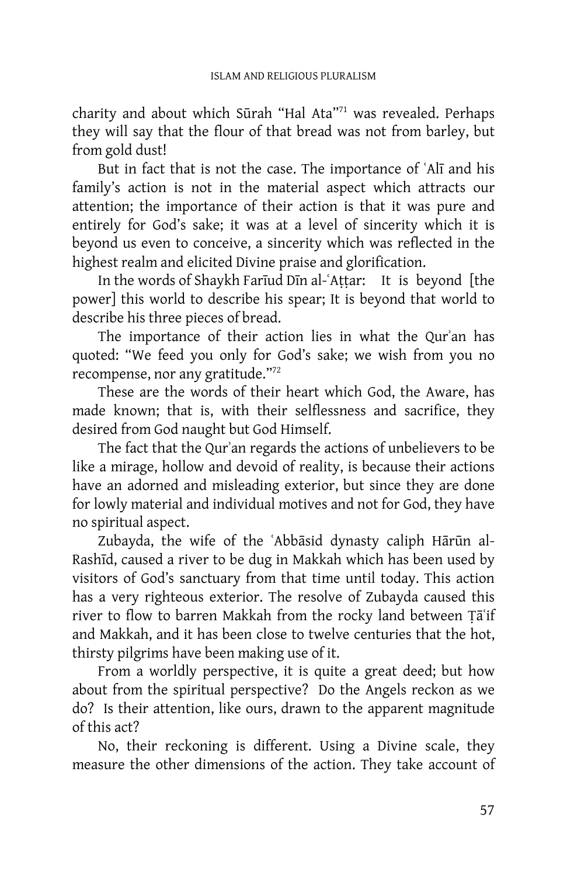charity and about which Sūrah "Hal Ata"<sup>71</sup> was revealed. Perhaps they will say that the flour of that bread was not from barley, but from gold dust!

But in fact that is not the case. The importance of 'Alī and his family's action is not in the material aspect which attracts our attention; the importance of their action is that it was pure and entirely for God's sake; it was at a level of sincerity which it is beyond us even to conceive, a sincerity which was reflected in the highest realm and elicited Divine praise and glorification.

In the words of Shaykh Fariud Din al-`Attar: It is beyond [the power] this world to describe his spear; It is beyond that world to describe his three pieces of bread.

The importance of their action lies in what the Qur'an has quoted: "We feed you only for God's sake; we wish from you no recompense, nor any gratitude."<sup>72</sup>

 These are the words of their heart which God, the Aware, has made known; that is, with their selflessness and sacrifice, they desired from God naught but God Himself.

 The fact that the Qur`an regards the actions of unbelievers to be like a mirage, hollow and devoid of reality, is because their actions have an adorned and misleading exterior, but since they are done for lowly material and individual motives and not for God, they have no spiritual aspect.

Zubayda, the wife of the `Abbāsid dynasty caliph Hārūn al-Rashīd, caused a river to be dug in Makkah which has been used by visitors of God's sanctuary from that time until today. This action has a very righteous exterior. The resolve of Zubayda caused this river to flow to barren Makkah from the rocky land between Ta'if and Makkah, and it has been close to twelve centuries that the hot, thirsty pilgrims have been making use of it.

 From a worldly perspective, it is quite a great deed; but how about from the spiritual perspective? Do the Angels reckon as we do? Is their attention, like ours, drawn to the apparent magnitude of this act?

 No, their reckoning is different. Using a Divine scale, they measure the other dimensions of the action. They take account of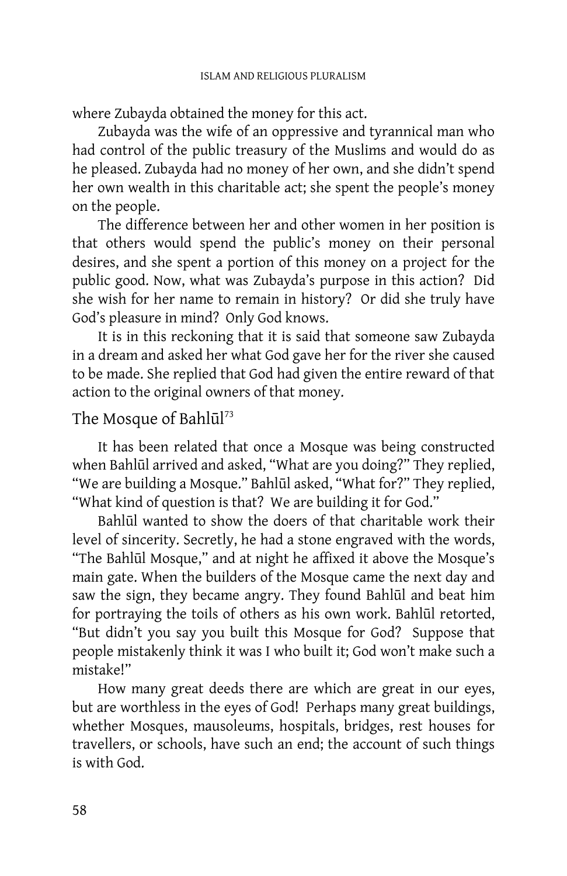where Zubayda obtained the money for this act.

 Zubayda was the wife of an oppressive and tyrannical man who had control of the public treasury of the Muslims and would do as he pleased. Zubayda had no money of her own, and she didn't spend her own wealth in this charitable act; she spent the people's money on the people.

 The difference between her and other women in her position is that others would spend the public's money on their personal desires, and she spent a portion of this money on a project for the public good. Now, what was Zubayda's purpose in this action? Did she wish for her name to remain in history? Or did she truly have God's pleasure in mind? Only God knows.

 It is in this reckoning that it is said that someone saw Zubayda in a dream and asked her what God gave her for the river she caused to be made. She replied that God had given the entire reward of that action to the original owners of that money.

### The Mosque of Bahl $\bar{u}I^{73}$

It has been related that once a Mosque was being constructed when Bahlūl arrived and asked, "What are you doing?" They replied, "We are building a Mosque." Bahlūl asked, "What for?" They replied, "What kind of question is that? We are building it for God."

Bahlūl wanted to show the doers of that charitable work their level of sincerity. Secretly, he had a stone engraved with the words, "The Bahlūl Mosque," and at night he affixed it above the Mosque's main gate. When the builders of the Mosque came the next day and saw the sign, they became angry. They found Bahlūl and beat him for portraying the toils of others as his own work. Bahlūl retorted, "But didn't you say you built this Mosque for God? Suppose that people mistakenly think it was I who built it; God won't make such a mistake!"

 How many great deeds there are which are great in our eyes, but are worthless in the eyes of God! Perhaps many great buildings, whether Mosques, mausoleums, hospitals, bridges, rest houses for travellers, or schools, have such an end; the account of such things is with God.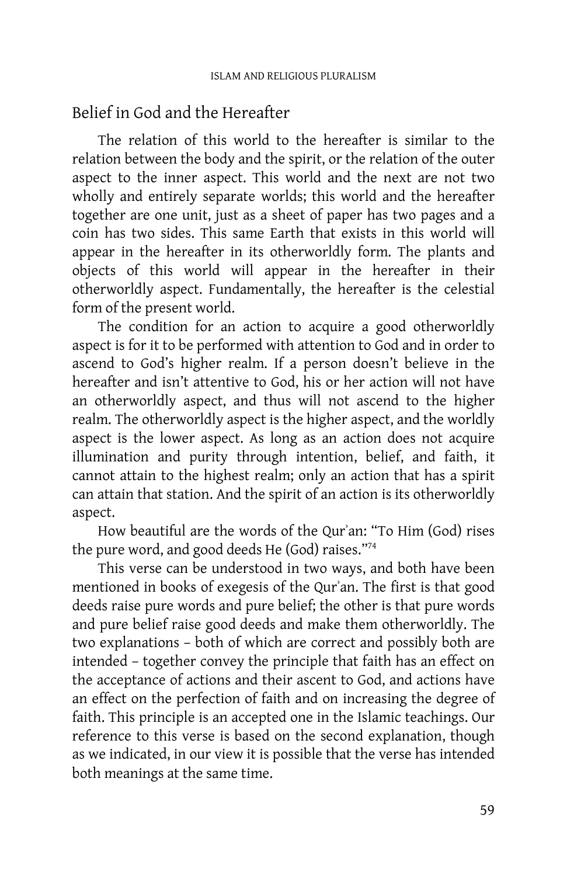#### Belief in God and the Hereafter

The relation of this world to the hereafter is similar to the relation between the body and the spirit, or the relation of the outer aspect to the inner aspect. This world and the next are not two wholly and entirely separate worlds; this world and the hereafter together are one unit, just as a sheet of paper has two pages and a coin has two sides. This same Earth that exists in this world will appear in the hereafter in its otherworldly form. The plants and objects of this world will appear in the hereafter in their otherworldly aspect. Fundamentally, the hereafter is the celestial form of the present world.

 The condition for an action to acquire a good otherworldly aspect is for it to be performed with attention to God and in order to ascend to God's higher realm. If a person doesn't believe in the hereafter and isn't attentive to God, his or her action will not have an otherworldly aspect, and thus will not ascend to the higher realm. The otherworldly aspect is the higher aspect, and the worldly aspect is the lower aspect. As long as an action does not acquire illumination and purity through intention, belief, and faith, it cannot attain to the highest realm; only an action that has a spirit can attain that station. And the spirit of an action is its otherworldly aspect.

 How beautiful are the words of the Qur`an: "To Him (God) rises the pure word, and good deeds He (God) raises."<sup>74</sup>

 This verse can be understood in two ways, and both have been mentioned in books of exegesis of the Qur`an. The first is that good deeds raise pure words and pure belief; the other is that pure words and pure belief raise good deeds and make them otherworldly. The two explanations – both of which are correct and possibly both are intended – together convey the principle that faith has an effect on the acceptance of actions and their ascent to God, and actions have an effect on the perfection of faith and on increasing the degree of faith. This principle is an accepted one in the Islamic teachings. Our reference to this verse is based on the second explanation, though as we indicated, in our view it is possible that the verse has intended both meanings at the same time.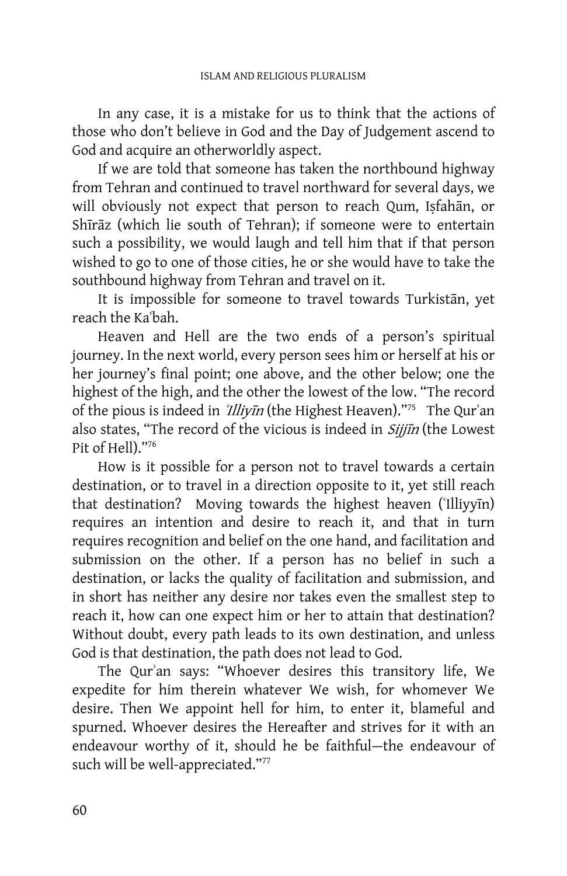In any case, it is a mistake for us to think that the actions of those who don't believe in God and the Day of Judgement ascend to God and acquire an otherworldly aspect.

 If we are told that someone has taken the northbound highway from Tehran and continued to travel northward for several days, we will obviously not expect that person to reach Qum, Isfahan, or Shīrāz (which lie south of Tehran); if someone were to entertain such a possibility, we would laugh and tell him that if that person wished to go to one of those cities, he or she would have to take the southbound highway from Tehran and travel on it.

It is impossible for someone to travel towards Turkistan, yet reach the Ka˜bah.

 Heaven and Hell are the two ends of a person's spiritual journey. In the next world, every person sees him or herself at his or her journey's final point; one above, and the other below; one the highest of the high, and the other the lowest of the low. "The record of the pious is indeed in *'Illiyīn* (the Highest Heaven)."<sup>75</sup> The Qur'an also states, "The record of the vicious is indeed in Sijjīn (the Lowest Pit of Hell)."<sup>76</sup>

 How is it possible for a person not to travel towards a certain destination, or to travel in a direction opposite to it, yet still reach that destination? Moving towards the highest heaven ('Illiyyin) requires an intention and desire to reach it, and that in turn requires recognition and belief on the one hand, and facilitation and submission on the other. If a person has no belief in such a destination, or lacks the quality of facilitation and submission, and in short has neither any desire nor takes even the smallest step to reach it, how can one expect him or her to attain that destination? Without doubt, every path leads to its own destination, and unless God is that destination, the path does not lead to God.

 The Qur`an says: "Whoever desires this transitory life, We expedite for him therein whatever We wish, for whomever We desire. Then We appoint hell for him, to enter it, blameful and spurned. Whoever desires the Hereafter and strives for it with an endeavour worthy of it, should he be faithful—the endeavour of such will be well-appreciated."77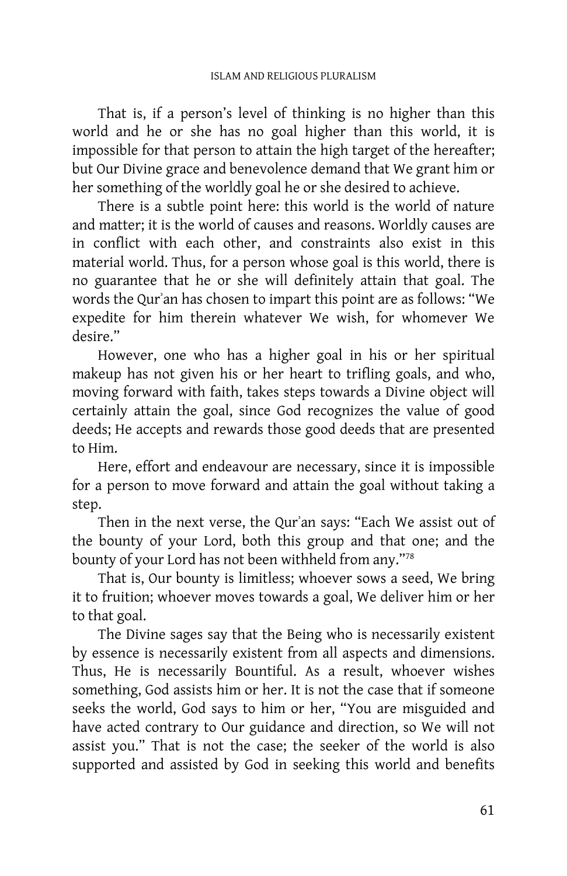That is, if a person's level of thinking is no higher than this world and he or she has no goal higher than this world, it is impossible for that person to attain the high target of the hereafter; but Our Divine grace and benevolence demand that We grant him or her something of the worldly goal he or she desired to achieve.

 There is a subtle point here: this world is the world of nature and matter; it is the world of causes and reasons. Worldly causes are in conflict with each other, and constraints also exist in this material world. Thus, for a person whose goal is this world, there is no guarantee that he or she will definitely attain that goal. The words the Qur`an has chosen to impart this point are as follows: "We expedite for him therein whatever We wish, for whomever We desire."

 However, one who has a higher goal in his or her spiritual makeup has not given his or her heart to trifling goals, and who, moving forward with faith, takes steps towards a Divine object will certainly attain the goal, since God recognizes the value of good deeds; He accepts and rewards those good deeds that are presented to Him.

 Here, effort and endeavour are necessary, since it is impossible for a person to move forward and attain the goal without taking a step.

 Then in the next verse, the Qur`an says: "Each We assist out of the bounty of your Lord, both this group and that one; and the bounty of your Lord has not been withheld from any." 78

 That is, Our bounty is limitless; whoever sows a seed, We bring it to fruition; whoever moves towards a goal, We deliver him or her to that goal.

 The Divine sages say that the Being who is necessarily existent by essence is necessarily existent from all aspects and dimensions. Thus, He is necessarily Bountiful. As a result, whoever wishes something, God assists him or her. It is not the case that if someone seeks the world, God says to him or her, "You are misguided and have acted contrary to Our guidance and direction, so We will not assist you." That is not the case; the seeker of the world is also supported and assisted by God in seeking this world and benefits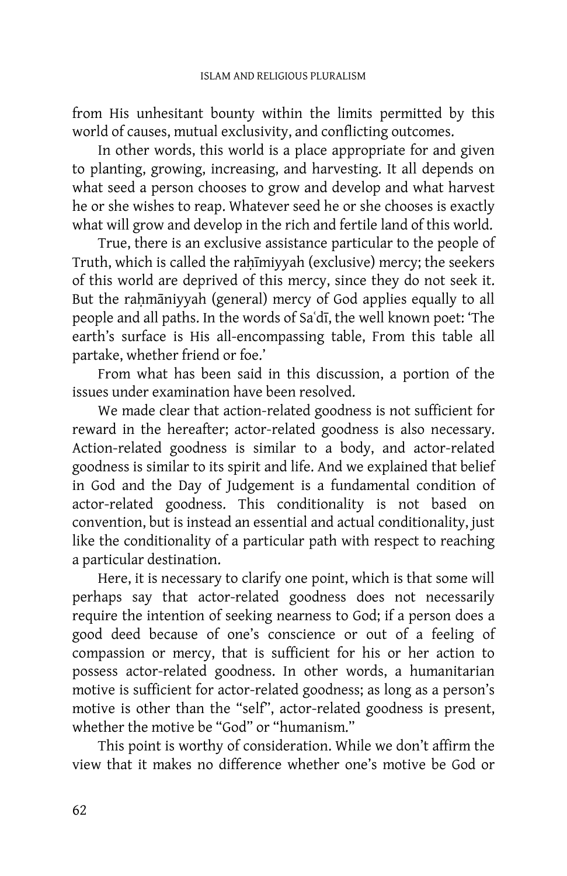from His unhesitant bounty within the limits permitted by this world of causes, mutual exclusivity, and conflicting outcomes.

 In other words, this world is a place appropriate for and given to planting, growing, increasing, and harvesting. It all depends on what seed a person chooses to grow and develop and what harvest he or she wishes to reap. Whatever seed he or she chooses is exactly what will grow and develop in the rich and fertile land of this world.

 True, there is an exclusive assistance particular to the people of Truth, which is called the rahimiyyah (exclusive) mercy; the seekers of this world are deprived of this mercy, since they do not seek it. But the rahmāniyyah (general) mercy of God applies equally to all people and all paths. In the words of Saʿdī, the well known poet: 'The earth's surface is His all-encompassing table, From this table all partake, whether friend or foe.'

From what has been said in this discussion, a portion of the issues under examination have been resolved.

 We made clear that action-related goodness is not sufficient for reward in the hereafter; actor-related goodness is also necessary. Action-related goodness is similar to a body, and actor-related goodness is similar to its spirit and life. And we explained that belief in God and the Day of Judgement is a fundamental condition of actor-related goodness. This conditionality is not based on convention, but is instead an essential and actual conditionality, just like the conditionality of a particular path with respect to reaching a particular destination.

 Here, it is necessary to clarify one point, which is that some will perhaps say that actor-related goodness does not necessarily require the intention of seeking nearness to God; if a person does a good deed because of one's conscience or out of a feeling of compassion or mercy, that is sufficient for his or her action to possess actor-related goodness. In other words, a humanitarian motive is sufficient for actor-related goodness; as long as a person's motive is other than the "self", actor-related goodness is present, whether the motive be "God" or "humanism."

 This point is worthy of consideration. While we don't affirm the view that it makes no difference whether one's motive be God or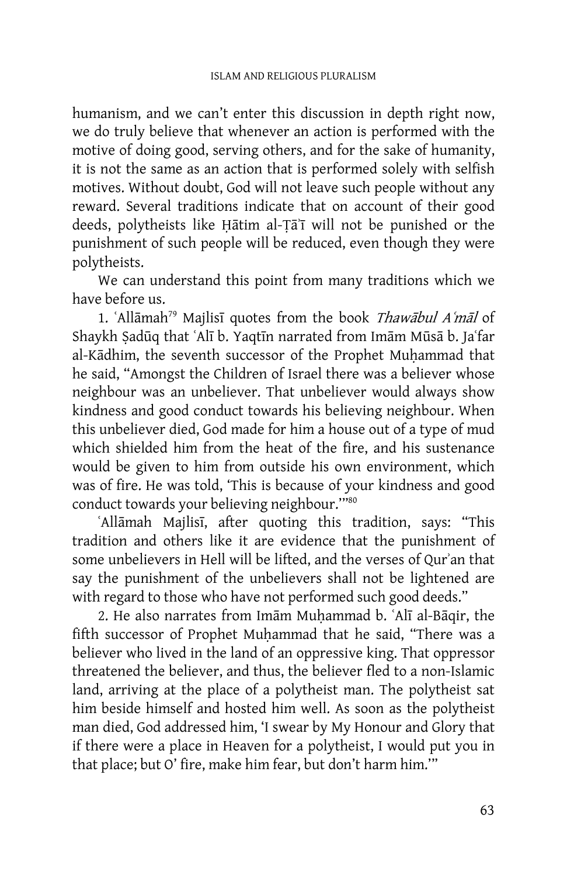humanism, and we can't enter this discussion in depth right now, we do truly believe that whenever an action is performed with the motive of doing good, serving others, and for the sake of humanity, it is not the same as an action that is performed solely with selfish motives. Without doubt, God will not leave such people without any reward. Several traditions indicate that on account of their good deeds, polytheists like Hātim al-Țā i will not be punished or the punishment of such people will be reduced, even though they were polytheists.

 We can understand this point from many traditions which we have before us.

1. 'Allāmah<sup>79</sup> Majlisī quotes from the book *Thawābul A'māl* of Shaykh Şadūq that ʿAlī b. Yaqtīn narrated from Imām Mūsā b. Jaʿfar al-Kādhim, the seventh successor of the Prophet Muhammad that he said, "Amongst the Children of Israel there was a believer whose neighbour was an unbeliever. That unbeliever would always show kindness and good conduct towards his believing neighbour. When this unbeliever died, God made for him a house out of a type of mud which shielded him from the heat of the fire, and his sustenance would be given to him from outside his own environment, which was of fire. He was told, 'This is because of your kindness and good conduct towards your believing neighbour.'"<sup>80</sup>

'Allāmah Majlisī, after quoting this tradition, says: "This tradition and others like it are evidence that the punishment of some unbelievers in Hell will be lifted, and the verses of Qur`an that say the punishment of the unbelievers shall not be lightened are with regard to those who have not performed such good deeds."

2. He also narrates from Imām Muhammad b. ʿAlī al-Bāqir, the fifth successor of Prophet Muḥammad that he said, "There was a believer who lived in the land of an oppressive king. That oppressor threatened the believer, and thus, the believer fled to a non-Islamic land, arriving at the place of a polytheist man. The polytheist sat him beside himself and hosted him well. As soon as the polytheist man died, God addressed him, 'I swear by My Honour and Glory that if there were a place in Heaven for a polytheist, I would put you in that place; but O' fire, make him fear, but don't harm him.'"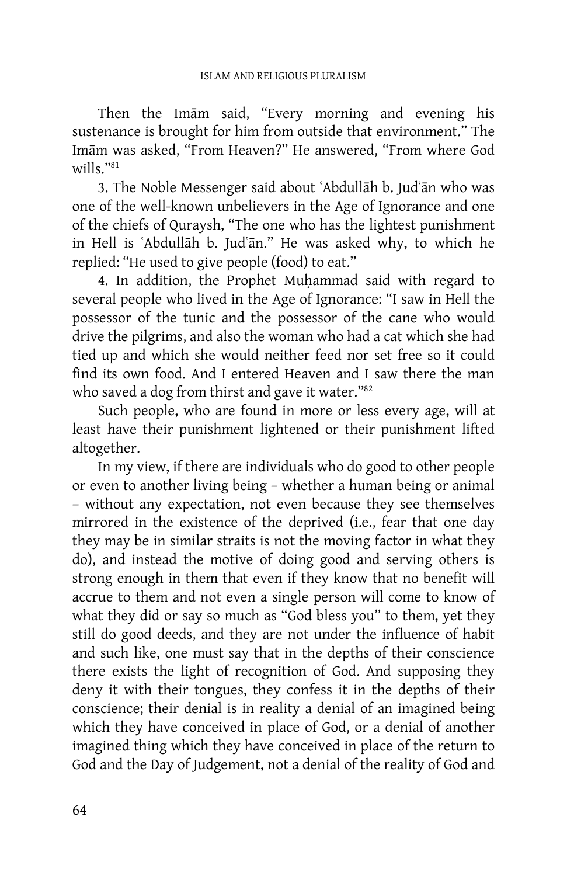Then the Imam said, "Every morning and evening his sustenance is brought for him from outside that environment." The Imām was asked, "From Heaven?" He answered, "From where God wills."<sup>81</sup>

3. The Noble Messenger said about `Abdullāh b. Jud`ān who was one of the well-known unbelievers in the Age of Ignorance and one of the chiefs of Quraysh, "The one who has the lightest punishment in Hell is `Abdullah b. Jud`an." He was asked why, to which he replied: "He used to give people (food) to eat."

4. In addition, the Prophet Muhammad said with regard to several people who lived in the Age of Ignorance: "I saw in Hell the possessor of the tunic and the possessor of the cane who would drive the pilgrims, and also the woman who had a cat which she had tied up and which she would neither feed nor set free so it could find its own food. And I entered Heaven and I saw there the man who saved a dog from thirst and gave it water."<sup>82</sup>

 Such people, who are found in more or less every age, will at least have their punishment lightened or their punishment lifted altogether.

 In my view, if there are individuals who do good to other people or even to another living being – whether a human being or animal – without any expectation, not even because they see themselves mirrored in the existence of the deprived (i.e., fear that one day they may be in similar straits is not the moving factor in what they do), and instead the motive of doing good and serving others is strong enough in them that even if they know that no benefit will accrue to them and not even a single person will come to know of what they did or say so much as "God bless you" to them, yet they still do good deeds, and they are not under the influence of habit and such like, one must say that in the depths of their conscience there exists the light of recognition of God. And supposing they deny it with their tongues, they confess it in the depths of their conscience; their denial is in reality a denial of an imagined being which they have conceived in place of God, or a denial of another imagined thing which they have conceived in place of the return to God and the Day of Judgement, not a denial of the reality of God and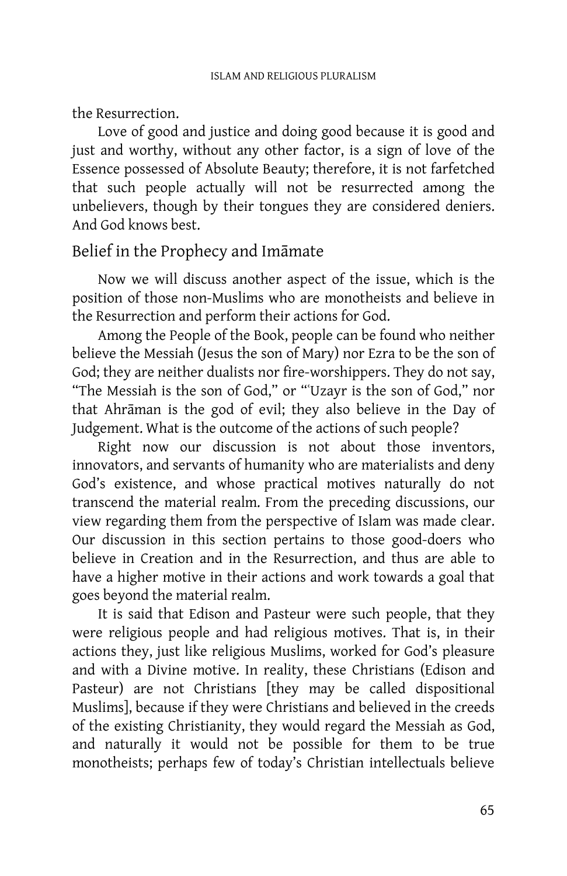the Resurrection.

 Love of good and justice and doing good because it is good and just and worthy, without any other factor, is a sign of love of the Essence possessed of Absolute Beauty; therefore, it is not farfetched that such people actually will not be resurrected among the unbelievers, though by their tongues they are considered deniers. And God knows best.

# Belief in the Prophecy and Imāmate

Now we will discuss another aspect of the issue, which is the position of those non-Muslims who are monotheists and believe in the Resurrection and perform their actions for God.

 Among the People of the Book, people can be found who neither believe the Messiah (Jesus the son of Mary) nor Ezra to be the son of God; they are neither dualists nor fire-worshippers. They do not say, "The Messiah is the son of God," or "˜Uzayr is the son of God," nor that Ahrāman is the god of evil; they also believe in the Day of Judgement. What is the outcome of the actions of such people?

 Right now our discussion is not about those inventors, innovators, and servants of humanity who are materialists and deny God's existence, and whose practical motives naturally do not transcend the material realm. From the preceding discussions, our view regarding them from the perspective of Islam was made clear. Our discussion in this section pertains to those good-doers who believe in Creation and in the Resurrection, and thus are able to have a higher motive in their actions and work towards a goal that goes beyond the material realm.

 It is said that Edison and Pasteur were such people, that they were religious people and had religious motives. That is, in their actions they, just like religious Muslims, worked for God's pleasure and with a Divine motive. In reality, these Christians (Edison and Pasteur) are not Christians [they may be called dispositional Muslims], because if they were Christians and believed in the creeds of the existing Christianity, they would regard the Messiah as God, and naturally it would not be possible for them to be true monotheists; perhaps few of today's Christian intellectuals believe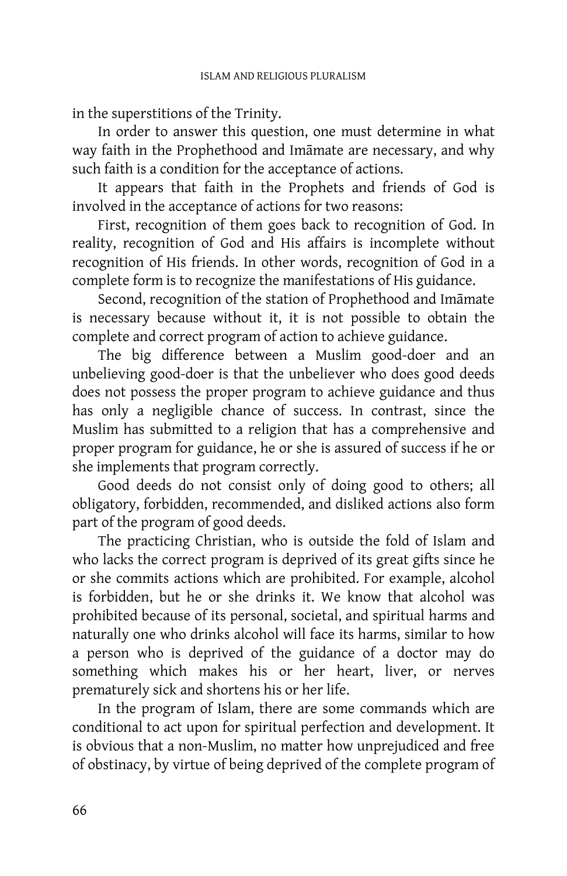in the superstitions of the Trinity.

 In order to answer this question, one must determine in what way faith in the Prophethood and Imamate are necessary, and why such faith is a condition for the acceptance of actions.

 It appears that faith in the Prophets and friends of God is involved in the acceptance of actions for two reasons:

 First, recognition of them goes back to recognition of God. In reality, recognition of God and His affairs is incomplete without recognition of His friends. In other words, recognition of God in a complete form is to recognize the manifestations of His guidance.

Second, recognition of the station of Prophethood and Imamate is necessary because without it, it is not possible to obtain the complete and correct program of action to achieve guidance.

 The big difference between a Muslim good-doer and an unbelieving good-doer is that the unbeliever who does good deeds does not possess the proper program to achieve guidance and thus has only a negligible chance of success. In contrast, since the Muslim has submitted to a religion that has a comprehensive and proper program for guidance, he or she is assured of success if he or she implements that program correctly.

 Good deeds do not consist only of doing good to others; all obligatory, forbidden, recommended, and disliked actions also form part of the program of good deeds.

 The practicing Christian, who is outside the fold of Islam and who lacks the correct program is deprived of its great gifts since he or she commits actions which are prohibited. For example, alcohol is forbidden, but he or she drinks it. We know that alcohol was prohibited because of its personal, societal, and spiritual harms and naturally one who drinks alcohol will face its harms, similar to how a person who is deprived of the guidance of a doctor may do something which makes his or her heart, liver, or nerves prematurely sick and shortens his or her life.

 In the program of Islam, there are some commands which are conditional to act upon for spiritual perfection and development. It is obvious that a non-Muslim, no matter how unprejudiced and free of obstinacy, by virtue of being deprived of the complete program of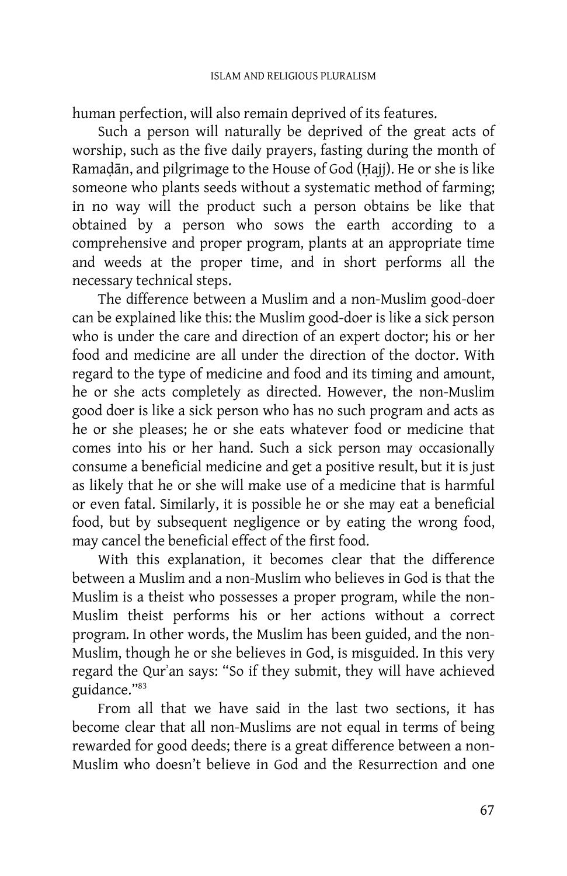human perfection, will also remain deprived of its features.

 Such a person will naturally be deprived of the great acts of worship, such as the five daily prayers, fasting during the month of Ramadān, and pilgrimage to the House of God (Hajj). He or she is like someone who plants seeds without a systematic method of farming; in no way will the product such a person obtains be like that obtained by a person who sows the earth according to a comprehensive and proper program, plants at an appropriate time and weeds at the proper time, and in short performs all the necessary technical steps.

 The difference between a Muslim and a non-Muslim good-doer can be explained like this: the Muslim good-doer is like a sick person who is under the care and direction of an expert doctor; his or her food and medicine are all under the direction of the doctor. With regard to the type of medicine and food and its timing and amount, he or she acts completely as directed. However, the non-Muslim good doer is like a sick person who has no such program and acts as he or she pleases; he or she eats whatever food or medicine that comes into his or her hand. Such a sick person may occasionally consume a beneficial medicine and get a positive result, but it is just as likely that he or she will make use of a medicine that is harmful or even fatal. Similarly, it is possible he or she may eat a beneficial food, but by subsequent negligence or by eating the wrong food, may cancel the beneficial effect of the first food.

 With this explanation, it becomes clear that the difference between a Muslim and a non-Muslim who believes in God is that the Muslim is a theist who possesses a proper program, while the non-Muslim theist performs his or her actions without a correct program. In other words, the Muslim has been guided, and the non-Muslim, though he or she believes in God, is misguided. In this very regard the Qur`an says: "So if they submit, they will have achieved guidance."<sup>83</sup>

 From all that we have said in the last two sections, it has become clear that all non-Muslims are not equal in terms of being rewarded for good deeds; there is a great difference between a non-Muslim who doesn't believe in God and the Resurrection and one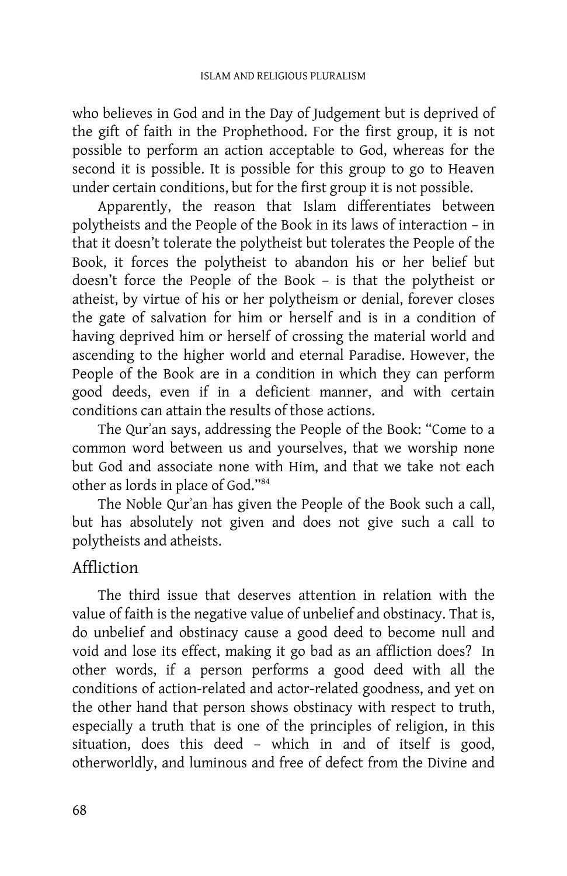who believes in God and in the Day of Judgement but is deprived of the gift of faith in the Prophethood. For the first group, it is not possible to perform an action acceptable to God, whereas for the second it is possible. It is possible for this group to go to Heaven under certain conditions, but for the first group it is not possible.

 Apparently, the reason that Islam differentiates between polytheists and the People of the Book in its laws of interaction – in that it doesn't tolerate the polytheist but tolerates the People of the Book, it forces the polytheist to abandon his or her belief but doesn't force the People of the Book – is that the polytheist or atheist, by virtue of his or her polytheism or denial, forever closes the gate of salvation for him or herself and is in a condition of having deprived him or herself of crossing the material world and ascending to the higher world and eternal Paradise. However, the People of the Book are in a condition in which they can perform good deeds, even if in a deficient manner, and with certain conditions can attain the results of those actions.

The Qur'an says, addressing the People of the Book: "Come to a common word between us and yourselves, that we worship none but God and associate none with Him, and that we take not each other as lords in place of God."<sup>84</sup>

 The Noble Qur`an has given the People of the Book such a call, but has absolutely not given and does not give such a call to polytheists and atheists.

## Affliction

The third issue that deserves attention in relation with the value of faith is the negative value of unbelief and obstinacy. That is, do unbelief and obstinacy cause a good deed to become null and void and lose its effect, making it go bad as an affliction does? In other words, if a person performs a good deed with all the conditions of action-related and actor-related goodness, and yet on the other hand that person shows obstinacy with respect to truth, especially a truth that is one of the principles of religion, in this situation, does this deed – which in and of itself is good, otherworldly, and luminous and free of defect from the Divine and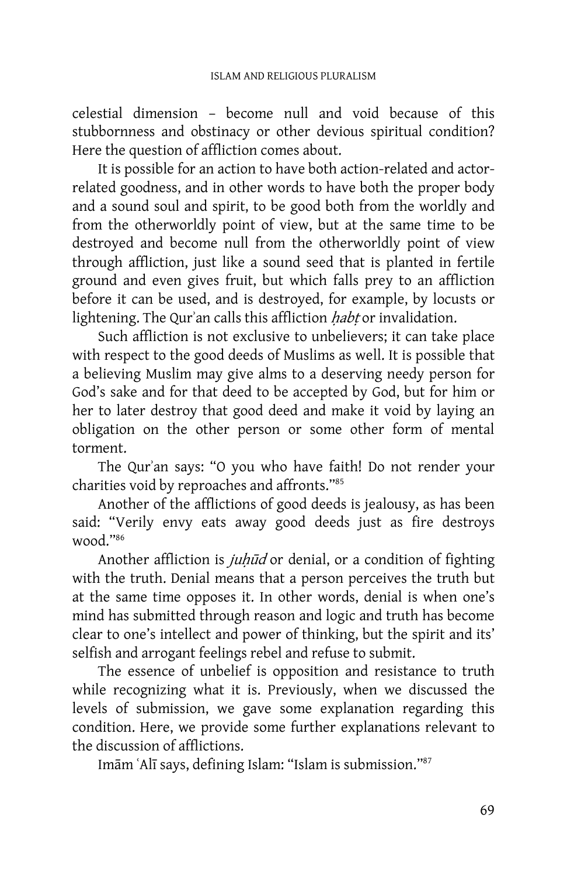celestial dimension – become null and void because of this stubbornness and obstinacy or other devious spiritual condition? Here the question of affliction comes about.

 It is possible for an action to have both action-related and actorrelated goodness, and in other words to have both the proper body and a sound soul and spirit, to be good both from the worldly and from the otherworldly point of view, but at the same time to be destroyed and become null from the otherworldly point of view through affliction, just like a sound seed that is planted in fertile ground and even gives fruit, but which falls prey to an affliction before it can be used, and is destroyed, for example, by locusts or lightening. The Qur'an calls this affliction habt or invalidation.

 Such affliction is not exclusive to unbelievers; it can take place with respect to the good deeds of Muslims as well. It is possible that a believing Muslim may give alms to a deserving needy person for God's sake and for that deed to be accepted by God, but for him or her to later destroy that good deed and make it void by laying an obligation on the other person or some other form of mental torment.

 The Qur`an says: "O you who have faith! Do not render your charities void by reproaches and affronts."<sup>85</sup>

 Another of the afflictions of good deeds is jealousy, as has been said: "Verily envy eats away good deeds just as fire destroys wood."<sup>86</sup>

Another affliction is juhūd or denial, or a condition of fighting with the truth. Denial means that a person perceives the truth but at the same time opposes it. In other words, denial is when one's mind has submitted through reason and logic and truth has become clear to one's intellect and power of thinking, but the spirit and its' selfish and arrogant feelings rebel and refuse to submit.

 The essence of unbelief is opposition and resistance to truth while recognizing what it is. Previously, when we discussed the levels of submission, we gave some explanation regarding this condition. Here, we provide some further explanations relevant to the discussion of afflictions.

Imām ʿAlī says, defining Islam: "Islam is submission."87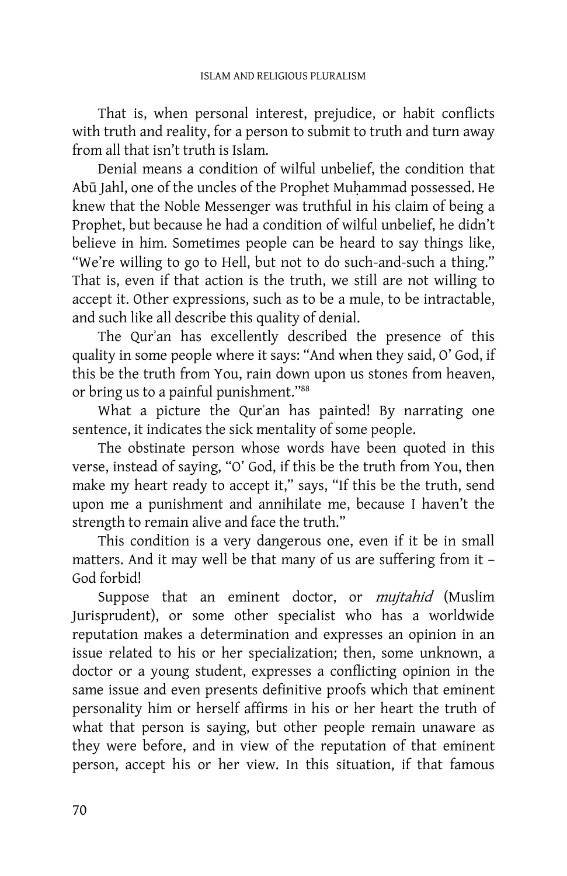That is, when personal interest, prejudice, or habit conflicts with truth and reality, for a person to submit to truth and turn away from all that isn't truth is Islam.

 Denial means a condition of wilful unbelief, the condition that Abū Jahl, one of the uncles of the Prophet Muhammad possessed. He knew that the Noble Messenger was truthful in his claim of being a Prophet, but because he had a condition of wilful unbelief, he didn't believe in him. Sometimes people can be heard to say things like, "We're willing to go to Hell, but not to do such-and-such a thing." That is, even if that action is the truth, we still are not willing to accept it. Other expressions, such as to be a mule, to be intractable, and such like all describe this quality of denial.

The Qur'an has excellently described the presence of this quality in some people where it says: "And when they said, O' God, if this be the truth from You, rain down upon us stones from heaven, or bring us to a painful punishment."<sup>88</sup>

 What a picture the Qur`an has painted! By narrating one sentence, it indicates the sick mentality of some people.

 The obstinate person whose words have been quoted in this verse, instead of saying, "O' God, if this be the truth from You, then make my heart ready to accept it," says, "If this be the truth, send upon me a punishment and annihilate me, because I haven't the strength to remain alive and face the truth."

 This condition is a very dangerous one, even if it be in small matters. And it may well be that many of us are suffering from it – God forbid!

Suppose that an eminent doctor, or *mujtahid* (Muslim Jurisprudent), or some other specialist who has a worldwide reputation makes a determination and expresses an opinion in an issue related to his or her specialization; then, some unknown, a doctor or a young student, expresses a conflicting opinion in the same issue and even presents definitive proofs which that eminent personality him or herself affirms in his or her heart the truth of what that person is saying, but other people remain unaware as they were before, and in view of the reputation of that eminent person, accept his or her view. In this situation, if that famous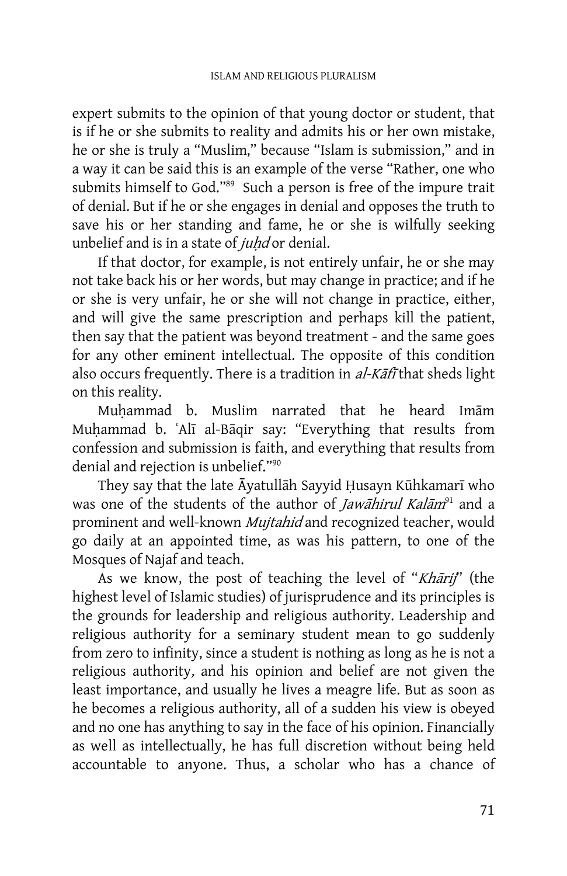expert submits to the opinion of that young doctor or student, that is if he or she submits to reality and admits his or her own mistake, he or she is truly a "Muslim," because "Islam is submission," and in a way it can be said this is an example of the verse "Rather, one who submits himself to God."<sup>89</sup> Such a person is free of the impure trait of denial. But if he or she engages in denial and opposes the truth to save his or her standing and fame, he or she is wilfully seeking unbelief and is in a state of juhd or denial.

 If that doctor, for example, is not entirely unfair, he or she may not take back his or her words, but may change in practice; and if he or she is very unfair, he or she will not change in practice, either, and will give the same prescription and perhaps kill the patient, then say that the patient was beyond treatment - and the same goes for any other eminent intellectual. The opposite of this condition also occurs frequently. There is a tradition in  $al$ -Kafi that sheds light on this reality.

Muhammad b. Muslim narrated that he heard Imam Muḥammad b. ʿAlī al-Bāqir say: "Everything that results from confession and submission is faith, and everything that results from denial and rejection is unbelief."<sup>90</sup>

They say that the late Ayatullah Sayyid Husayn Kūhkamarī who was one of the students of the author of *Jawāhirul Kalām*<sup>91</sup> and a prominent and well-known Mujtahid and recognized teacher, would go daily at an appointed time, as was his pattern, to one of the Mosques of Najaf and teach.

As we know, the post of teaching the level of "Kharij" (the highest level of Islamic studies) of jurisprudence and its principles is the grounds for leadership and religious authority. Leadership and religious authority for a seminary student mean to go suddenly from zero to infinity, since a student is nothing as long as he is not a religious authority, and his opinion and belief are not given the least importance, and usually he lives a meagre life. But as soon as he becomes a religious authority, all of a sudden his view is obeyed and no one has anything to say in the face of his opinion. Financially as well as intellectually, he has full discretion without being held accountable to anyone. Thus, a scholar who has a chance of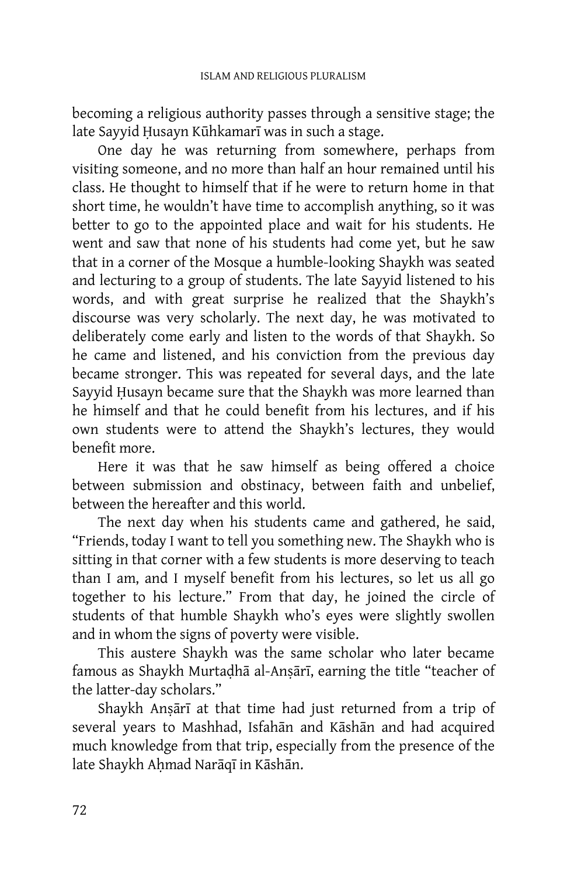becoming a religious authority passes through a sensitive stage; the late Sayyid Husayn Kūhkamarī was in such a stage.

 One day he was returning from somewhere, perhaps from visiting someone, and no more than half an hour remained until his class. He thought to himself that if he were to return home in that short time, he wouldn't have time to accomplish anything, so it was better to go to the appointed place and wait for his students. He went and saw that none of his students had come yet, but he saw that in a corner of the Mosque a humble-looking Shaykh was seated and lecturing to a group of students. The late Sayyid listened to his words, and with great surprise he realized that the Shaykh's discourse was very scholarly. The next day, he was motivated to deliberately come early and listen to the words of that Shaykh. So he came and listened, and his conviction from the previous day became stronger. This was repeated for several days, and the late Sayyid Husayn became sure that the Shaykh was more learned than he himself and that he could benefit from his lectures, and if his own students were to attend the Shaykh's lectures, they would benefit more.

 Here it was that he saw himself as being offered a choice between submission and obstinacy, between faith and unbelief, between the hereafter and this world.

 The next day when his students came and gathered, he said, "Friends, today I want to tell you something new. The Shaykh who is sitting in that corner with a few students is more deserving to teach than I am, and I myself benefit from his lectures, so let us all go together to his lecture." From that day, he joined the circle of students of that humble Shaykh who's eyes were slightly swollen and in whom the signs of poverty were visible.

 This austere Shaykh was the same scholar who later became famous as Shaykh Murtadhā al-Anṣārī, earning the title "teacher of the latter-day scholars."

Shaykh Anṣārī at that time had just returned from a trip of several years to Mashhad, Isfahan and Kashan and had acquired much knowledge from that trip, especially from the presence of the late Shaykh Ahmad Narāqī in Kāshān.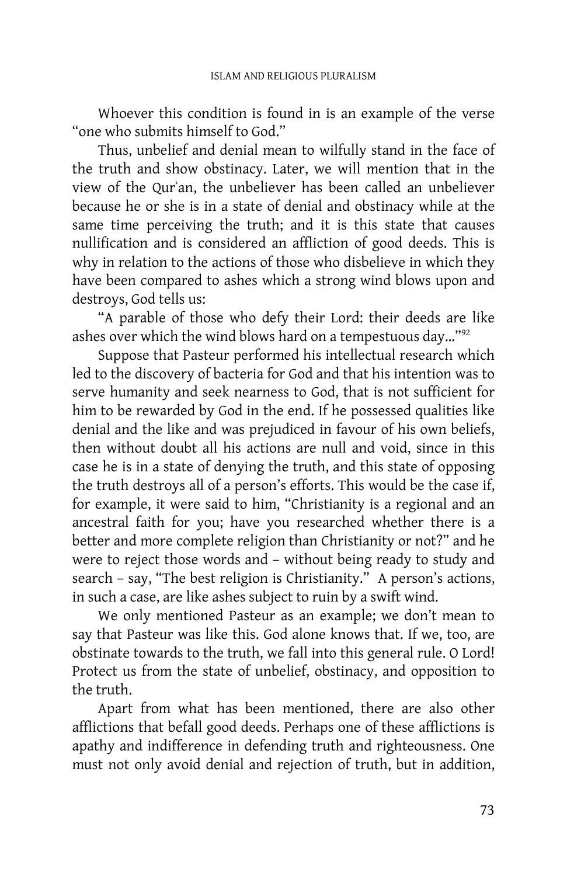Whoever this condition is found in is an example of the verse "one who submits himself to God."

 Thus, unbelief and denial mean to wilfully stand in the face of the truth and show obstinacy. Later, we will mention that in the view of the Qur`an, the unbeliever has been called an unbeliever because he or she is in a state of denial and obstinacy while at the same time perceiving the truth; and it is this state that causes nullification and is considered an affliction of good deeds. This is why in relation to the actions of those who disbelieve in which they have been compared to ashes which a strong wind blows upon and destroys, God tells us:

 "A parable of those who defy their Lord: their deeds are like ashes over which the wind blows hard on a tempestuous day…"<sup>92</sup>

 Suppose that Pasteur performed his intellectual research which led to the discovery of bacteria for God and that his intention was to serve humanity and seek nearness to God, that is not sufficient for him to be rewarded by God in the end. If he possessed qualities like denial and the like and was prejudiced in favour of his own beliefs, then without doubt all his actions are null and void, since in this case he is in a state of denying the truth, and this state of opposing the truth destroys all of a person's efforts. This would be the case if, for example, it were said to him, "Christianity is a regional and an ancestral faith for you; have you researched whether there is a better and more complete religion than Christianity or not?" and he were to reject those words and – without being ready to study and search – say, "The best religion is Christianity." A person's actions, in such a case, are like ashes subject to ruin by a swift wind.

 We only mentioned Pasteur as an example; we don't mean to say that Pasteur was like this. God alone knows that. If we, too, are obstinate towards to the truth, we fall into this general rule. O Lord! Protect us from the state of unbelief, obstinacy, and opposition to the truth.

 Apart from what has been mentioned, there are also other afflictions that befall good deeds. Perhaps one of these afflictions is apathy and indifference in defending truth and righteousness. One must not only avoid denial and rejection of truth, but in addition,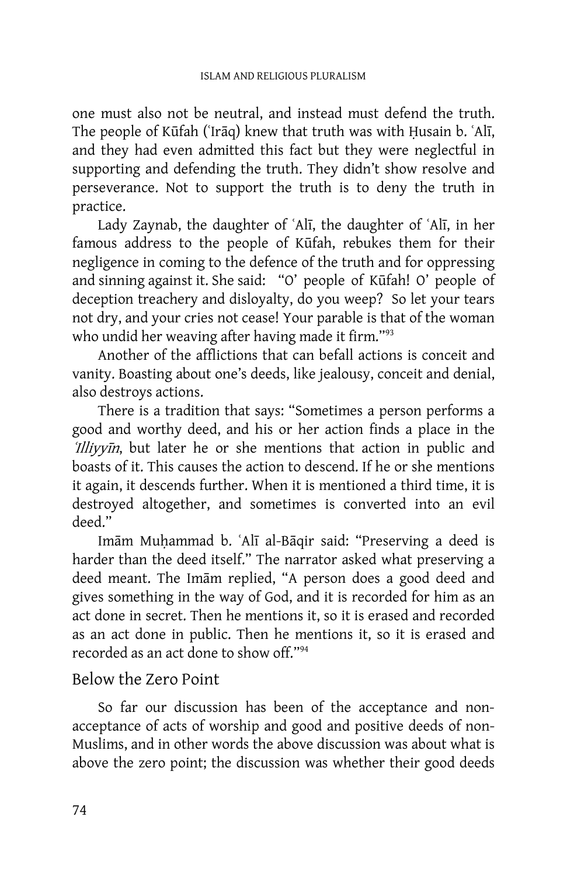one must also not be neutral, and instead must defend the truth. The people of Kūfah ('Irāq) knew that truth was with Husain b. 'Alī, and they had even admitted this fact but they were neglectful in supporting and defending the truth. They didn't show resolve and perseverance. Not to support the truth is to deny the truth in practice.

Lady Zaynab, the daughter of 'Ali, the daughter of 'Ali, in her famous address to the people of Kūfah, rebukes them for their negligence in coming to the defence of the truth and for oppressing and sinning against it. She said: "O' people of Kūfah! O' people of deception treachery and disloyalty, do you weep? So let your tears not dry, and your cries not cease! Your parable is that of the woman who undid her weaving after having made it firm."<sup>93</sup>

 Another of the afflictions that can befall actions is conceit and vanity. Boasting about one's deeds, like jealousy, conceit and denial, also destroys actions.

 There is a tradition that says: "Sometimes a person performs a good and worthy deed, and his or her action finds a place in the Illiyyin, but later he or she mentions that action in public and boasts of it. This causes the action to descend. If he or she mentions it again, it descends further. When it is mentioned a third time, it is destroyed altogether, and sometimes is converted into an evil deed."

Imām Muhammad b. ʿAlī al-Bāqir said: "Preserving a deed is harder than the deed itself." The narrator asked what preserving a deed meant. The Imam replied, "A person does a good deed and gives something in the way of God, and it is recorded for him as an act done in secret. Then he mentions it, so it is erased and recorded as an act done in public. Then he mentions it, so it is erased and recorded as an act done to show off."<sup>94</sup>

## Below the Zero Point

So far our discussion has been of the acceptance and nonacceptance of acts of worship and good and positive deeds of non-Muslims, and in other words the above discussion was about what is above the zero point; the discussion was whether their good deeds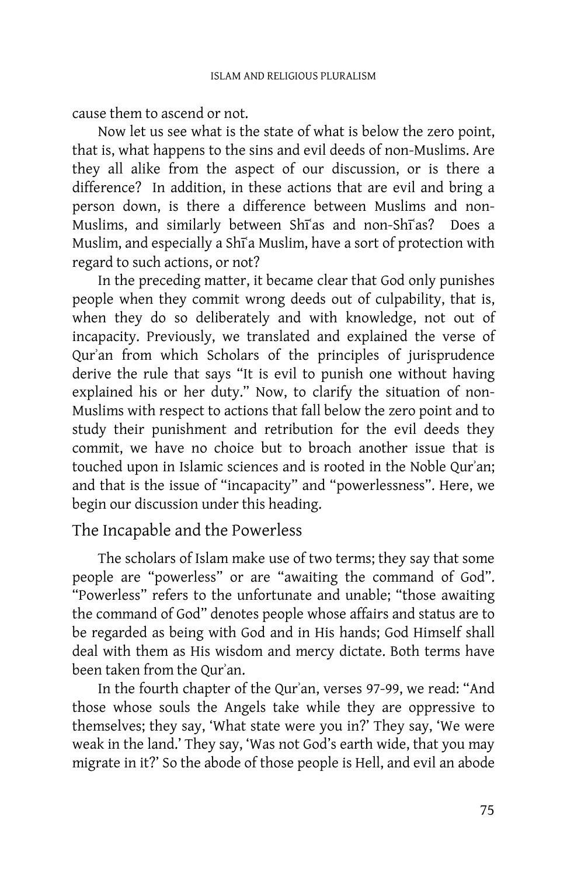cause them to ascend or not.

 Now let us see what is the state of what is below the zero point, that is, what happens to the sins and evil deeds of non-Muslims. Are they all alike from the aspect of our discussion, or is there a difference? In addition, in these actions that are evil and bring a person down, is there a difference between Muslims and non-Muslims, and similarly between Shiʿas and non-Shiʿas? Does a Muslim, and especially a Shi~a Muslim, have a sort of protection with regard to such actions, or not?

 In the preceding matter, it became clear that God only punishes people when they commit wrong deeds out of culpability, that is, when they do so deliberately and with knowledge, not out of incapacity. Previously, we translated and explained the verse of Qur`an from which Scholars of the principles of jurisprudence derive the rule that says "It is evil to punish one without having explained his or her duty." Now, to clarify the situation of non-Muslims with respect to actions that fall below the zero point and to study their punishment and retribution for the evil deeds they commit, we have no choice but to broach another issue that is touched upon in Islamic sciences and is rooted in the Noble Qur`an; and that is the issue of "incapacity" and "powerlessness". Here, we begin our discussion under this heading.

#### The Incapable and the Powerless

 The scholars of Islam make use of two terms; they say that some people are "powerless" or are "awaiting the command of God". "Powerless" refers to the unfortunate and unable; "those awaiting the command of God" denotes people whose affairs and status are to be regarded as being with God and in His hands; God Himself shall deal with them as His wisdom and mercy dictate. Both terms have been taken from the Qur`an.

 In the fourth chapter of the Qur`an, verses 97-99, we read: "And those whose souls the Angels take while they are oppressive to themselves; they say, 'What state were you in?' They say, 'We were weak in the land.' They say, 'Was not God's earth wide, that you may migrate in it?' So the abode of those people is Hell, and evil an abode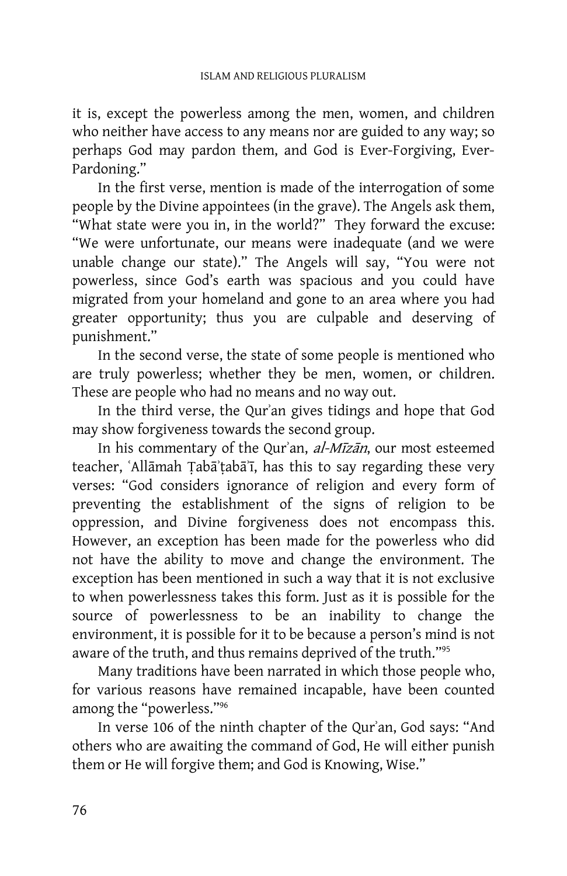it is, except the powerless among the men, women, and children who neither have access to any means nor are guided to any way; so perhaps God may pardon them, and God is Ever-Forgiving, Ever-Pardoning."

 In the first verse, mention is made of the interrogation of some people by the Divine appointees (in the grave). The Angels ask them, "What state were you in, in the world?" They forward the excuse: "We were unfortunate, our means were inadequate (and we were unable change our state)." The Angels will say, "You were not powerless, since God's earth was spacious and you could have migrated from your homeland and gone to an area where you had greater opportunity; thus you are culpable and deserving of punishment."

 In the second verse, the state of some people is mentioned who are truly powerless; whether they be men, women, or children. These are people who had no means and no way out.

 In the third verse, the Qur`an gives tidings and hope that God may show forgiveness towards the second group.

In his commentary of the Qur'an, al-Mīzān, our most esteemed teacher, 'Allāmah Ţabā'ṭabā'ī, has this to say regarding these very verses: "God considers ignorance of religion and every form of preventing the establishment of the signs of religion to be oppression, and Divine forgiveness does not encompass this. However, an exception has been made for the powerless who did not have the ability to move and change the environment. The exception has been mentioned in such a way that it is not exclusive to when powerlessness takes this form. Just as it is possible for the source of powerlessness to be an inability to change the environment, it is possible for it to be because a person's mind is not aware of the truth, and thus remains deprived of the truth."<sup>95</sup>

 Many traditions have been narrated in which those people who, for various reasons have remained incapable, have been counted among the "powerless."<sup>96</sup>

 In verse 106 of the ninth chapter of the Qur`an, God says: "And others who are awaiting the command of God, He will either punish them or He will forgive them; and God is Knowing, Wise."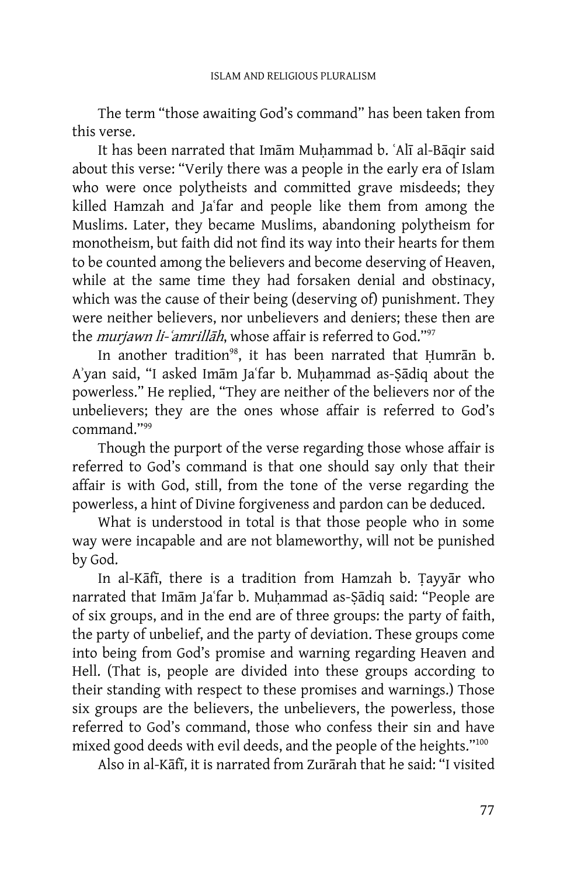The term "those awaiting God's command" has been taken from this verse.

It has been narrated that Imam Muhammad b. `Alī al-Bāqir said about this verse: "Verily there was a people in the early era of Islam who were once polytheists and committed grave misdeeds; they killed Hamzah and Ja'far and people like them from among the Muslims. Later, they became Muslims, abandoning polytheism for monotheism, but faith did not find its way into their hearts for them to be counted among the believers and become deserving of Heaven, while at the same time they had forsaken denial and obstinacy, which was the cause of their being (deserving of) punishment. They were neither believers, nor unbelievers and deniers; these then are the *muriawn li-ʿamrillāh*, whose affair is referred to God."<sup>97</sup>

In another tradition<sup>98</sup>, it has been narrated that Humr $\bar{a}$ n b. A'yan said, "I asked Imām Jaʿfar b. Muhammad as-Şādiq about the powerless." He replied, "They are neither of the believers nor of the unbelievers; they are the ones whose affair is referred to God's command."<sup>99</sup>

 Though the purport of the verse regarding those whose affair is referred to God's command is that one should say only that their affair is with God, still, from the tone of the verse regarding the powerless, a hint of Divine forgiveness and pardon can be deduced.

 What is understood in total is that those people who in some way were incapable and are not blameworthy, will not be punished by God.

In al-Kāfī, there is a tradition from Hamzah b. Tayyār who narrated that Imām Jaʿfar b. Muḥammad as-Ṣādiq said: "People are of six groups, and in the end are of three groups: the party of faith, the party of unbelief, and the party of deviation. These groups come into being from God's promise and warning regarding Heaven and Hell. (That is, people are divided into these groups according to their standing with respect to these promises and warnings.) Those six groups are the believers, the unbelievers, the powerless, those referred to God's command, those who confess their sin and have mixed good deeds with evil deeds, and the people of the heights."<sup>100</sup>

Also in al-Kāfī, it is narrated from Zurārah that he said: "I visited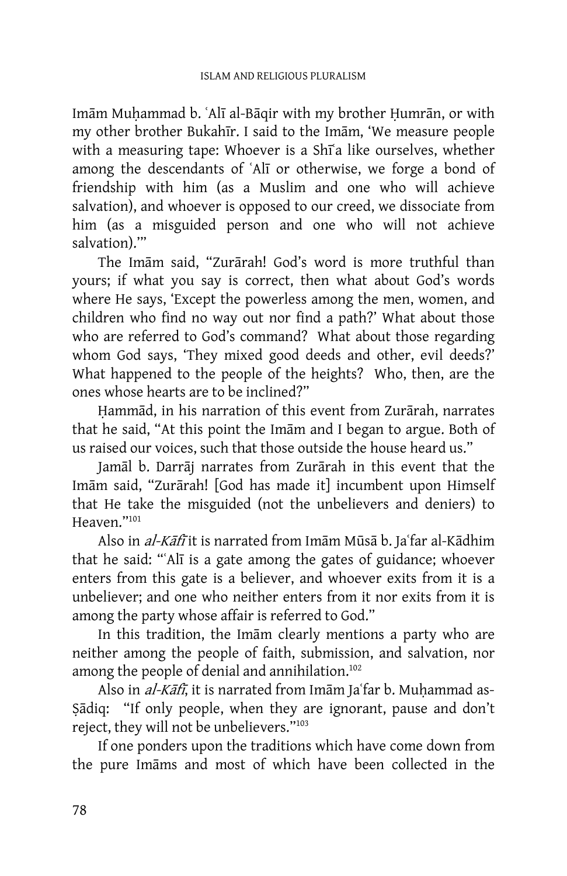Imām Muhammad b. ʿAlī al-Bāqir with my brother Humrān, or with my other brother Bukahir. I said to the Imam, 'We measure people with a measuring tape: Whoever is a Shi<sup>a</sup> like ourselves, whether among the descendants of 'Ali or otherwise, we forge a bond of friendship with him (as a Muslim and one who will achieve salvation), and whoever is opposed to our creed, we dissociate from him (as a misguided person and one who will not achieve salvation).'"

The Imam said, "Zurarah! God's word is more truthful than yours; if what you say is correct, then what about God's words where He says, 'Except the powerless among the men, women, and children who find no way out nor find a path?' What about those who are referred to God's command? What about those regarding whom God says, 'They mixed good deeds and other, evil deeds?' What happened to the people of the heights? Who, then, are the ones whose hearts are to be inclined?"

Hammād, in his narration of this event from Zurārah, narrates that he said, "At this point the Imam and I began to argue. Both of us raised our voices, such that those outside the house heard us."

Jamāl b. Darrāj narrates from Zurārah in this event that the Imām said, "Zurārah! [God has made it] incumbent upon Himself that He take the misguided (not the unbelievers and deniers) to Heaven."<sup>101</sup>

Also in *al-Kāfī* it is narrated from Imām Mūsā b. Jaʿfar al-Kādhim that he said: "Alī is a gate among the gates of guidance; whoever enters from this gate is a believer, and whoever exits from it is a unbeliever; and one who neither enters from it nor exits from it is among the party whose affair is referred to God."

In this tradition, the Imam clearly mentions a party who are neither among the people of faith, submission, and salvation, nor among the people of denial and annihilation.<sup>102</sup>

Also in al-Kāfī, it is narrated from Imām Jaʿfar b. Muhammad as-§ādiq: "If only people, when they are ignorant, pause and don't reject, they will not be unbelievers."<sup>103</sup>

 If one ponders upon the traditions which have come down from the pure Imams and most of which have been collected in the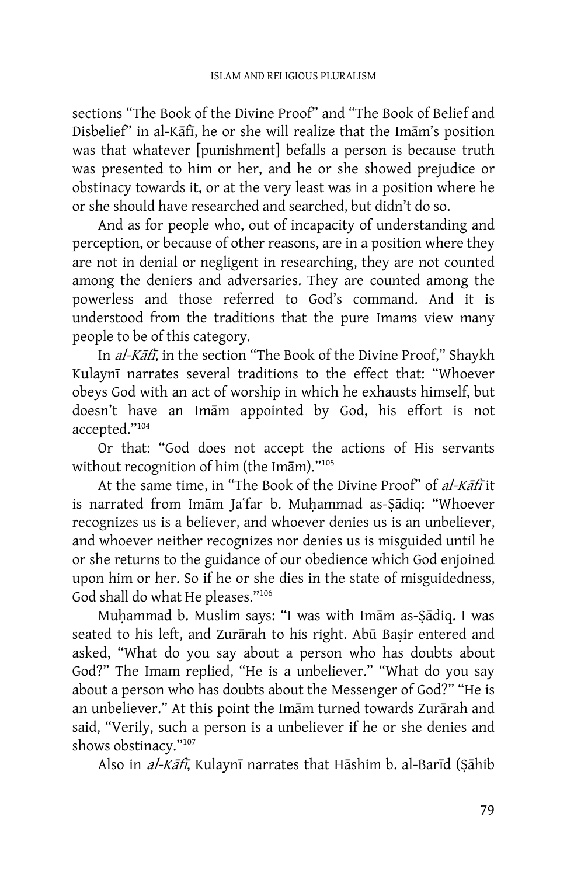sections "The Book of the Divine Proof" and "The Book of Belief and Disbelief" in al-Kāfī, he or she will realize that the Imām's position was that whatever [punishment] befalls a person is because truth was presented to him or her, and he or she showed prejudice or obstinacy towards it, or at the very least was in a position where he or she should have researched and searched, but didn't do so.

 And as for people who, out of incapacity of understanding and perception, or because of other reasons, are in a position where they are not in denial or negligent in researching, they are not counted among the deniers and adversaries. They are counted among the powerless and those referred to God's command. And it is understood from the traditions that the pure Imams view many people to be of this category.

In al-Kafi, in the section "The Book of the Divine Proof," Shaykh Kulaynī narrates several traditions to the effect that: "Whoever obeys God with an act of worship in which he exhausts himself, but doesn't have an Imam appointed by God, his effort is not accepted."<sup>104</sup>

Or that: "God does not accept the actions of His servants without recognition of him (the Im $\bar{a}$ m)."<sup>105</sup>

At the same time, in "The Book of the Divine Proof" of al-Kafi it is narrated from Imām Jaʿfar b. Muhammad as-Sādiq: "Whoever recognizes us is a believer, and whoever denies us is an unbeliever, and whoever neither recognizes nor denies us is misguided until he or she returns to the guidance of our obedience which God enjoined upon him or her. So if he or she dies in the state of misguidedness, God shall do what He pleases."<sup>106</sup>

Muhammad b. Muslim says: "I was with Imam as-Şadiq. I was seated to his left, and Zurārah to his right. Abū Basir entered and asked, "What do you say about a person who has doubts about God?" The Imam replied, "He is a unbeliever." "What do you say about a person who has doubts about the Messenger of God?" "He is an unbeliever." At this point the Imam turned towards Zurarah and said, "Verily, such a person is a unbeliever if he or she denies and shows obstinacy."<sup>107</sup>

Also in al-Kāfī, Kulaynī narrates that Hāshim b. al-Barīd (Şāhib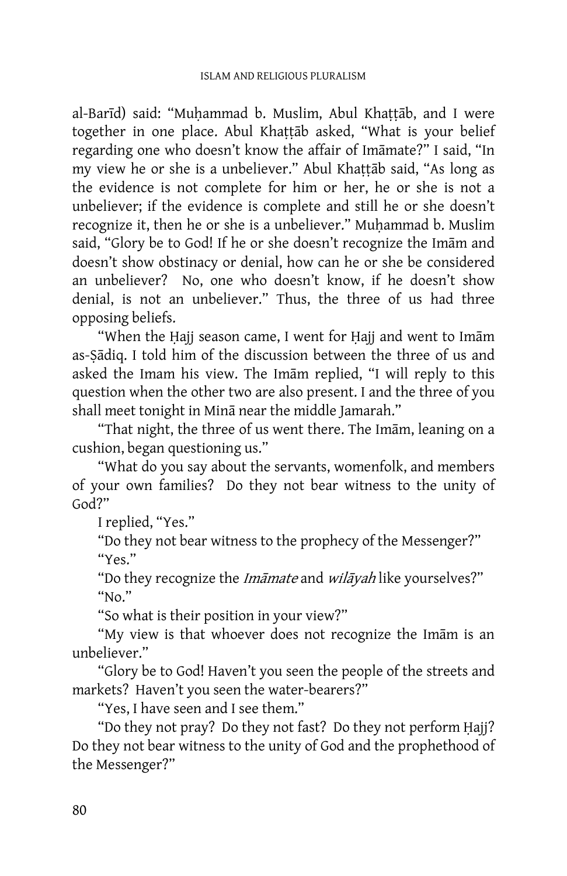al-Barīd) said: "Muhammad b. Muslim, Abul Khattāb, and I were together in one place. Abul Khattāb asked, "What is your belief regarding one who doesn't know the affair of Imamate?" I said, "In my view he or she is a unbeliever." Abul Khattāb said, "As long as the evidence is not complete for him or her, he or she is not a unbeliever; if the evidence is complete and still he or she doesn't recognize it, then he or she is a unbeliever." Muhammad b. Muslim said, "Glory be to God! If he or she doesn't recognize the Imam and doesn't show obstinacy or denial, how can he or she be considered an unbeliever? No, one who doesn't know, if he doesn't show denial, is not an unbeliever." Thus, the three of us had three opposing beliefs.

"When the Hajj season came, I went for Hajj and went to Imam as-Şādiq. I told him of the discussion between the three of us and asked the Imam his view. The Imam replied, "I will reply to this question when the other two are also present. I and the three of you shall meet tonight in Mina near the middle Jamarah."

"That night, the three of us went there. The Imam, leaning on a cushion, began questioning us."

 "What do you say about the servants, womenfolk, and members of your own families? Do they not bear witness to the unity of God?"

I replied, "Yes."

 "Do they not bear witness to the prophecy of the Messenger?" "Yes."

"Do they recognize the Imamate and wilayah like yourselves?" "No."

"So what is their position in your view?"

"My view is that whoever does not recognize the Imam is an unbeliever."

 "Glory be to God! Haven't you seen the people of the streets and markets? Haven't you seen the water-bearers?"

"Yes, I have seen and I see them."

"Do they not pray? Do they not fast? Do they not perform Hajj? Do they not bear witness to the unity of God and the prophethood of the Messenger?"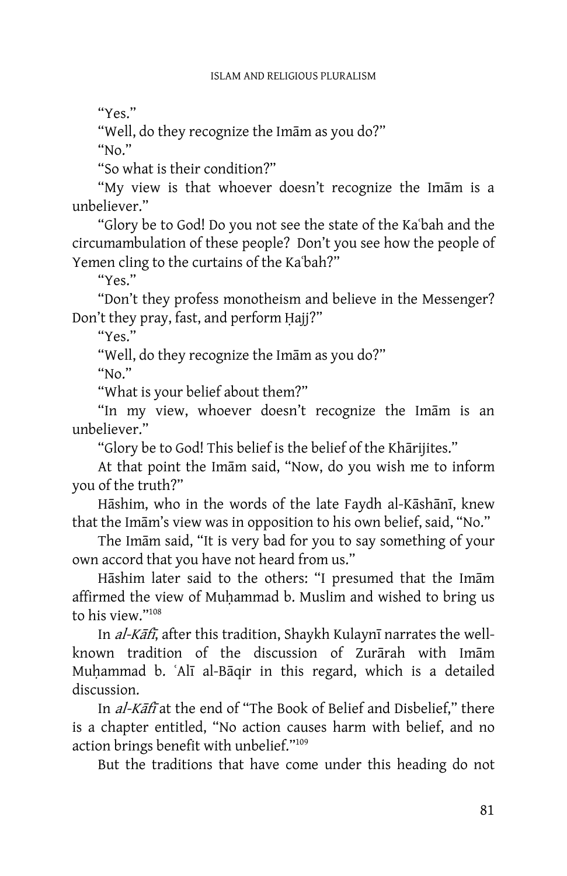"Yes."

"Well, do they recognize the Imam as you do?"

"No."

"So what is their condition?"

"My view is that whoever doesn't recognize the Imam is a unbeliever."

 "Glory be to God! Do you not see the state of the Ka˜bah and the circumambulation of these people? Don't you see how the people of Yemen cling to the curtains of the Kaʿbah?"

"Yes."

 "Don't they profess monotheism and believe in the Messenger? Don't they pray, fast, and perform Hajj?"

 $"Y_{\rho S}"$ 

"Well, do they recognize the Imam as you do?"

 $"No."$ 

"What is your belief about them?"

"In my view, whoever doesn't recognize the Imam is an unbeliever."

"Glory be to God! This belief is the belief of the Khārijites."

At that point the Imam said, "Now, do you wish me to inform you of the truth?"

Hāshim, who in the words of the late Faydh al-Kāshānī, knew that the Imam's view was in opposition to his own belief, said, "No."

The Imam said, "It is very bad for you to say something of your own accord that you have not heard from us."

Hashim later said to the others: "I presumed that the Imam affirmed the view of Muhammad b. Muslim and wished to bring us to his view."<sup>108</sup>

In al-Kafi, after this tradition, Shaykh Kulaynī narrates the wellknown tradition of the discussion of Zurārah with Imām Muhammad b. 'Alī al-Bāqir in this regard, which is a detailed discussion.

In al-Kafi at the end of "The Book of Belief and Disbelief," there is a chapter entitled, "No action causes harm with belief, and no action brings benefit with unbelief."<sup>109</sup>

But the traditions that have come under this heading do not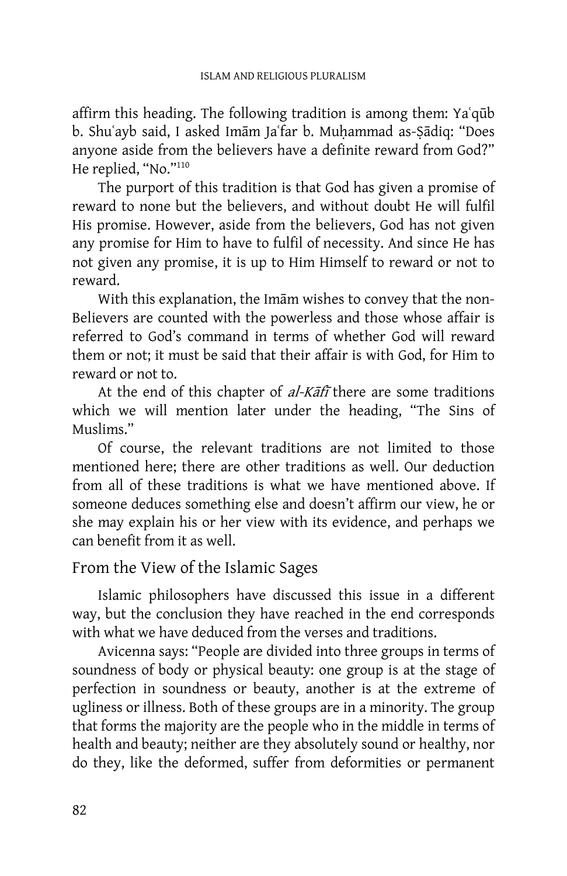affirm this heading. The following tradition is among them: Yaʿqūb b. Shuʿayb said, I asked Imām Jaʿfar b. Muḥammad as-Ṣādiq: "Does anyone aside from the believers have a definite reward from God?" He replied, "No."<sup>110</sup>

 The purport of this tradition is that God has given a promise of reward to none but the believers, and without doubt He will fulfil His promise. However, aside from the believers, God has not given any promise for Him to have to fulfil of necessity. And since He has not given any promise, it is up to Him Himself to reward or not to reward.

With this explanation, the Imam wishes to convey that the non-Believers are counted with the powerless and those whose affair is referred to God's command in terms of whether God will reward them or not; it must be said that their affair is with God, for Him to reward or not to.

At the end of this chapter of  $al$ -Kafi there are some traditions which we will mention later under the heading, "The Sins of Muslims."

 Of course, the relevant traditions are not limited to those mentioned here; there are other traditions as well. Our deduction from all of these traditions is what we have mentioned above. If someone deduces something else and doesn't affirm our view, he or she may explain his or her view with its evidence, and perhaps we can benefit from it as well.

## From the View of the Islamic Sages

Islamic philosophers have discussed this issue in a different way, but the conclusion they have reached in the end corresponds with what we have deduced from the verses and traditions.

 Avicenna says: "People are divided into three groups in terms of soundness of body or physical beauty: one group is at the stage of perfection in soundness or beauty, another is at the extreme of ugliness or illness. Both of these groups are in a minority. The group that forms the majority are the people who in the middle in terms of health and beauty; neither are they absolutely sound or healthy, nor do they, like the deformed, suffer from deformities or permanent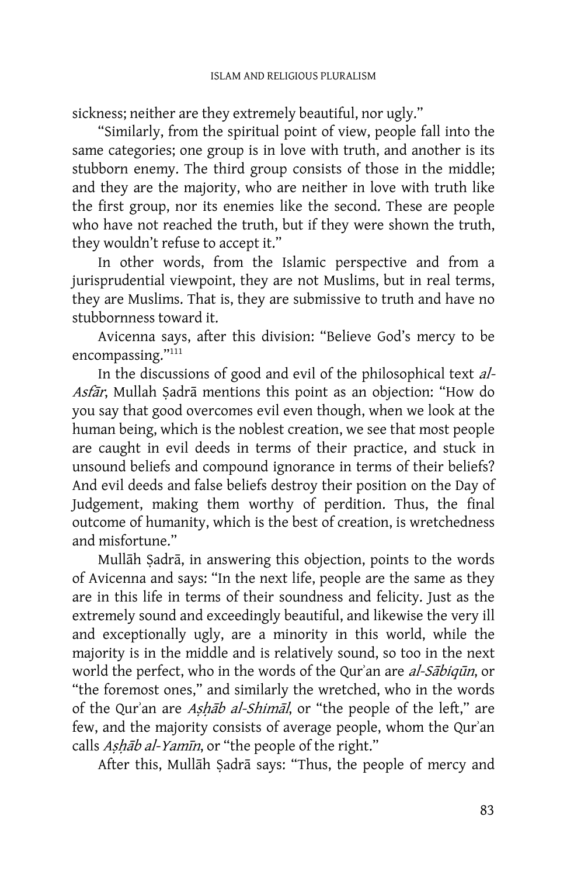sickness; neither are they extremely beautiful, nor ugly."

 "Similarly, from the spiritual point of view, people fall into the same categories; one group is in love with truth, and another is its stubborn enemy. The third group consists of those in the middle; and they are the majority, who are neither in love with truth like the first group, nor its enemies like the second. These are people who have not reached the truth, but if they were shown the truth, they wouldn't refuse to accept it."

 In other words, from the Islamic perspective and from a jurisprudential viewpoint, they are not Muslims, but in real terms, they are Muslims. That is, they are submissive to truth and have no stubbornness toward it.

 Avicenna says, after this division: "Believe God's mercy to be encompassing."<sup>111</sup>

 In the discussions of good and evil of the philosophical text al-Asfār, Mullah Sadrā mentions this point as an objection: "How do you say that good overcomes evil even though, when we look at the human being, which is the noblest creation, we see that most people are caught in evil deeds in terms of their practice, and stuck in unsound beliefs and compound ignorance in terms of their beliefs? And evil deeds and false beliefs destroy their position on the Day of Judgement, making them worthy of perdition. Thus, the final outcome of humanity, which is the best of creation, is wretchedness and misfortune."

Mullāh Sadrā, in answering this objection, points to the words of Avicenna and says: "In the next life, people are the same as they are in this life in terms of their soundness and felicity. Just as the extremely sound and exceedingly beautiful, and likewise the very ill and exceptionally ugly, are a minority in this world, while the majority is in the middle and is relatively sound, so too in the next world the perfect, who in the words of the Qur'an are al-Sābiqūn, or "the foremost ones," and similarly the wretched, who in the words of the Qur'an are *Ashab al-Shimal*, or "the people of the left," are few, and the majority consists of average people, whom the Qur`an calls Ashab al-Yamin, or "the people of the right."

After this, Mullāh Şadrā says: "Thus, the people of mercy and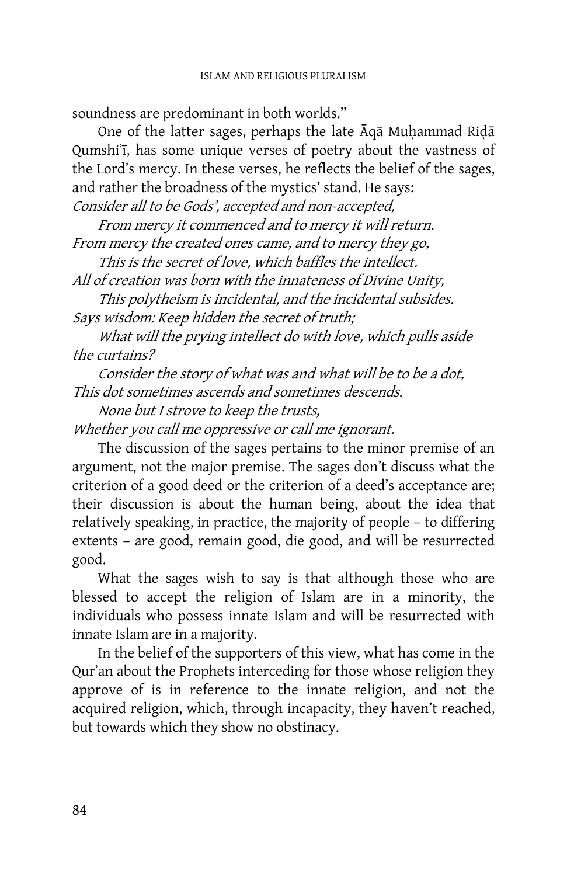soundness are predominant in both worlds."

One of the latter sages, perhaps the late  $\bar{A}q\bar{a}$  Muhammad Ri $d\bar{a}$ Qumshi'i, has some unique verses of poetry about the vastness of the Lord's mercy. In these verses, he reflects the belief of the sages, and rather the broadness of the mystics' stand. He says:

Consider all to be Gods', accepted and non-accepted,

From mercy it commenced and to mercy it will return. From mercy the created ones came, and to mercy they go,

This is the secret of love, which baffles the intellect. All of creation was born with the innateness of Divine Unity,

This polytheism is incidental, and the incidental subsides. Says wisdom: Keep hidden the secret of truth;

What will the prying intellect do with love, which pulls aside the curtains?

Consider the story of what was and what will be to be a dot, This dot sometimes ascends and sometimes descends.

None but I strove to keep the trusts,

Whether you call me oppressive or call me ignorant.

The discussion of the sages pertains to the minor premise of an argument, not the major premise. The sages don't discuss what the criterion of a good deed or the criterion of a deed's acceptance are; their discussion is about the human being, about the idea that relatively speaking, in practice, the majority of people – to differing extents – are good, remain good, die good, and will be resurrected good.

 What the sages wish to say is that although those who are blessed to accept the religion of Islam are in a minority, the individuals who possess innate Islam and will be resurrected with innate Islam are in a majority.

 In the belief of the supporters of this view, what has come in the Qur`an about the Prophets interceding for those whose religion they approve of is in reference to the innate religion, and not the acquired religion, which, through incapacity, they haven't reached, but towards which they show no obstinacy.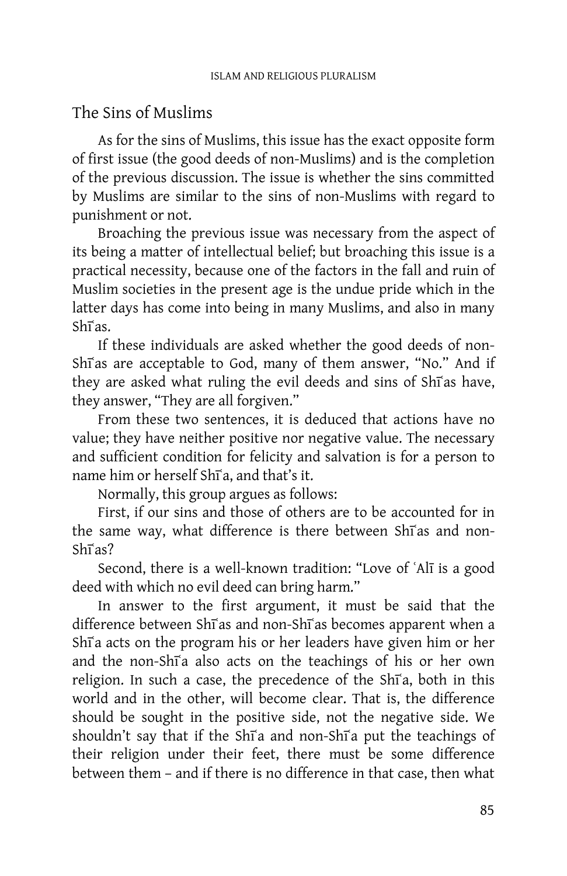# The Sins of Muslims

As for the sins of Muslims, this issue has the exact opposite form of first issue (the good deeds of non-Muslims) and is the completion of the previous discussion. The issue is whether the sins committed by Muslims are similar to the sins of non-Muslims with regard to punishment or not.

 Broaching the previous issue was necessary from the aspect of its being a matter of intellectual belief; but broaching this issue is a practical necessity, because one of the factors in the fall and ruin of Muslim societies in the present age is the undue pride which in the latter days has come into being in many Muslims, and also in many Shī<sup>'</sup>as.

 If these individuals are asked whether the good deeds of non-Shias are acceptable to God, many of them answer, "No." And if they are asked what ruling the evil deeds and sins of Shi~as have, they answer, "They are all forgiven."

 From these two sentences, it is deduced that actions have no value; they have neither positive nor negative value. The necessary and sufficient condition for felicity and salvation is for a person to name him or herself Shīʿa, and that's it.

Normally, this group argues as follows:

 First, if our sins and those of others are to be accounted for in the same way, what difference is there between Shi<sup>as</sup> and non- $Sh\tilde{a}$ as?

Second, there is a well-known tradition: "Love of 'Alī is a good deed with which no evil deed can bring harm."

 In answer to the first argument, it must be said that the difference between Shī'as and non-Shī'as becomes apparent when a Shi<sup>a</sup> acts on the program his or her leaders have given him or her and the non-Shi<sup>a</sup> also acts on the teachings of his or her own religion. In such a case, the precedence of the Shi<sup>a</sup>, both in this world and in the other, will become clear. That is, the difference should be sought in the positive side, not the negative side. We shouldn't say that if the Shiʿa and non-Shiʿa put the teachings of their religion under their feet, there must be some difference between them – and if there is no difference in that case, then what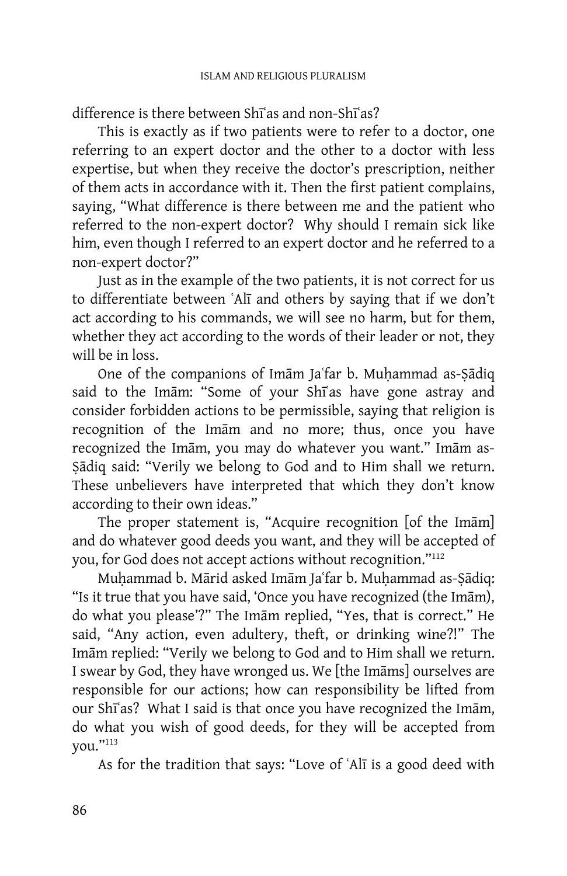difference is there between Shi as and non-Shi as?

 This is exactly as if two patients were to refer to a doctor, one referring to an expert doctor and the other to a doctor with less expertise, but when they receive the doctor's prescription, neither of them acts in accordance with it. Then the first patient complains, saying, "What difference is there between me and the patient who referred to the non-expert doctor? Why should I remain sick like him, even though I referred to an expert doctor and he referred to a non-expert doctor?"

 Just as in the example of the two patients, it is not correct for us to differentiate between 'Alī and others by saying that if we don't act according to his commands, we will see no harm, but for them, whether they act according to the words of their leader or not, they will be in loss.

One of the companions of Imam Ja far b. Muhammad as-Sadiq said to the Imam: "Some of your Shi<sup>as</sup> have gone astray and consider forbidden actions to be permissible, saying that religion is recognition of the Imam and no more; thus, once you have recognized the Imām, you may do whatever you want." Imām as-Sādiq said: "Verily we belong to God and to Him shall we return. These unbelievers have interpreted that which they don't know according to their own ideas."

The proper statement is, "Acquire recognition [of the Imam] and do whatever good deeds you want, and they will be accepted of you, for God does not accept actions without recognition."<sup>112</sup>

Muhammad b. Mārid asked Imām Jaʿfar b. Muhammad as-Ṣādiq: "Is it true that you have said, 'Once you have recognized (the Imam), do what you please'?" The Imam replied, "Yes, that is correct." He said, "Any action, even adultery, theft, or drinking wine?!" The Imam replied: "Verily we belong to God and to Him shall we return. I swear by God, they have wronged us. We [the Imams] ourselves are responsible for our actions; how can responsibility be lifted from our Shī'as? What I said is that once you have recognized the Imām, do what you wish of good deeds, for they will be accepted from you."<sup>113</sup>

As for the tradition that says: "Love of 'Alī is a good deed with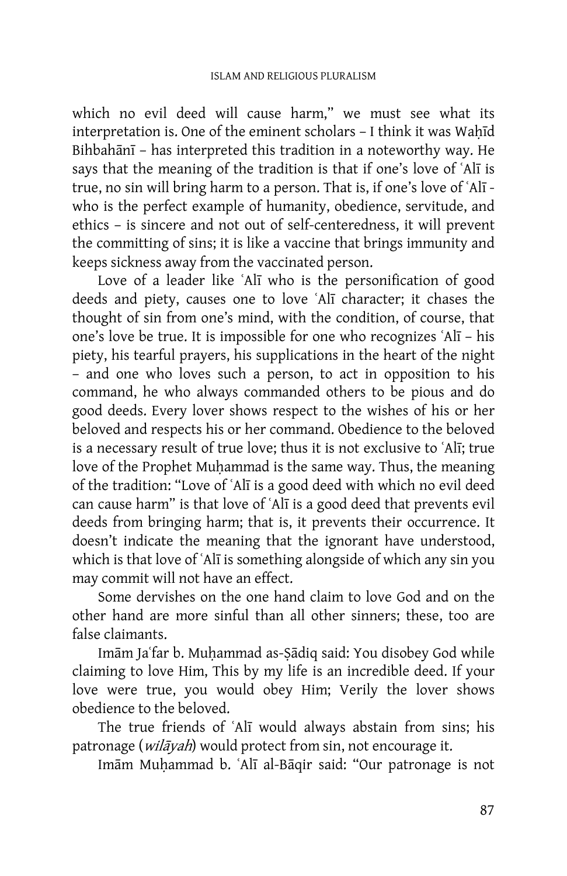which no evil deed will cause harm," we must see what its interpretation is. One of the eminent scholars - I think it was Wahīd Bihbahan<sup>I</sup> – has interpreted this tradition in a noteworthy way. He says that the meaning of the tradition is that if one's love of 'Ali is true, no sin will bring harm to a person. That is, if one's love of 'Ali who is the perfect example of humanity, obedience, servitude, and ethics – is sincere and not out of self-centeredness, it will prevent the committing of sins; it is like a vaccine that brings immunity and keeps sickness away from the vaccinated person.

Love of a leader like 'Ali who is the personification of good deeds and piety, causes one to love 'Alī character; it chases the thought of sin from one's mind, with the condition, of course, that one's love be true. It is impossible for one who recognizes 'Ali - his piety, his tearful prayers, his supplications in the heart of the night – and one who loves such a person, to act in opposition to his command, he who always commanded others to be pious and do good deeds. Every lover shows respect to the wishes of his or her beloved and respects his or her command. Obedience to the beloved is a necessary result of true love; thus it is not exclusive to `Ali; true love of the Prophet Muḥammad is the same way. Thus, the meaning of the tradition: "Love of `Alī is a good deed with which no evil deed can cause harm" is that love of 'Ali is a good deed that prevents evil deeds from bringing harm; that is, it prevents their occurrence. It doesn't indicate the meaning that the ignorant have understood, which is that love of `Alī is something alongside of which any sin you may commit will not have an effect.

 Some dervishes on the one hand claim to love God and on the other hand are more sinful than all other sinners; these, too are false claimants.

Imām Jaʿfar b. Muḥammad as-Ṣādiq said: You disobey God while claiming to love Him, This by my life is an incredible deed. If your love were true, you would obey Him; Verily the lover shows obedience to the beloved.

The true friends of 'Alī would always abstain from sins; his patronage (wilāyah) would protect from sin, not encourage it.

Imām Muhammad b. ʿAlī al-Bāqir said: "Our patronage is not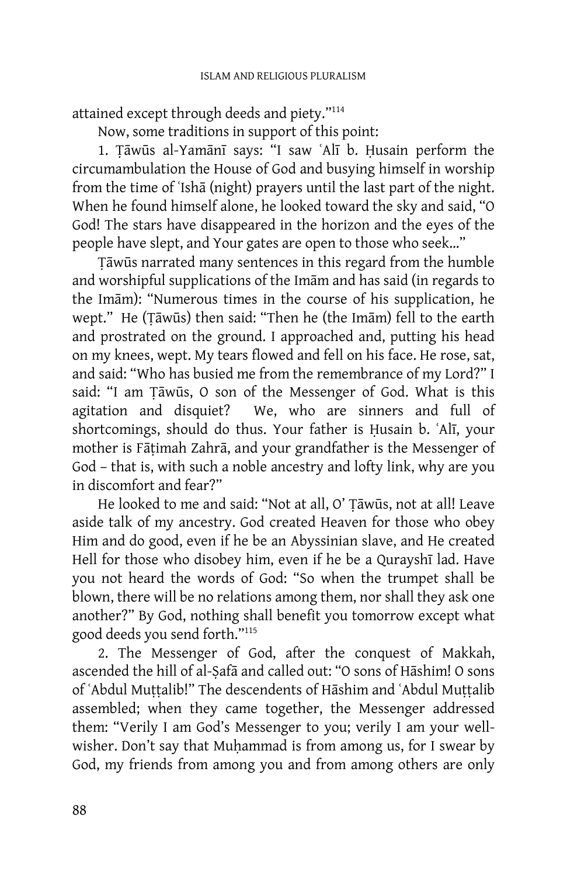attained except through deeds and piety."<sup>114</sup>

Now, some traditions in support of this point:

1. Țăwūs al-Yamānī says: "I saw ʿAlī b. Husain perform the circumambulation the House of God and busying himself in worship from the time of 'Isha (night) prayers until the last part of the night. When he found himself alone, he looked toward the sky and said, "O God! The stars have disappeared in the horizon and the eyes of the people have slept, and Your gates are open to those who seek…"

Tāwūs narrated many sentences in this regard from the humble and worshipful supplications of the Imam and has said (in regards to the Imam): "Numerous times in the course of his supplication, he wept." He (Tāwūs) then said: "Then he (the Imām) fell to the earth and prostrated on the ground. I approached and, putting his head on my knees, wept. My tears flowed and fell on his face. He rose, sat, and said: "Who has busied me from the remembrance of my Lord?" I said: "I am Țāwūs, O son of the Messenger of God. What is this agitation and disquiet? We, who are sinners and full of shortcomings, should do thus. Your father is Husain b. `Alī, your mother is Fāṭimah Zahrā, and your grandfather is the Messenger of God – that is, with such a noble ancestry and lofty link, why are you in discomfort and fear?"

He looked to me and said: "Not at all, O' Țāwūs, not at all! Leave aside talk of my ancestry. God created Heaven for those who obey Him and do good, even if he be an Abyssinian slave, and He created Hell for those who disobey him, even if he be a Qurayshī lad. Have you not heard the words of God: "So when the trumpet shall be blown, there will be no relations among them, nor shall they ask one another?" By God, nothing shall benefit you tomorrow except what good deeds you send forth."<sup>115</sup>

 2. The Messenger of God, after the conquest of Makkah, ascended the hill of al-Safa and called out: "O sons of Hashim! O sons of `Abdul Muttalib!" The descendents of Hāshim and `Abdul Muttalib assembled; when they came together, the Messenger addressed them: "Verily I am God's Messenger to you; verily I am your wellwisher. Don't say that Muhammad is from among us, for I swear by God, my friends from among you and from among others are only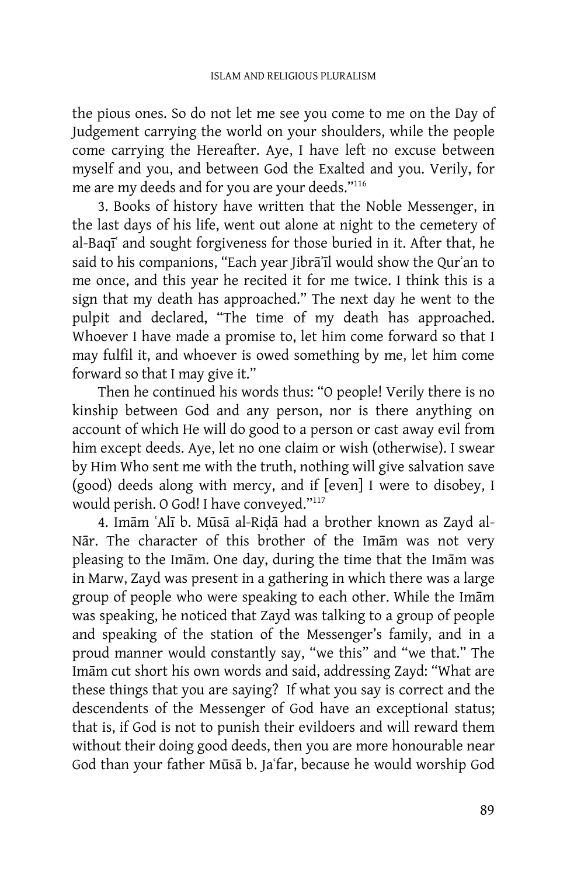the pious ones. So do not let me see you come to me on the Day of Judgement carrying the world on your shoulders, while the people come carrying the Hereafter. Aye, I have left no excuse between myself and you, and between God the Exalted and you. Verily, for me are my deeds and for you are your deeds."<sup>116</sup>

 3. Books of history have written that the Noble Messenger, in the last days of his life, went out alone at night to the cemetery of al-Baqi<sup>®</sup> and sought forgiveness for those buried in it. After that, he said to his companions, "Each year Jibra'il would show the Qur'an to me once, and this year he recited it for me twice. I think this is a sign that my death has approached." The next day he went to the pulpit and declared, "The time of my death has approached. Whoever I have made a promise to, let him come forward so that I may fulfil it, and whoever is owed something by me, let him come forward so that I may give it."

 Then he continued his words thus: "O people! Verily there is no kinship between God and any person, nor is there anything on account of which He will do good to a person or cast away evil from him except deeds. Aye, let no one claim or wish (otherwise). I swear by Him Who sent me with the truth, nothing will give salvation save (good) deeds along with mercy, and if [even] I were to disobey, I would perish. O God! I have conveyed."<sup>117</sup>

4. Imām ʿAlī b. Mūsā al-Ridā had a brother known as Zayd al-Nār. The character of this brother of the Imām was not very pleasing to the Imam. One day, during the time that the Imam was in Marw, Zayd was present in a gathering in which there was a large group of people who were speaking to each other. While the Imam was speaking, he noticed that Zayd was talking to a group of people and speaking of the station of the Messenger's family, and in a proud manner would constantly say, "we this" and "we that." The Imam cut short his own words and said, addressing Zayd: "What are these things that you are saying? If what you say is correct and the descendents of the Messenger of God have an exceptional status; that is, if God is not to punish their evildoers and will reward them without their doing good deeds, then you are more honourable near God than your father Mūsā b. Jaʿfar, because he would worship God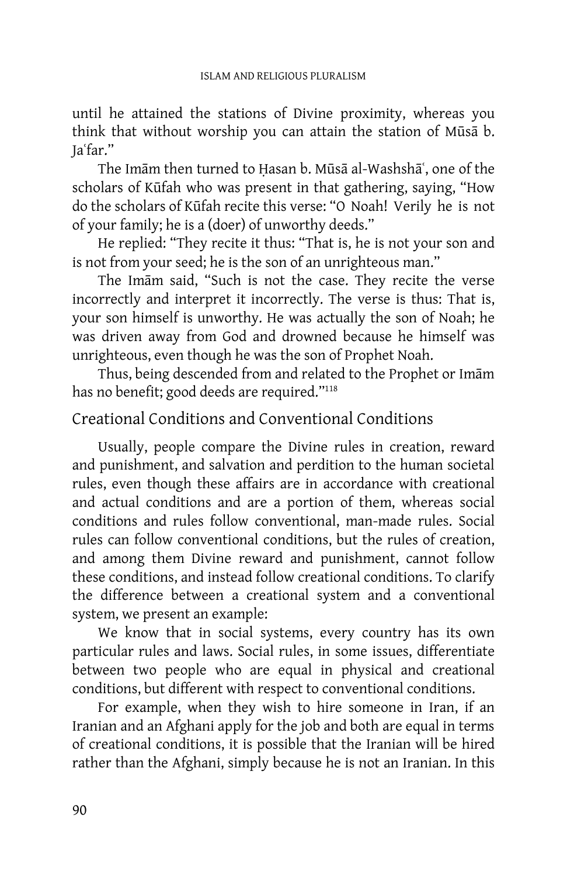until he attained the stations of Divine proximity, whereas you think that without worship you can attain the station of Mūsā b. Ja˜far."

The Imam then turned to Hasan b. Mūsā al-Washshāʿ, one of the scholars of Kūfah who was present in that gathering, saying, "How do the scholars of Kūfah recite this verse: "O Noah! Verily he is not of your family; he is a (doer) of unworthy deeds."

 He replied: "They recite it thus: "That is, he is not your son and is not from your seed; he is the son of an unrighteous man."

The Imam said, "Such is not the case. They recite the verse incorrectly and interpret it incorrectly. The verse is thus: That is, your son himself is unworthy. He was actually the son of Noah; he was driven away from God and drowned because he himself was unrighteous, even though he was the son of Prophet Noah.

Thus, being descended from and related to the Prophet or Imam has no benefit; good deeds are required."<sup>118</sup>

#### Creational Conditions and Conventional Conditions

Usually, people compare the Divine rules in creation, reward and punishment, and salvation and perdition to the human societal rules, even though these affairs are in accordance with creational and actual conditions and are a portion of them, whereas social conditions and rules follow conventional, man-made rules. Social rules can follow conventional conditions, but the rules of creation, and among them Divine reward and punishment, cannot follow these conditions, and instead follow creational conditions. To clarify the difference between a creational system and a conventional system, we present an example:

 We know that in social systems, every country has its own particular rules and laws. Social rules, in some issues, differentiate between two people who are equal in physical and creational conditions, but different with respect to conventional conditions.

 For example, when they wish to hire someone in Iran, if an Iranian and an Afghani apply for the job and both are equal in terms of creational conditions, it is possible that the Iranian will be hired rather than the Afghani, simply because he is not an Iranian. In this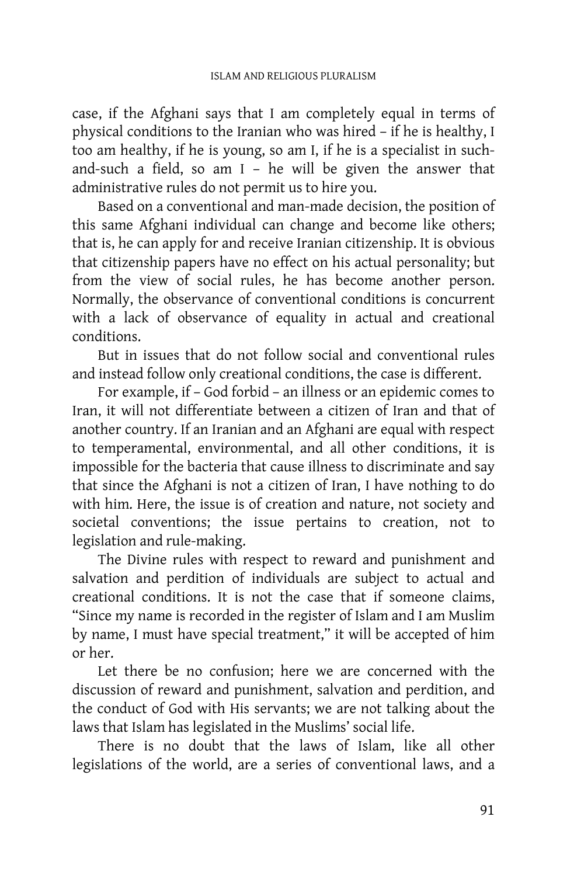case, if the Afghani says that I am completely equal in terms of physical conditions to the Iranian who was hired – if he is healthy, I too am healthy, if he is young, so am I, if he is a specialist in suchand-such a field, so am I – he will be given the answer that administrative rules do not permit us to hire you.

 Based on a conventional and man-made decision, the position of this same Afghani individual can change and become like others; that is, he can apply for and receive Iranian citizenship. It is obvious that citizenship papers have no effect on his actual personality; but from the view of social rules, he has become another person. Normally, the observance of conventional conditions is concurrent with a lack of observance of equality in actual and creational conditions.

 But in issues that do not follow social and conventional rules and instead follow only creational conditions, the case is different.

 For example, if – God forbid – an illness or an epidemic comes to Iran, it will not differentiate between a citizen of Iran and that of another country. If an Iranian and an Afghani are equal with respect to temperamental, environmental, and all other conditions, it is impossible for the bacteria that cause illness to discriminate and say that since the Afghani is not a citizen of Iran, I have nothing to do with him. Here, the issue is of creation and nature, not society and societal conventions; the issue pertains to creation, not to legislation and rule-making.

 The Divine rules with respect to reward and punishment and salvation and perdition of individuals are subject to actual and creational conditions. It is not the case that if someone claims, "Since my name is recorded in the register of Islam and I am Muslim by name, I must have special treatment," it will be accepted of him or her.

 Let there be no confusion; here we are concerned with the discussion of reward and punishment, salvation and perdition, and the conduct of God with His servants; we are not talking about the laws that Islam has legislated in the Muslims' social life.

 There is no doubt that the laws of Islam, like all other legislations of the world, are a series of conventional laws, and a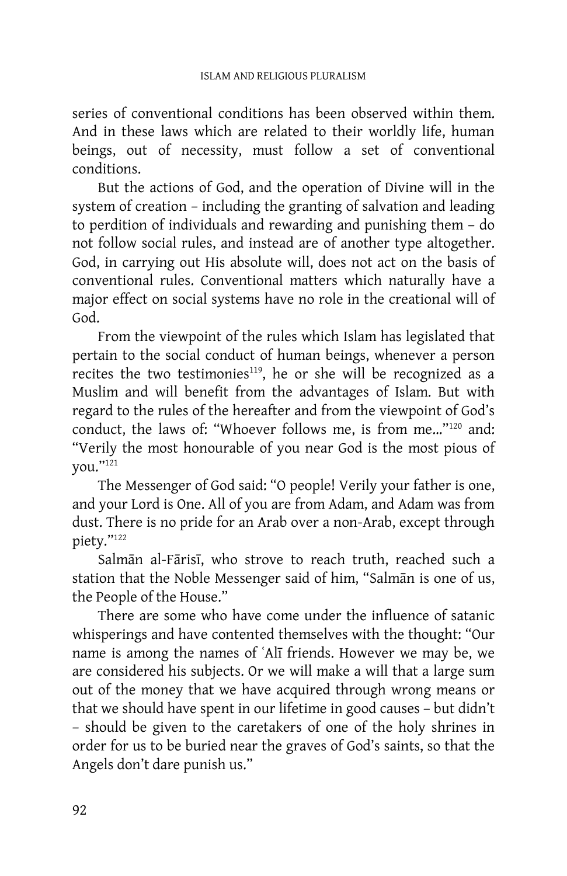series of conventional conditions has been observed within them. And in these laws which are related to their worldly life, human beings, out of necessity, must follow a set of conventional conditions.

 But the actions of God, and the operation of Divine will in the system of creation – including the granting of salvation and leading to perdition of individuals and rewarding and punishing them – do not follow social rules, and instead are of another type altogether. God, in carrying out His absolute will, does not act on the basis of conventional rules. Conventional matters which naturally have a major effect on social systems have no role in the creational will of God.

 From the viewpoint of the rules which Islam has legislated that pertain to the social conduct of human beings, whenever a person recites the two testimonies<sup>119</sup>, he or she will be recognized as a Muslim and will benefit from the advantages of Islam. But with regard to the rules of the hereafter and from the viewpoint of God's conduct, the laws of: "Whoever follows me, is from me…"<sup>120</sup> and: "Verily the most honourable of you near God is the most pious of you."<sup>121</sup>

 The Messenger of God said: "O people! Verily your father is one, and your Lord is One. All of you are from Adam, and Adam was from dust. There is no pride for an Arab over a non-Arab, except through piety."<sup>122</sup>

Salmān al-Fārisī, who strove to reach truth, reached such a station that the Noble Messenger said of him, "Salman is one of us, the People of the House."

 There are some who have come under the influence of satanic whisperings and have contented themselves with the thought: "Our name is among the names of 'Alī friends. However we may be, we are considered his subjects. Or we will make a will that a large sum out of the money that we have acquired through wrong means or that we should have spent in our lifetime in good causes – but didn't – should be given to the caretakers of one of the holy shrines in order for us to be buried near the graves of God's saints, so that the Angels don't dare punish us."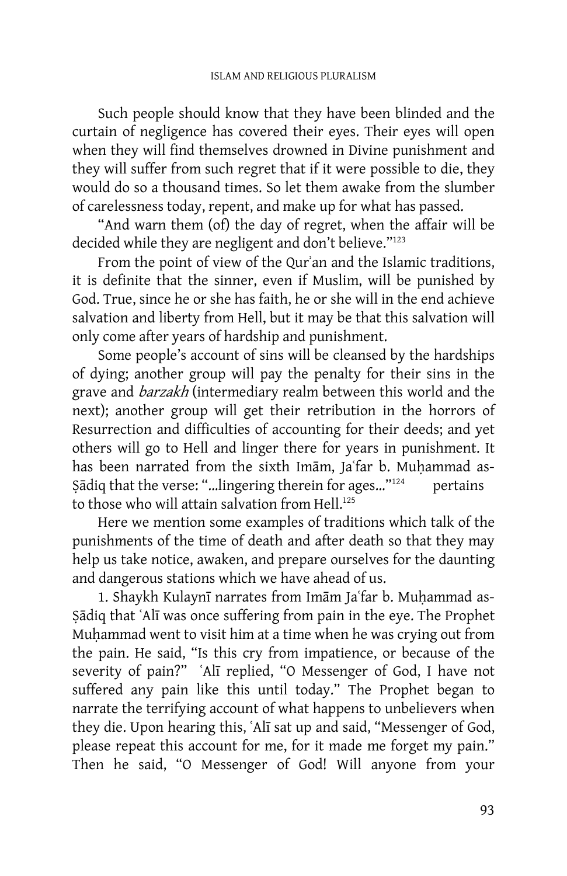Such people should know that they have been blinded and the curtain of negligence has covered their eyes. Their eyes will open when they will find themselves drowned in Divine punishment and they will suffer from such regret that if it were possible to die, they would do so a thousand times. So let them awake from the slumber of carelessness today, repent, and make up for what has passed.

 "And warn them (of) the day of regret, when the affair will be decided while they are negligent and don't believe."<sup>123</sup>

From the point of view of the Qur'an and the Islamic traditions, it is definite that the sinner, even if Muslim, will be punished by God. True, since he or she has faith, he or she will in the end achieve salvation and liberty from Hell, but it may be that this salvation will only come after years of hardship and punishment.

 Some people's account of sins will be cleansed by the hardships of dying; another group will pay the penalty for their sins in the grave and *barzakh* (intermediary realm between this world and the next); another group will get their retribution in the horrors of Resurrection and difficulties of accounting for their deeds; and yet others will go to Hell and linger there for years in punishment. It has been narrated from the sixth Imam, Ja'far b. Muhammad as-§ādiq that the verse: "...lingering therein for ages..."<sup>124</sup> pertains to those who will attain salvation from Hell.<sup>125</sup>

 Here we mention some examples of traditions which talk of the punishments of the time of death and after death so that they may help us take notice, awaken, and prepare ourselves for the daunting and dangerous stations which we have ahead of us.

1. Shaykh Kulaynī narrates from Imām Jaʿfar b. Muḥammad as-Sādiq that ʿAlī was once suffering from pain in the eye. The Prophet Muhammad went to visit him at a time when he was crying out from the pain. He said, "Is this cry from impatience, or because of the severity of pain?" 'Alī replied, "O Messenger of God, I have not suffered any pain like this until today." The Prophet began to narrate the terrifying account of what happens to unbelievers when they die. Upon hearing this, 'Alī sat up and said, "Messenger of God, please repeat this account for me, for it made me forget my pain." Then he said, "O Messenger of God! Will anyone from your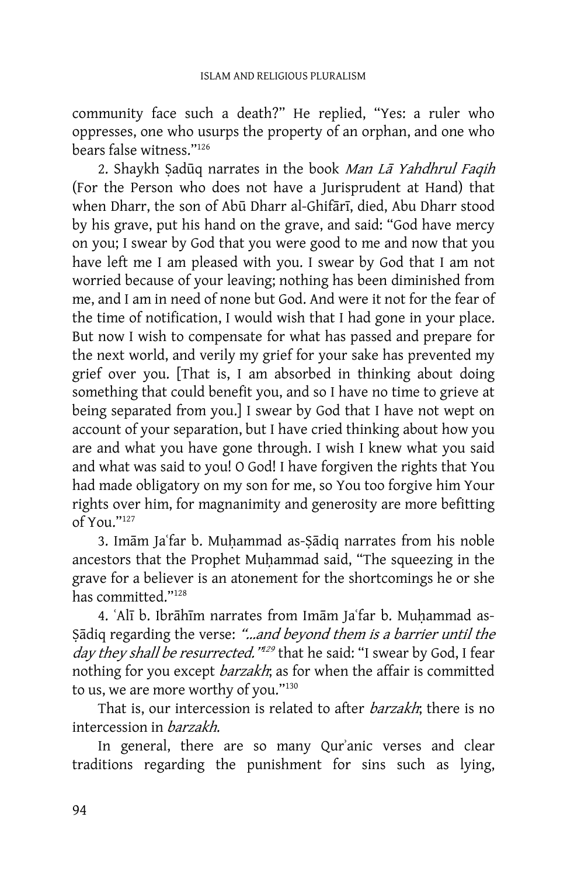community face such a death?" He replied, "Yes: a ruler who oppresses, one who usurps the property of an orphan, and one who bears false witness."<sup>126</sup>

2. Shaykh Şadūq narrates in the book Man Lā Yahdhrul Faqih (For the Person who does not have a Jurisprudent at Hand) that when Dharr, the son of Abū Dharr al-Ghifarī, died, Abu Dharr stood by his grave, put his hand on the grave, and said: "God have mercy on you; I swear by God that you were good to me and now that you have left me I am pleased with you. I swear by God that I am not worried because of your leaving; nothing has been diminished from me, and I am in need of none but God. And were it not for the fear of the time of notification, I would wish that I had gone in your place. But now I wish to compensate for what has passed and prepare for the next world, and verily my grief for your sake has prevented my grief over you. [That is, I am absorbed in thinking about doing something that could benefit you, and so I have no time to grieve at being separated from you.] I swear by God that I have not wept on account of your separation, but I have cried thinking about how you are and what you have gone through. I wish I knew what you said and what was said to you! O God! I have forgiven the rights that You had made obligatory on my son for me, so You too forgive him Your rights over him, for magnanimity and generosity are more befitting of You."<sup>127</sup>

3. Imām Jaʿfar b. Muhammad as-Şādiq narrates from his noble ancestors that the Prophet Muḥammad said, "The squeezing in the grave for a believer is an atonement for the shortcomings he or she has committed."<sup>128</sup>

4. 'Alī b. Ibrāhīm narrates from Imām Ja'far b. Muhammad as-§ādiq regarding the verse: "...and beyond them is a barrier until the *day they shall be resurrected."<sup>129</sup>* that he said: "I swear by God, I fear nothing for you except barzakh; as for when the affair is committed to us, we are more worthy of you."<sup>130</sup>

That is, our intercession is related to after *barzakh*; there is no intercession in barzakh.

 In general, there are so many Qur`anic verses and clear traditions regarding the punishment for sins such as lying,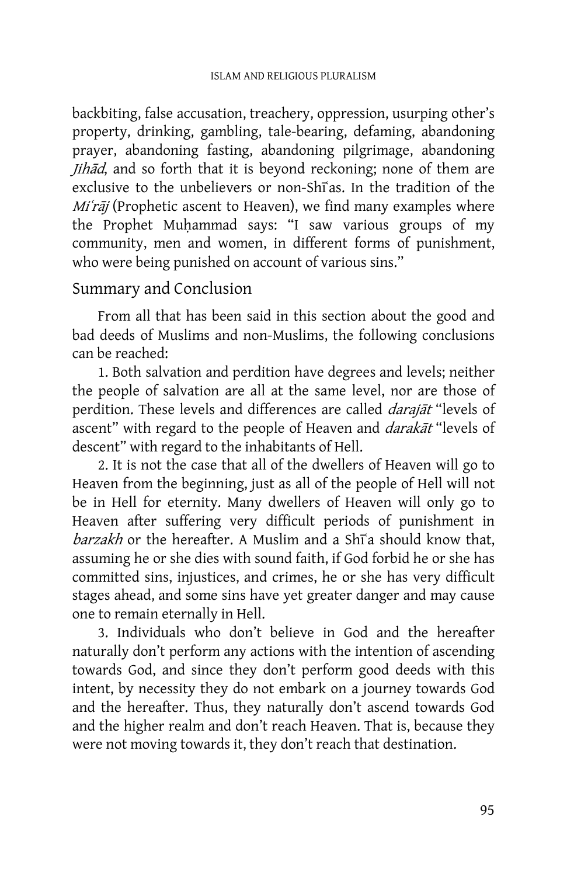backbiting, false accusation, treachery, oppression, usurping other's property, drinking, gambling, tale-bearing, defaming, abandoning prayer, abandoning fasting, abandoning pilgrimage, abandoning  $Jih\bar{a}d$ , and so forth that it is beyond reckoning; none of them are exclusive to the unbelievers or non-Shiʿas. In the tradition of the  $Mi'r\bar{a}j$  (Prophetic ascent to Heaven), we find many examples where the Prophet Muhammad says: "I saw various groups of my community, men and women, in different forms of punishment, who were being punished on account of various sins."

# Summary and Conclusion

 From all that has been said in this section about the good and bad deeds of Muslims and non-Muslims, the following conclusions can be reached:

 1. Both salvation and perdition have degrees and levels; neither the people of salvation are all at the same level, nor are those of perdition. These levels and differences are called *darajāt* "levels of ascent" with regard to the people of Heaven and *darakāt* "levels of descent" with regard to the inhabitants of Hell.

 2. It is not the case that all of the dwellers of Heaven will go to Heaven from the beginning, just as all of the people of Hell will not be in Hell for eternity. Many dwellers of Heaven will only go to Heaven after suffering very difficult periods of punishment in barzakh or the hereafter. A Muslim and a Shiʿa should know that, assuming he or she dies with sound faith, if God forbid he or she has committed sins, injustices, and crimes, he or she has very difficult stages ahead, and some sins have yet greater danger and may cause one to remain eternally in Hell.

 3. Individuals who don't believe in God and the hereafter naturally don't perform any actions with the intention of ascending towards God, and since they don't perform good deeds with this intent, by necessity they do not embark on a journey towards God and the hereafter. Thus, they naturally don't ascend towards God and the higher realm and don't reach Heaven. That is, because they were not moving towards it, they don't reach that destination.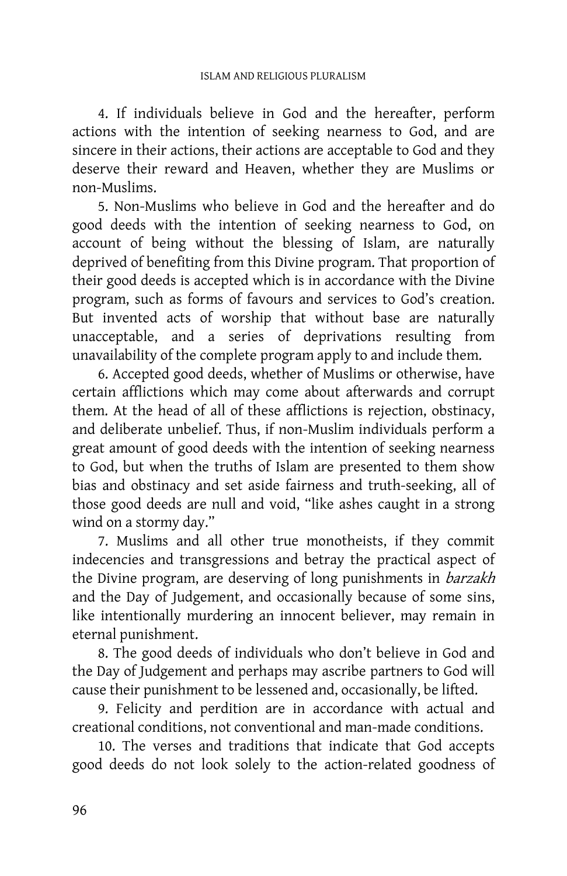4. If individuals believe in God and the hereafter, perform actions with the intention of seeking nearness to God, and are sincere in their actions, their actions are acceptable to God and they deserve their reward and Heaven, whether they are Muslims or non-Muslims.

 5. Non-Muslims who believe in God and the hereafter and do good deeds with the intention of seeking nearness to God, on account of being without the blessing of Islam, are naturally deprived of benefiting from this Divine program. That proportion of their good deeds is accepted which is in accordance with the Divine program, such as forms of favours and services to God's creation. But invented acts of worship that without base are naturally unacceptable, and a series of deprivations resulting from unavailability of the complete program apply to and include them.

 6. Accepted good deeds, whether of Muslims or otherwise, have certain afflictions which may come about afterwards and corrupt them. At the head of all of these afflictions is rejection, obstinacy, and deliberate unbelief. Thus, if non-Muslim individuals perform a great amount of good deeds with the intention of seeking nearness to God, but when the truths of Islam are presented to them show bias and obstinacy and set aside fairness and truth-seeking, all of those good deeds are null and void, "like ashes caught in a strong wind on a stormy day."

 7. Muslims and all other true monotheists, if they commit indecencies and transgressions and betray the practical aspect of the Divine program, are deserving of long punishments in barzakh and the Day of Judgement, and occasionally because of some sins, like intentionally murdering an innocent believer, may remain in eternal punishment.

 8. The good deeds of individuals who don't believe in God and the Day of Judgement and perhaps may ascribe partners to God will cause their punishment to be lessened and, occasionally, be lifted.

 9. Felicity and perdition are in accordance with actual and creational conditions, not conventional and man-made conditions.

 10. The verses and traditions that indicate that God accepts good deeds do not look solely to the action-related goodness of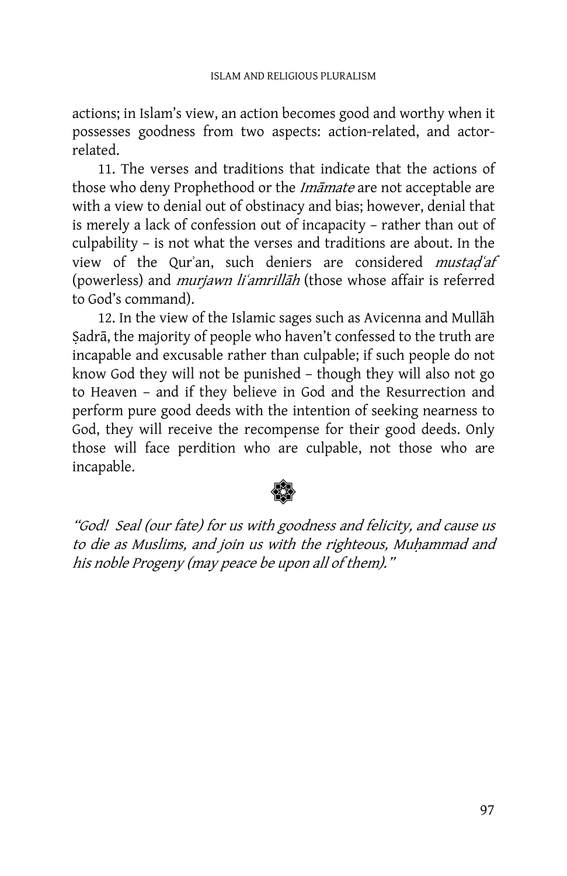actions; in Islam's view, an action becomes good and worthy when it possesses goodness from two aspects: action-related, and actorrelated.

 11. The verses and traditions that indicate that the actions of those who deny Prophethood or the *Imamate* are not acceptable are with a view to denial out of obstinacy and bias; however, denial that is merely a lack of confession out of incapacity – rather than out of culpability – is not what the verses and traditions are about. In the view of the Qur'an, such deniers are considered mustad'af (powerless) and *murjawn li'amrillāh* (those whose affair is referred to God's command).

12. In the view of the Islamic sages such as Avicenna and Mullah Sadrā, the majority of people who haven't confessed to the truth are incapable and excusable rather than culpable; if such people do not know God they will not be punished – though they will also not go to Heaven – and if they believe in God and the Resurrection and perform pure good deeds with the intention of seeking nearness to God, they will receive the recompense for their good deeds. Only those will face perdition who are culpable, not those who are incapable.



"God! Seal (our fate) for us with goodness and felicity, and cause us to die as Muslims, and join us with the righteous, Muhammad and his noble Progeny (may peace be upon all of them)."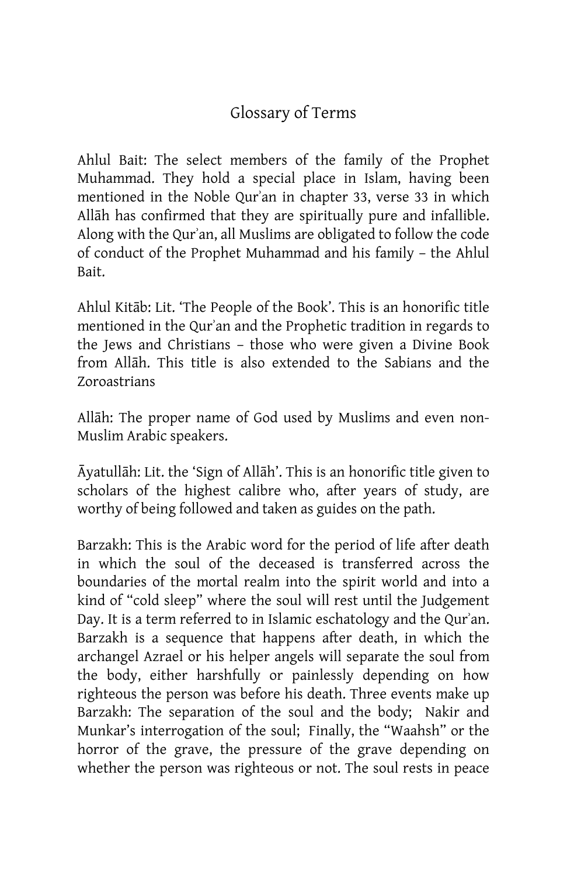# Glossary of Terms

Ahlul Bait: The select members of the family of the Prophet Muhammad. They hold a special place in Islam, having been mentioned in the Noble Qur`an in chapter 33, verse 33 in which Allāh has confirmed that they are spiritually pure and infallible. Along with the Qur`an, all Muslims are obligated to follow the code of conduct of the Prophet Muhammad and his family – the Ahlul Bait.

Ahlul Kitāb: Lit. 'The People of the Book'. This is an honorific title mentioned in the Qur`an and the Prophetic tradition in regards to the Jews and Christians – those who were given a Divine Book from Allāh. This title is also extended to the Sabians and the Zoroastrians

Allāh: The proper name of God used by Muslims and even non-Muslim Arabic speakers.

Āyatullāh: Lit. the 'Sign of Allāh'. This is an honorific title given to scholars of the highest calibre who, after years of study, are worthy of being followed and taken as guides on the path.

Barzakh: This is the Arabic word for the period of life after death in which the soul of the deceased is transferred across the boundaries of the mortal realm into the spirit world and into a kind of "cold sleep" where the soul will rest until the Judgement Day. It is a term referred to in Islamic eschatology and the Qur`an. Barzakh is a sequence that happens after death, in which the archangel Azrael or his helper angels will separate the soul from the body, either harshfully or painlessly depending on how righteous the person was before his death. Three events make up Barzakh: The separation of the soul and the body; Nakir and Munkar's interrogation of the soul; Finally, the "Waahsh" or the horror of the grave, the pressure of the grave depending on whether the person was righteous or not. The soul rests in peace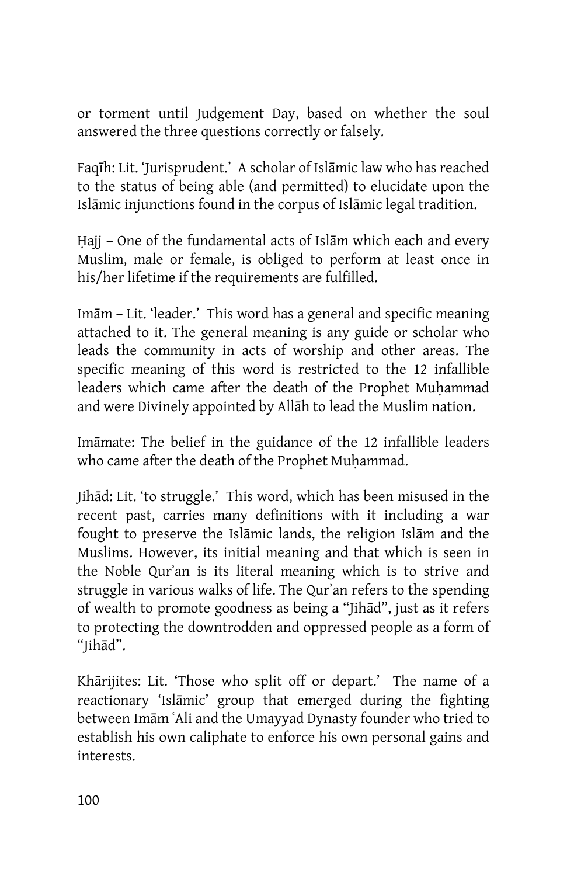or torment until Judgement Day, based on whether the soul answered the three questions correctly or falsely.

Faqīh: Lit. 'Jurisprudent.' A scholar of Islāmic law who has reached to the status of being able (and permitted) to elucidate upon the Islāmic injunctions found in the corpus of Islāmic legal tradition.

Hajj - One of the fundamental acts of Islam which each and every Muslim, male or female, is obliged to perform at least once in his/her lifetime if the requirements are fulfilled.

Imam - Lit. 'leader.' This word has a general and specific meaning attached to it. The general meaning is any guide or scholar who leads the community in acts of worship and other areas. The specific meaning of this word is restricted to the 12 infallible leaders which came after the death of the Prophet Muhammad and were Divinely appointed by Allāh to lead the Muslim nation.

Imamate: The belief in the guidance of the 12 infallible leaders who came after the death of the Prophet Muhammad.

Jihad: Lit. 'to struggle.' This word, which has been misused in the recent past, carries many definitions with it including a war fought to preserve the Islamic lands, the religion Islam and the Muslims. However, its initial meaning and that which is seen in the Noble Qur`an is its literal meaning which is to strive and struggle in various walks of life. The Qur`an refers to the spending of wealth to promote goodness as being a "Jihad", just as it refers to protecting the downtrodden and oppressed people as a form of "Jihād".

Khārijites: Lit. 'Those who split off or depart.' The name of a reactionary 'Islamic' group that emerged during the fighting between Imam 'Ali and the Umayyad Dynasty founder who tried to establish his own caliphate to enforce his own personal gains and interests.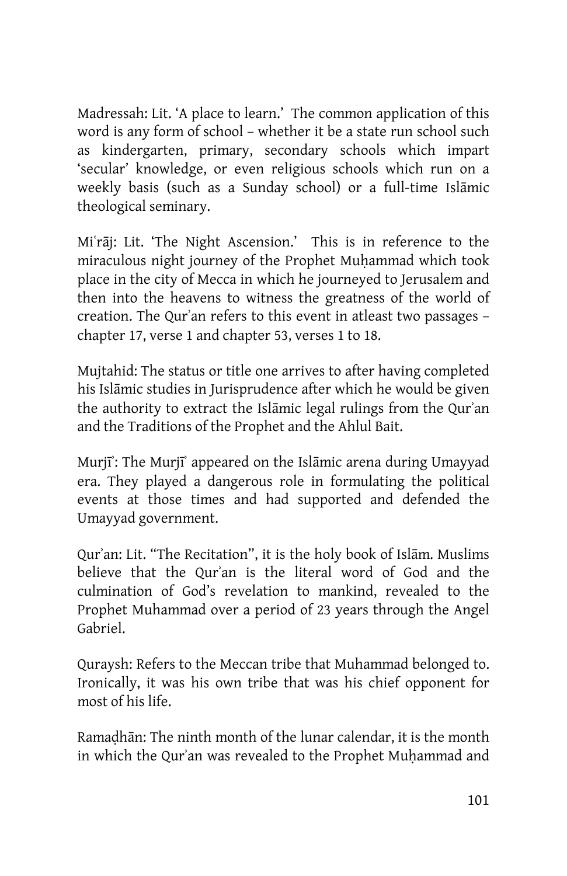Madressah: Lit. 'A place to learn.' The common application of this word is any form of school – whether it be a state run school such as kindergarten, primary, secondary schools which impart 'secular' knowledge, or even religious schools which run on a weekly basis (such as a Sunday school) or a full-time Islamic theological seminary.

Mi'raj: Lit. 'The Night Ascension.' This is in reference to the miraculous night journey of the Prophet Muhammad which took place in the city of Mecca in which he journeyed to Jerusalem and then into the heavens to witness the greatness of the world of creation. The Qur`an refers to this event in atleast two passages – chapter 17, verse 1 and chapter 53, verses 1 to 18.

Mujtahid: The status or title one arrives to after having completed his Islāmic studies in Jurisprudence after which he would be given the authority to extract the Islamic legal rulings from the Qur'an and the Traditions of the Prophet and the Ahlul Bait.

Murji': The Murji' appeared on the Islamic arena during Umayyad era. They played a dangerous role in formulating the political events at those times and had supported and defended the Umayyad government.

Qur'an: Lit. "The Recitation", it is the holy book of Islam. Muslims believe that the Qur`an is the literal word of God and the culmination of God's revelation to mankind, revealed to the Prophet Muhammad over a period of 23 years through the Angel Gabriel.

Quraysh: Refers to the Meccan tribe that Muhammad belonged to. Ironically, it was his own tribe that was his chief opponent for most of his life.

Ramadhān: The ninth month of the lunar calendar, it is the month in which the Qur'an was revealed to the Prophet Muhammad and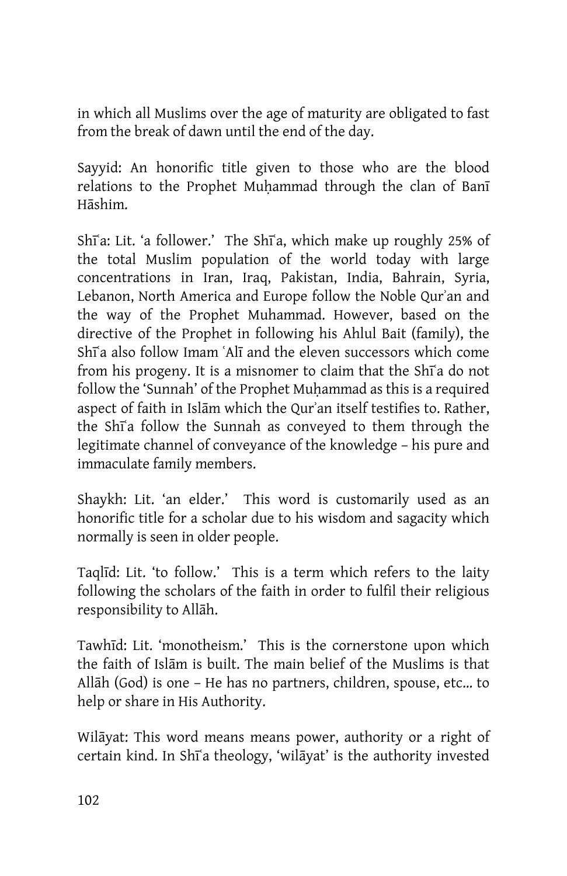in which all Muslims over the age of maturity are obligated to fast from the break of dawn until the end of the day.

Sayyid: An honorific title given to those who are the blood relations to the Prophet Muḥammad through the clan of Banī Hāshim.

Shi<sup>a</sup>: Lit. 'a follower.' The Shi<sup>a</sup>, which make up roughly 25% of the total Muslim population of the world today with large concentrations in Iran, Iraq, Pakistan, India, Bahrain, Syria, Lebanon, North America and Europe follow the Noble Qur`an and the way of the Prophet Muhammad. However, based on the directive of the Prophet in following his Ahlul Bait (family), the Shi<sup>a</sup> also follow Imam `Ali and the eleven successors which come from his progeny. It is a misnomer to claim that the Shi<sup>ć</sup>a do not follow the 'Sunnah' of the Prophet Muhammad as this is a required aspect of faith in Islam which the Qur'an itself testifies to. Rather, the Shi<sup>a</sup> follow the Sunnah as conveyed to them through the legitimate channel of conveyance of the knowledge – his pure and immaculate family members.

Shaykh: Lit. 'an elder.' This word is customarily used as an honorific title for a scholar due to his wisdom and sagacity which normally is seen in older people.

Taqlid: Lit. 'to follow.' This is a term which refers to the laity following the scholars of the faith in order to fulfil their religious responsibility to Allāh.

Tawhid: Lit. 'monotheism.' This is the cornerstone upon which the faith of Islam is built. The main belief of the Muslims is that All{h (God) is one – He has no partners, children, spouse, etc… to help or share in His Authority.

Wilayat: This word means means power, authority or a right of certain kind. In Shī'a theology, 'wilayat' is the authority invested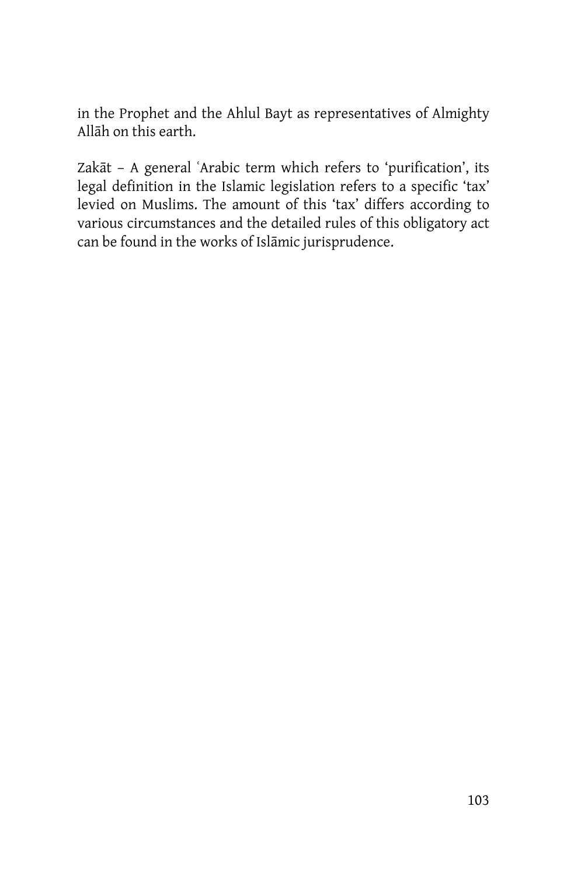in the Prophet and the Ahlul Bayt as representatives of Almighty Allāh on this earth.

Zakāt - A general `Arabic term which refers to 'purification', its legal definition in the Islamic legislation refers to a specific 'tax' levied on Muslims. The amount of this 'tax' differs according to various circumstances and the detailed rules of this obligatory act can be found in the works of Islāmic jurisprudence.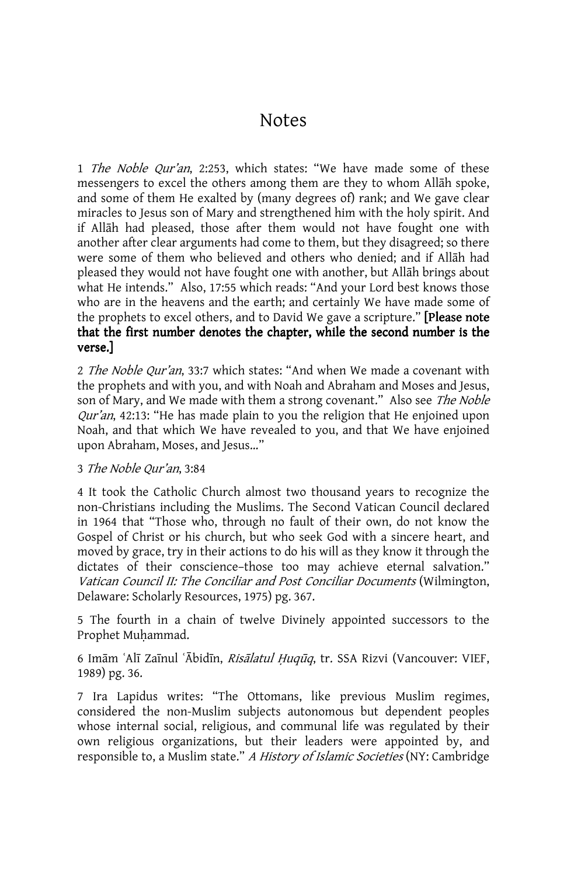# Notes

1 The Noble Qur'an, 2:253, which states: "We have made some of these messengers to excel the others among them are they to whom Allah spoke, and some of them He exalted by (many degrees of) rank; and We gave clear miracles to Jesus son of Mary and strengthened him with the holy spirit. And if Allāh had pleased, those after them would not have fought one with another after clear arguments had come to them, but they disagreed; so there were some of them who believed and others who denied; and if Allah had pleased they would not have fought one with another, but Allah brings about what He intends." Also, 17:55 which reads: "And your Lord best knows those who are in the heavens and the earth; and certainly We have made some of the prophets to excel others, and to David We gave a scripture." [Please note that the first number denotes the chapter, while the second number is the verse.] verse.]

2 The Noble Qur'an, 33:7 which states: "And when We made a covenant with the prophets and with you, and with Noah and Abraham and Moses and Jesus, son of Mary, and We made with them a strong covenant." Also see The Noble Qur'an, 42:13: "He has made plain to you the religion that He enjoined upon Noah, and that which We have revealed to you, and that We have enjoined upon Abraham, Moses, and Jesus…"

#### 3 The Noble Qur'an, 3:84

4 It took the Catholic Church almost two thousand years to recognize the non-Christians including the Muslims. The Second Vatican Council declared in 1964 that "Those who, through no fault of their own, do not know the Gospel of Christ or his church, but who seek God with a sincere heart, and moved by grace, try in their actions to do his will as they know it through the dictates of their conscience–those too may achieve eternal salvation." Vatican Council II: The Conciliar and Post Conciliar Documents (Wilmington, Delaware: Scholarly Resources, 1975) pg. 367.

5 The fourth in a chain of twelve Divinely appointed successors to the Prophet Muhammad.

6 Imām ʿAlī Zaīnul ʿĀbidīn, Risālatul Huqūq, tr. SSA Rizvi (Vancouver: VIEF, 1989) pg. 36.

7 Ira Lapidus writes: "The Ottomans, like previous Muslim regimes, considered the non-Muslim subjects autonomous but dependent peoples whose internal social, religious, and communal life was regulated by their own religious organizations, but their leaders were appointed by, and responsible to, a Muslim state." A History of Islamic Societies (NY: Cambridge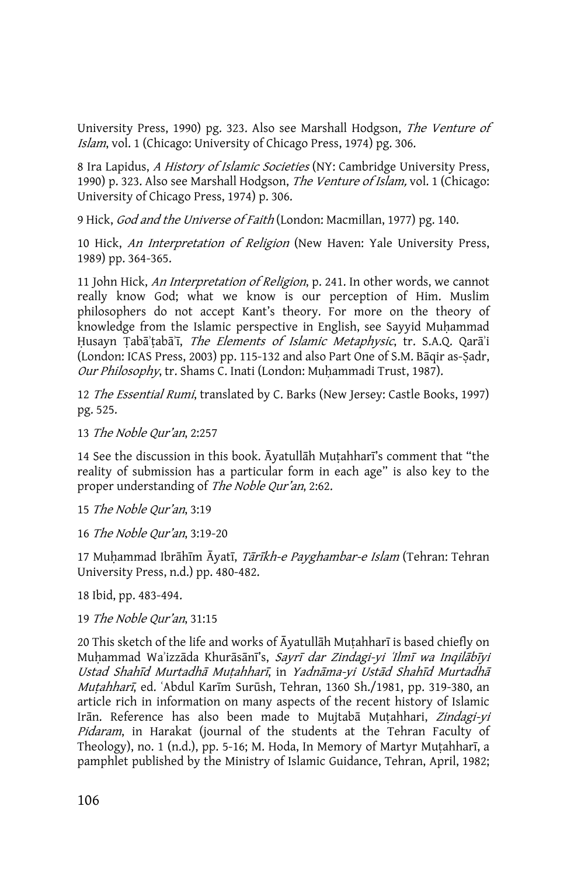University Press, 1990) pg. 323. Also see Marshall Hodgson, The Venture of Islam, vol. 1 (Chicago: University of Chicago Press, 1974) pg. 306.

8 Ira Lapidus, A History of Islamic Societies (NY: Cambridge University Press, 1990) p. 323. Also see Marshall Hodgson, The Venture of Islam, vol. 1 (Chicago: University of Chicago Press, 1974) p. 306.

9 Hick, God and the Universe of Faith (London: Macmillan, 1977) pg. 140.

10 Hick, An Interpretation of Religion (New Haven: Yale University Press, 1989) pp. 364-365.

11 John Hick, An Interpretation of Religion, p. 241. In other words, we cannot really know God; what we know is our perception of Him. Muslim philosophers do not accept Kant's theory. For more on the theory of knowledge from the Islamic perspective in English, see Sayyid Muhammad Husayn Tabā'tabā'ī, The Elements of Islamic Metaphysic, tr. S.A.Q. Qarā'i (London: ICAS Press, 2003) pp. 115-132 and also Part One of S.M. Bāqir as-Ṣadr, Our Philosophy, tr. Shams C. Inati (London: Muhammadi Trust, 1987).

12 The Essential Rumi, translated by C. Barks (New Jersey: Castle Books, 1997) pg. 525.

13 The Noble Qur'an, 2:257

14 See the discussion in this book. Ayatullah Mutahhari's comment that "the reality of submission has a particular form in each age" is also key to the proper understanding of The Noble Qur'an, 2:62.

- 15 The Noble Qur'an, 3:19
- 16 The Noble Qur'an, 3:19-20

17 Muhammad Ibrāhīm Āyatī, Tārīkh-e Payghambar-e Islam (Tehran: Tehran University Press, n.d.) pp. 480-482.

18 Ibid, pp. 483-494.

19 The Noble Qur'an, 31:15

20 This sketch of the life and works of Ayatullah Mutahhari is based chiefly on Muhammad Wa'izzāda Khurāsānī's, Sayrī dar Zindagi-yi 'Ilmī wa Inqilābīyi Ustad Shahīd Murtadhā Mutahharī, in Yadnāma-yi Ustād Shahīd Murtadhā Muțahharī, ed. ʿAbdul Karīm Surūsh, Tehran, 1360 Sh./1981, pp. 319-380, an article rich in information on many aspects of the recent history of Islamic Irān. Reference has also been made to Mujtabā Muțahhari, Zindagi-yi Pidaram, in Harakat (journal of the students at the Tehran Faculty of Theology), no. 1 (n.d.), pp. 5-16; M. Hoda, In Memory of Martyr Muțahharī, a pamphlet published by the Ministry of Islamic Guidance, Tehran, April, 1982;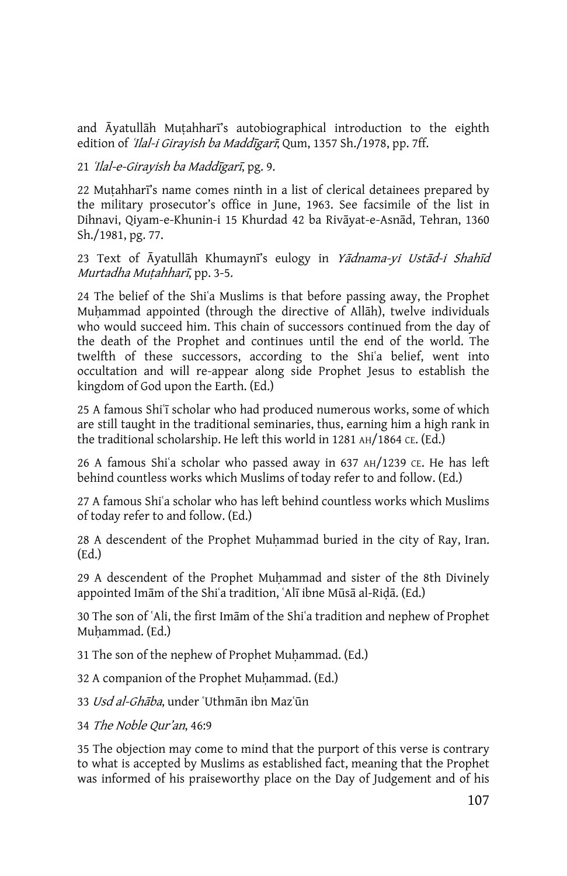and Āyatullāh Mutahharī's autobiographical introduction to the eighth edition of *'Ilal-i Girayish ba Maddīgarī*, Qum, 1357 Sh./1978, pp. 7ff.

21 *'Ilal-e-Girayish ba Maddīgarī*, pg. 9.

22 Mutahhari's name comes ninth in a list of clerical detainees prepared by the military prosecutor's office in June, 1963. See facsimile of the list in Dihnavi, Qiyam-e-Khunin-i 15 Khurdad 42 ba Rivāyat-e-Asnād, Tehran, 1360 Sh./1981, pg. 77.

23 Text of Āvatullāh Khumaynī's eulogy in Yādnama-vi Ustād-i Shahīd Murtadha Mutahharī, pp. 3-5.

24 The belief of the Shi'a Muslims is that before passing away, the Prophet Muhammad appointed (through the directive of Allāh), twelve individuals who would succeed him. This chain of successors continued from the day of the death of the Prophet and continues until the end of the world. The twelfth of these successors, according to the Shi'a belief, went into occultation and will re-appear along side Prophet Jesus to establish the kingdom of God upon the Earth. (Ed.)

25 A famous Shi'i scholar who had produced numerous works, some of which are still taught in the traditional seminaries, thus, earning him a high rank in the traditional scholarship. He left this world in 1281 AH/1864 CE. (Ed.)

26 A famous Shi˜a scholar who passed away in 637 AH/1239 CE. He has left behind countless works which Muslims of today refer to and follow. (Ed.)

27 A famous Shi˜a scholar who has left behind countless works which Muslims of today refer to and follow. (Ed.)

28 A descendent of the Prophet Muḥammad buried in the city of Ray, Iran. (Ed.)

29 A descendent of the Prophet Muhammad and sister of the 8th Divinely appointed Imām of the Shiʿa tradition, ʿAlī ibne Mūsā al-Ridā. (Ed.)

30 The son of `Ali, the first Imam of the Shiʿa tradition and nephew of Prophet Muhammad. (Ed.)

31 The son of the nephew of Prophet Muhammad. (Ed.)

32 A companion of the Prophet Muhammad. (Ed.)

- 33 Usd al-Ghaba, under 'Uthmān ibn Maz'ūn
- 34 The Noble Qur'an, 46:9

35 The objection may come to mind that the purport of this verse is contrary to what is accepted by Muslims as established fact, meaning that the Prophet was informed of his praiseworthy place on the Day of Judgement and of his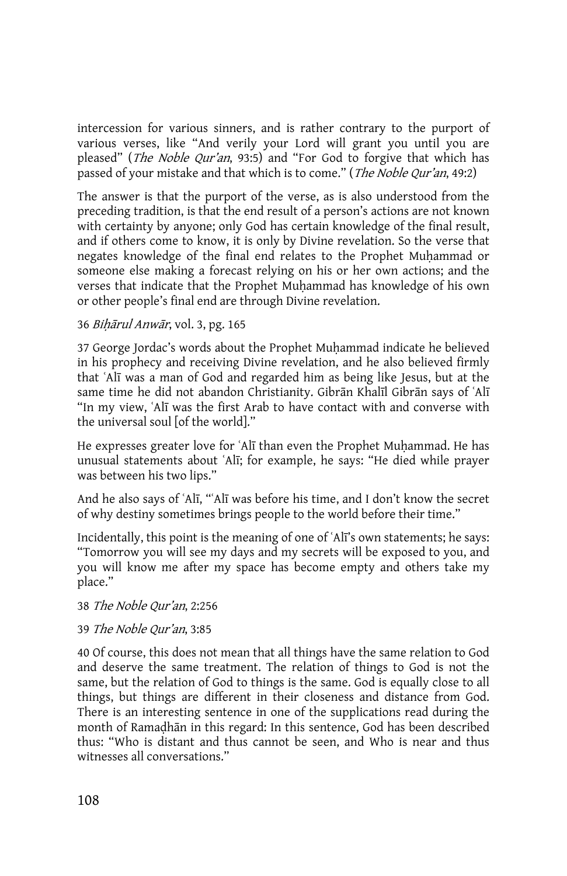intercession for various sinners, and is rather contrary to the purport of various verses, like "And verily your Lord will grant you until you are pleased" (The Noble Qur'an, 93:5) and "For God to forgive that which has passed of your mistake and that which is to come." (The Noble Qur'an, 49:2)

The answer is that the purport of the verse, as is also understood from the preceding tradition, is that the end result of a person's actions are not known with certainty by anyone; only God has certain knowledge of the final result, and if others come to know, it is only by Divine revelation. So the verse that negates knowledge of the final end relates to the Prophet Muhammad or someone else making a forecast relying on his or her own actions; and the verses that indicate that the Prophet Muhammad has knowledge of his own or other people's final end are through Divine revelation.

#### 36 Bihārul Anwār, vol. 3, pg. 165

37 George Jordac's words about the Prophet Muhammad indicate he believed in his prophecy and receiving Divine revelation, and he also believed firmly that `Alī was a man of God and regarded him as being like Jesus, but at the same time he did not abandon Christianity. Gibrān Khalīl Gibrān says of ʿAlī "In my view, `Alī was the first Arab to have contact with and converse with the universal soul [of the world]."

He expresses greater love for `Alī than even the Prophet Muhammad. He has unusual statements about `Alī; for example, he says: "He died while prayer was between his two lips."

And he also says of 'Ali, "'Ali was before his time, and I don't know the secret of why destiny sometimes brings people to the world before their time."

Incidentally, this point is the meaning of one of 'Ali's own statements; he says: "Tomorrow you will see my days and my secrets will be exposed to you, and you will know me after my space has become empty and others take my place."

#### 38 The Noble Qur'an, 2:256

#### 39 The Noble Qur'an, 3:85

40 Of course, this does not mean that all things have the same relation to God and deserve the same treatment. The relation of things to God is not the same, but the relation of God to things is the same. God is equally close to all things, but things are different in their closeness and distance from God. There is an interesting sentence in one of the supplications read during the month of Ramadhān in this regard: In this sentence, God has been described thus: "Who is distant and thus cannot be seen, and Who is near and thus witnesses all conversations."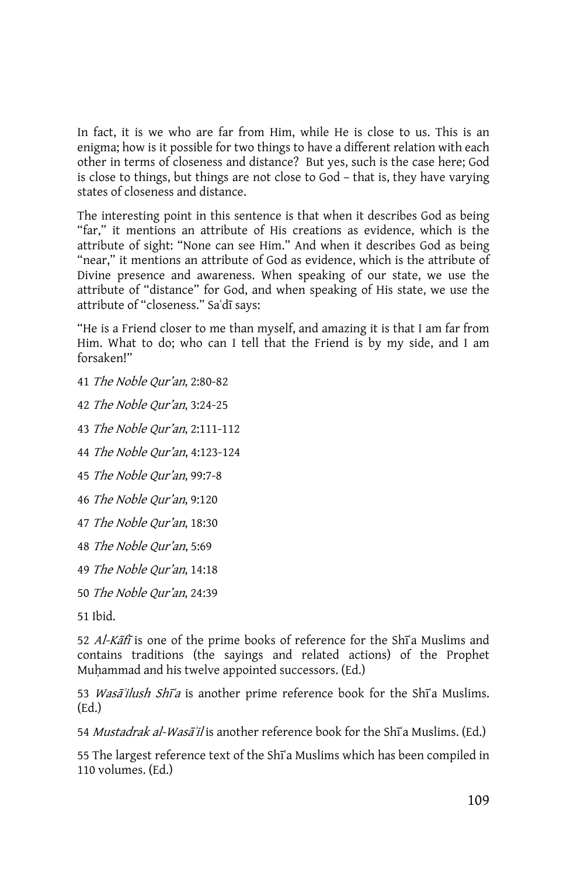In fact, it is we who are far from Him, while He is close to us. This is an enigma; how is it possible for two things to have a different relation with each other in terms of closeness and distance? But yes, such is the case here; God is close to things, but things are not close to God – that is, they have varying states of closeness and distance.

The interesting point in this sentence is that when it describes God as being "far," it mentions an attribute of His creations as evidence, which is the attribute of sight: "None can see Him." And when it describes God as being "near," it mentions an attribute of God as evidence, which is the attribute of Divine presence and awareness. When speaking of our state, we use the attribute of "distance" for God, and when speaking of His state, we use the attribute of "closeness." Sa'dī says:

"He is a Friend closer to me than myself, and amazing it is that I am far from Him. What to do; who can I tell that the Friend is by my side, and I am forsaken!"

41 The Noble Qur'an, 2:80-82

42 The Noble Qur'an, 3:24-25

43 The Noble Qur'an, 2:111-112

44 The Noble Qur'an, 4:123-124

45 The Noble Qur'an, 99:7-8

46 The Noble Qur'an, 9:120

47 The Noble Qur'an, 18:30

48 The Noble Qur'an, 5:69

49 The Noble Qur'an, 14:18

50 The Noble Qur'an, 24:39

51 Ibid.

52 Al-Kafi is one of the prime books of reference for the Shi<sup>®</sup>a Muslims and contains traditions (the sayings and related actions) of the Prophet Muhammad and his twelve appointed successors. (Ed.)

53 Wasa'ilush Shi'a is another prime reference book for the Shi'a Muslims. (Ed.)

54 Mustadrak al-Wasā'il is another reference book for the Shī'a Muslims. (Ed.)

55 The largest reference text of the Shi<sup>2</sup>a Muslims which has been compiled in 110 volumes. (Ed.)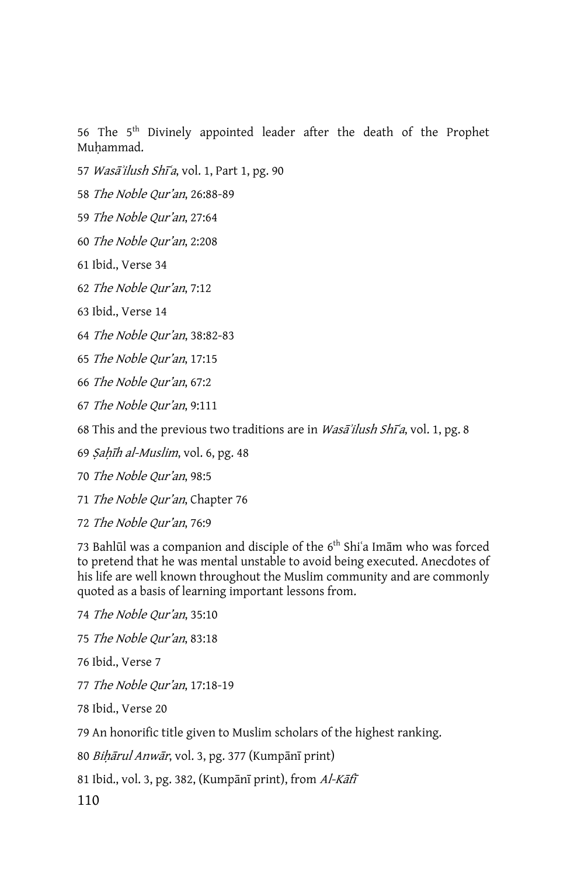56 The 5<sup>th</sup> Divinely appointed leader after the death of the Prophet Muhammad.

- 57 Wasa'ilush Shī'a, vol. 1, Part 1, pg. 90
- 58 The Noble Qur'an, 26:88-89
- 59 The Noble Qur'an, 27:64
- 60 The Noble Qur'an, 2:208
- 61 Ibid., Verse 34
- 62 The Noble Qur'an, 7:12
- 63 Ibid., Verse 14
- 64 The Noble Qur'an, 38:82-83
- 65 The Noble Qur'an, 17:15
- 66 The Noble Qur'an, 67:2
- 67 The Noble Qur'an, 9:111
- 68 This and the previous two traditions are in *Wasa<sup>'</sup>ilush Shi<sup>√</sup>a*, vol. 1, pg. 8
- 69  $\sinh{al-Mus}$  vol. 6, pg. 48
- 70 The Noble Qur'an, 98:5
- 71 The Noble Qur'an, Chapter 76
- 72 The Noble Qur'an, 76:9

73 Bahlūl was a companion and disciple of the  $6<sup>th</sup>$  Shi'a Imam who was forced to pretend that he was mental unstable to avoid being executed. Anecdotes of his life are well known throughout the Muslim community and are commonly quoted as a basis of learning important lessons from.

- 74 The Noble Qur'an, 35:10
- 75 The Noble Qur'an, 83:18
- 76 Ibid., Verse 7
- 77 The Noble Qur'an, 17:18-19
- 78 Ibid., Verse 20

79 An honorific title given to Muslim scholars of the highest ranking.

80 Bihārul Anwār, vol. 3, pg. 377 (Kumpānī print)

81 Ibid., vol. 3, pg. 382, (Kumpānī print), from  $A\rightarrow K\bar{a}\bar{f}$ 

110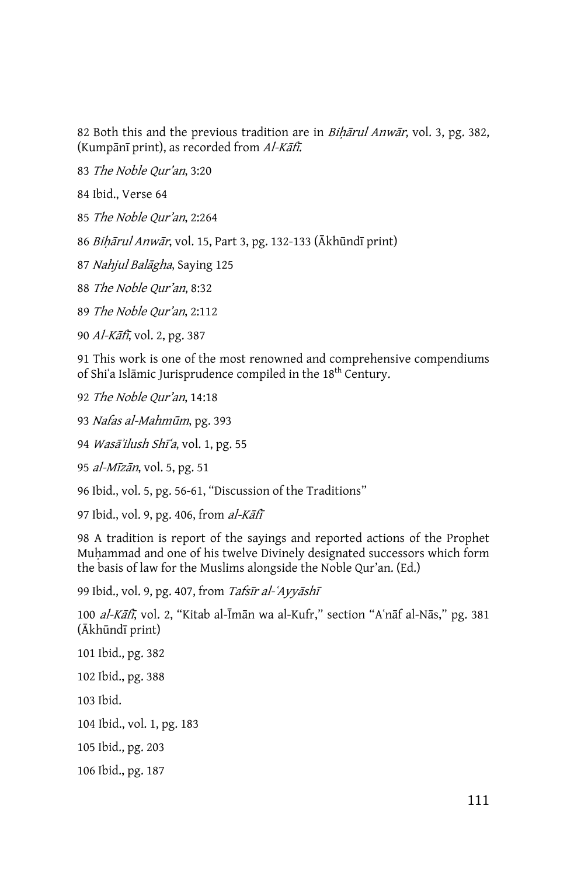82 Both this and the previous tradition are in *Bihārul Anwār*, vol. 3, pg. 382, (Kumpānī print), as recorded from  $Al$ -Kāfī.

83 The Noble Qur'an, 3:20

84 Ibid., Verse 64

- 85 The Noble Qur'an, 2:264
- 86 Bihārul Anwār, vol. 15, Part 3, pg. 132-133 (Ākhūndī print)
- 87 Nahjul Balāgha, Saying 125

88 The Noble Qur'an, 8:32

89 The Noble Qur'an, 2:112

90 Al-Kāfī, vol. 2, pg. 387

91 This work is one of the most renowned and comprehensive compendiums of Shi'a Islāmic Jurisprudence compiled in the 18<sup>th</sup> Century.

92 The Noble Qur'an, 14:18

93 Nafas al-Mahmūm, pg. 393

94 Wasā'ilush Shī'a, vol. 1, pg. 55

95 *al-Mīzān*, vol. 5, pg. 51

96 Ibid., vol. 5, pg. 56-61, "Discussion of the Traditions"

97 Ibid., vol. 9, pg. 406, from al-Kāfī

98 A tradition is report of the sayings and reported actions of the Prophet Muhammad and one of his twelve Divinely designated successors which form the basis of law for the Muslims alongside the Noble Qur'an. (Ed.)

99 Ibid., vol. 9, pg. 407, from Tafsīr al-'Ayyāshī

100 al-Kāfī, vol. 2, "Kitab al-Īmān wa al-Kufr," section "Aʿnāf al-Nās," pg. 381 (Ākhūndī print)

101 Ibid., pg. 382 102 Ibid., pg. 388 103 Ibid. 104 Ibid., vol. 1, pg. 183 105 Ibid., pg. 203 106 Ibid., pg. 187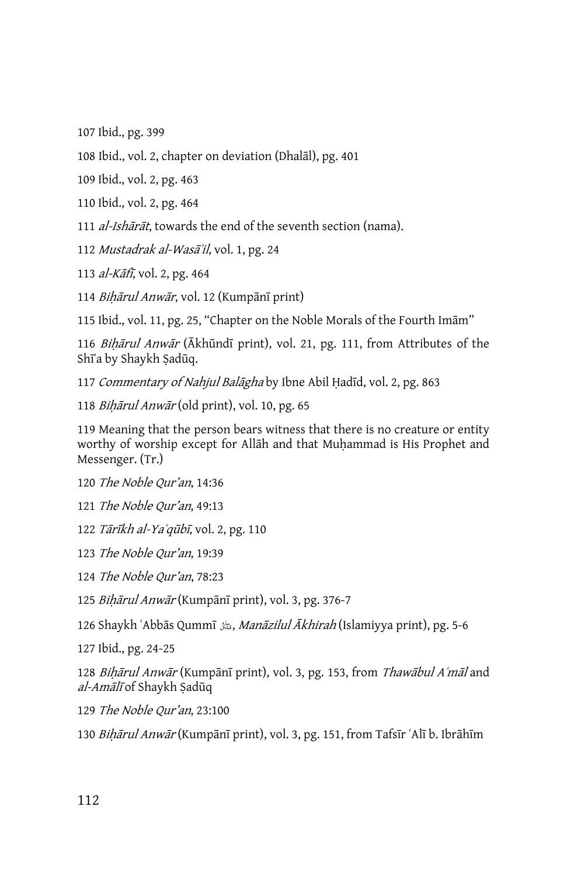107 Ibid., pg. 399

108 Ibid., vol. 2, chapter on deviation (Dhalal), pg. 401

109 Ibid., vol. 2, pg. 463

110 Ibid., vol. 2, pg. 464

111 *al-Ishārāt*, towards the end of the seventh section (nama).

112 Mustadrak al-Wasā'il, vol. 1, pg. 24

113 *al-Kāfī*, vol. 2, pg. 464

114 Bihārul Anwār, vol. 12 (Kumpānī print)

115 Ibid., vol. 11, pg. 25, "Chapter on the Noble Morals of the Fourth Imam"

116 Bihārul Anwār (Ākhūndī print), vol. 21, pg. 111, from Attributes of the Shī'a by Shaykh Şadūq.

117 Commentary of Nahjul Balāgha by Ibne Abil Hadīd, vol. 2, pg. 863

118 Bihārul Anwār (old print), vol. 10, pg. 65

119 Meaning that the person bears witness that there is no creature or entity worthy of worship except for Allah and that Muhammad is His Prophet and Messenger. (Tr.)

120 The Noble Qur'an, 14:36

121 The Noble Qur'an, 49:13

122 Tārīkh al-Yaʿqūbī, vol. 2, pg. 110

123 The Noble Qur'an, 19:39

124 The Noble Qur'an, 78:23

125 Bihārul Anwār (Kumpānī print), vol. 3, pg. 376-7

126 Shaykh ʿAbbās Qummī  $\ddot{\in}$ , *Manāzilul Ākhirah* (Islamiyya print), pg. 5-6

127 Ibid., pg. 24-25

128 Bihārul Anwār (Kumpānī print), vol. 3, pg. 153, from Thawābul Aʻmāl and al-Amālī of Shaykh Sadūq

129 The Noble Qur'an, 23:100

130 Bihārul Anwār (Kumpānī print), vol. 3, pg. 151, from Tafsīr ʿAlī b. Ibrāhīm